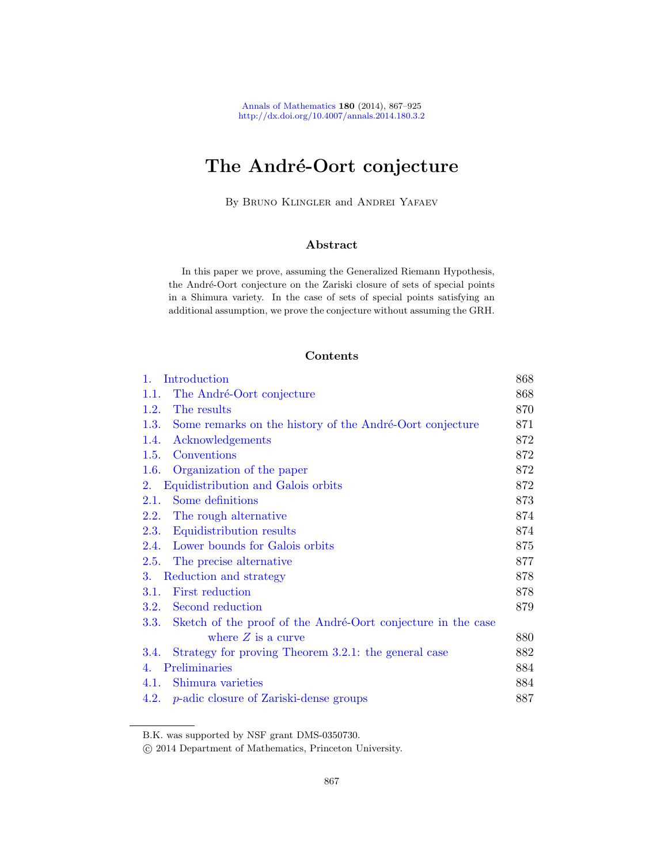# The André-Oort conjecture

By Bruno Klingler and Andrei Yafaev

# Abstract

In this paper we prove, assuming the Generalized Riemann Hypothesis, the André-Oort conjecture on the Zariski closure of sets of special points in a Shimura variety. In the case of sets of special points satisfying an additional assumption, we prove the conjecture without assuming the GRH.

# Contents

| $1_{\cdot}$ | Introduction                                                 | 868 |
|-------------|--------------------------------------------------------------|-----|
| 1.1.        | The André-Oort conjecture                                    | 868 |
| 1.2.        | The results                                                  | 870 |
| 1.3.        | Some remarks on the history of the André-Oort conjecture     | 871 |
| 1.4.        | Acknowledgements                                             | 872 |
| 1.5.        | Conventions                                                  | 872 |
| 1.6.        | Organization of the paper                                    | 872 |
| 2.          | Equidistribution and Galois orbits                           | 872 |
| 2.1.        | Some definitions                                             | 873 |
| <b>2.2.</b> | The rough alternative                                        | 874 |
| <b>2.3.</b> | Equidistribution results                                     | 874 |
| 2.4.        | Lower bounds for Galois orbits                               | 875 |
| 2.5.        | The precise alternative                                      | 877 |
| 3.          | Reduction and strategy                                       | 878 |
| 3.1.        | First reduction                                              | 878 |
| 3.2.        | Second reduction                                             | 879 |
| 3.3.        | Sketch of the proof of the André-Oort conjecture in the case |     |
|             | where $Z$ is a curve                                         | 880 |
| 3.4.        | Strategy for proving Theorem 3.2.1: the general case         | 882 |
| 4.          | Preliminaries                                                | 884 |
| 4.1.        | Shimura varieties                                            | 884 |
| 4.2.        | <i>p</i> -adic closure of Zariski-dense groups               | 887 |

B.K. was supported by NSF grant DMS-0350730.

c 2014 Department of Mathematics, Princeton University.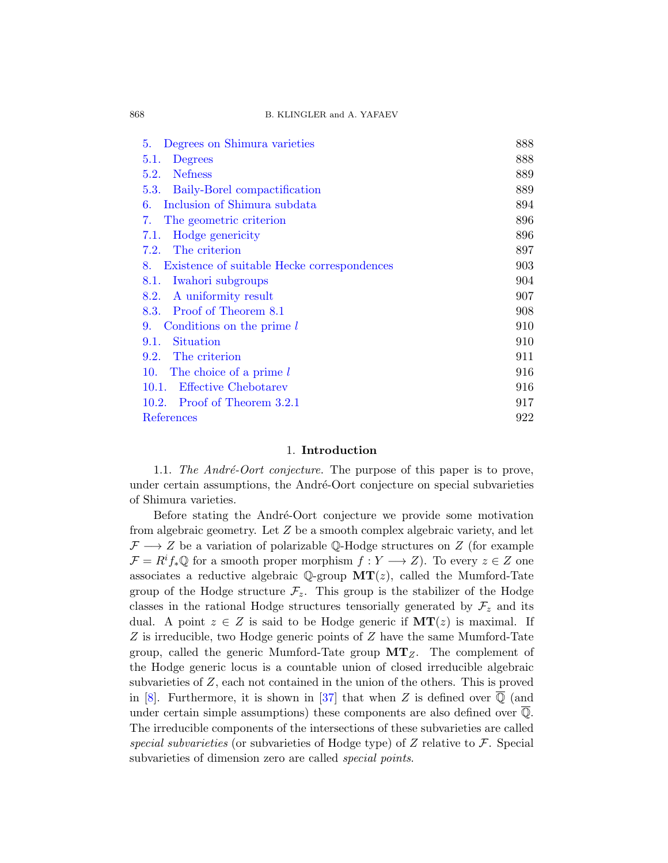| Degrees on Shimura varieties<br>5.                | 888 |
|---------------------------------------------------|-----|
| 5.1.<br>Degrees                                   | 888 |
| <b>Nefness</b><br>5.2.                            | 889 |
| Baily-Borel compactification<br>5.3.              | 889 |
| Inclusion of Shimura subdata<br>6.                | 894 |
| The geometric criterion<br>7.                     | 896 |
| Hodge genericity<br>7.1.                          | 896 |
| The criterion<br>7.2.                             | 897 |
| Existence of suitable Hecke correspondences<br>8. | 903 |
| Iwahori subgroups<br>8.1.                         | 904 |
| A uniformity result<br>8.2.                       | 907 |
| 8.3. Proof of Theorem 8.1                         | 908 |
| Conditions on the prime l<br>9.                   | 910 |
| Situation<br>9.1.                                 | 910 |
| 9.2.<br>The criterion                             | 911 |
| The choice of a prime l<br>10.                    | 916 |
| <b>Effective Chebotarev</b><br>10.1.              | 916 |
| Proof of Theorem 3.2.1<br>10.2.                   | 917 |
| References                                        | 922 |
|                                                   |     |

# 1. Introduction

<span id="page-1-1"></span><span id="page-1-0"></span>1.1. The André-Oort conjecture. The purpose of this paper is to prove, under certain assumptions, the André-Oort conjecture on special subvarieties of Shimura varieties.

Before stating the André-Oort conjecture we provide some motivation from algebraic geometry. Let Z be a smooth complex algebraic variety, and let  $\mathcal{F} \longrightarrow Z$  be a variation of polarizable Q-Hodge structures on Z (for example  $\mathcal{F} = R^i f_* \mathbb{Q}$  for a smooth proper morphism  $f : Y \longrightarrow Z$ ). To every  $z \in Z$  one associates a reductive algebraic  $\mathbb{Q}$ -group  $MT(z)$ , called the Mumford-Tate group of the Hodge structure  $\mathcal{F}_z$ . This group is the stabilizer of the Hodge classes in the rational Hodge structures tensorially generated by  $\mathcal{F}_z$  and its dual. A point  $z \in Z$  is said to be Hodge generic if  $MT(z)$  is maximal. If Z is irreducible, two Hodge generic points of Z have the same Mumford-Tate group, called the generic Mumford-Tate group  $MT_Z$ . The complement of the Hodge generic locus is a countable union of closed irreducible algebraic subvarieties of Z, each not contained in the union of the others. This is proved in [\[8\]](#page-55-1). Furthermore, it is shown in [\[37\]](#page-57-0) that when Z is defined over  $\overline{Q}$  (and under certain simple assumptions) these components are also defined over Q. The irreducible components of the intersections of these subvarieties are called special subvarieties (or subvarieties of Hodge type) of Z relative to  $\mathcal F$ . Special subvarieties of dimension zero are called *special points*.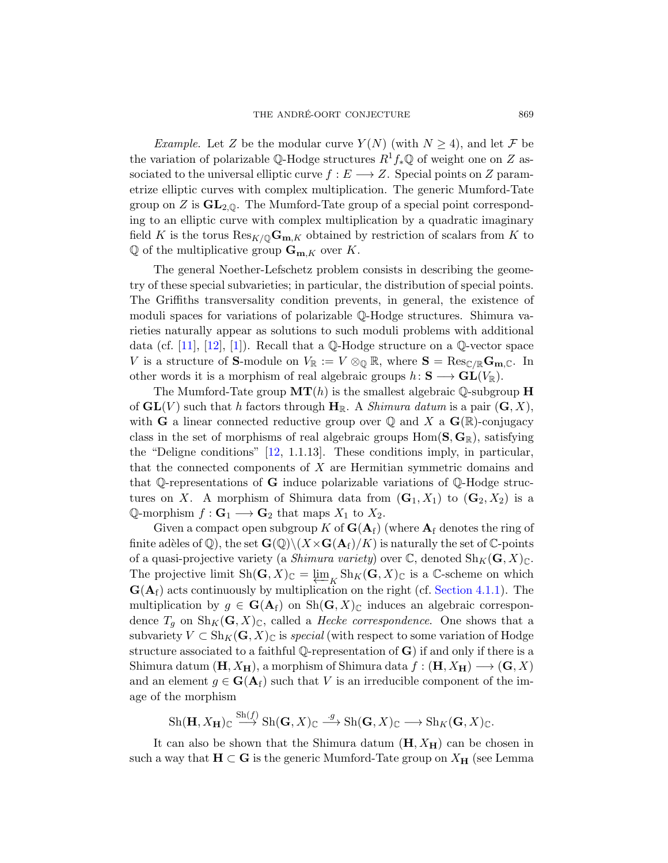*Example.* Let Z be the modular curve  $Y(N)$  (with  $N \geq 4$ ), and let F be the variation of polarizable Q-Hodge structures  $R^1f_*\mathbb{Q}$  of weight one on Z associated to the universal elliptic curve  $f : E \longrightarrow Z$ . Special points on Z parametrize elliptic curves with complex multiplication. The generic Mumford-Tate group on  $Z$  is  $GL_{2,\mathbb{Q}}$ . The Mumford-Tate group of a special point corresponding to an elliptic curve with complex multiplication by a quadratic imaginary field K is the torus  $\text{Res}_{K/\mathbb{Q}}\mathbf{G}_{\mathbf{m},K}$  obtained by restriction of scalars from K to  $\mathbb Q$  of the multiplicative group  $\mathbf G_{\mathbf m,K}$  over K.

The general Noether-Lefschetz problem consists in describing the geometry of these special subvarieties; in particular, the distribution of special points. The Griffiths transversality condition prevents, in general, the existence of moduli spaces for variations of polarizable Q-Hodge structures. Shimura varieties naturally appear as solutions to such moduli problems with additional data (cf. [\[11\]](#page-55-2), [\[12\]](#page-56-0), [\[1\]](#page-55-3)). Recall that a  $\mathbb Q$ -Hodge structure on a  $\mathbb Q$ -vector space V is a structure of **S**-module on  $V_{\mathbb{R}} := V \otimes_{\mathbb{Q}} \mathbb{R}$ , where  $\mathbf{S} = \text{Res}_{\mathbb{C}/\mathbb{R}} \mathbf{G}_{\mathbf{m},\mathbb{C}}$ . In other words it is a morphism of real algebraic groups  $h: S \longrightarrow GL(V_{\mathbb{R}})$ .

The Mumford-Tate group  $MT(h)$  is the smallest algebraic Q-subgroup H of  $GL(V)$  such that h factors through  $H_{\mathbb{R}}$ . A *Shimura datum* is a pair  $(G, X)$ , with **G** a linear connected reductive group over  $\mathbb Q$  and X a  $\mathbf G(\mathbb R)$ -conjugacy class in the set of morphisms of real algebraic groups  $Hom(S, G_{\mathbb{R}})$ , satisfying the "Deligne conditions" [\[12,](#page-56-0) 1.1.13]. These conditions imply, in particular, that the connected components of X are Hermitian symmetric domains and that Q-representations of **G** induce polarizable variations of Q-Hodge structures on X. A morphism of Shimura data from  $(G_1, X_1)$  to  $(G_2, X_2)$  is a Q-morphism  $f: \mathbf{G}_1 \longrightarrow \mathbf{G}_2$  that maps  $X_1$  to  $X_2$ .

Given a compact open subgroup K of  $G(A_f)$  (where  $A_f$  denotes the ring of finite adèles of Q), the set  $\mathbf{G}(\mathbb{Q})\backslash (X\times \mathbf{G}(\mathbf{A}_f)/K)$  is naturally the set of C-points of a quasi-projective variety (a *Shimura variety*) over  $\mathbb{C}$ , denoted  $\text{Sh}_K(\mathbf{G}, X)_{\mathbb{C}}$ . The projective limit  $\text{Sh}(\mathbf{G}, X)_{\mathbb{C}} = \varprojlim_{K} \text{Sh}_{K}(\mathbf{G}, X)_{\mathbb{C}}$  is a  $\mathbb{C}$ -scheme on which  $\mathbf{G}(\mathbf{A}_f)$  acts continuously by multiplication on the right (cf. [Section 4.1.1\)](#page-17-2). The multiplication by  $g \in \mathbf{G}(\mathbf{A}_f)$  on  $\mathrm{Sh}(\mathbf{G},X)_{\mathbb{C}}$  induces an algebraic correspondence  $T_q$  on  $\text{Sh}_K(\mathbf{G}, X)_{\mathbb{C}}$ , called a *Hecke correspondence*. One shows that a subvariety  $V \subset Sh_K(G,X)_\mathbb{C}$  is special (with respect to some variation of Hodge structure associated to a faithful Q-representation of  $\bf G$ ) if and only if there is a Shimura datum  $(H, X_H)$ , a morphism of Shimura data  $f : (H, X_H) \longrightarrow (G, X)$ and an element  $g \in \mathbf{G}(\mathbf{A}_f)$  such that V is an irreducible component of the image of the morphism

$$
Sh(\mathbf{H}, X_{\mathbf{H}}) \subset \stackrel{Sh(f)}{\longrightarrow} Sh(\mathbf{G}, X) \subset \stackrel{g}{\longrightarrow} Sh(\mathbf{G}, X) \subset \longrightarrow Sh_K(\mathbf{G}, X) \subset.
$$

It can also be shown that the Shimura datum  $(H, X_H)$  can be chosen in such a way that  $H \subset G$  is the generic Mumford-Tate group on  $X_H$  (see Lemma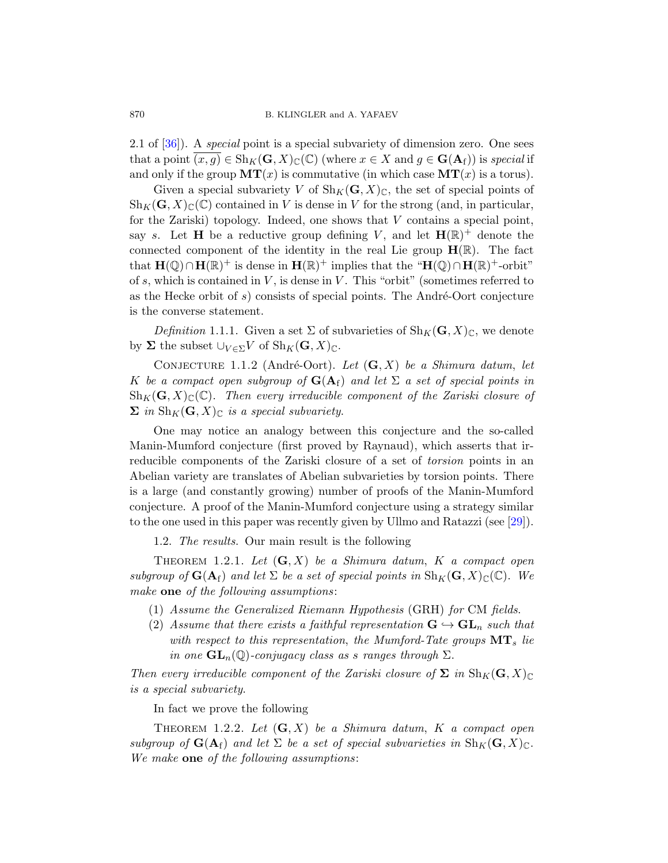2.1 of  $[36]$ ). A *special* point is a special subvariety of dimension zero. One sees that a point  $\overline{(x,g)} \in Sh_K(G,X)_\mathbb{C}(\mathbb{C})$  (where  $x \in X$  and  $g \in G(\mathbf{A}_f)$ ) is special if and only if the group  $MT(x)$  is commutative (in which case  $MT(x)$  is a torus).

Given a special subvariety V of  $\text{Sh}_K(G, X)_\mathbb{C}$ , the set of special points of  $\text{Sh}_K(G, X)_{\mathbb{C}}(\mathbb{C})$  contained in V is dense in V for the strong (and, in particular, for the Zariski) topology. Indeed, one shows that  $V$  contains a special point, say s. Let **H** be a reductive group defining V, and let  $\mathbf{H}(\mathbb{R})^+$  denote the connected component of the identity in the real Lie group  $\mathbf{H}(\mathbb{R})$ . The fact that  $\mathbf{H}(\mathbb{Q}) \cap \mathbf{H}(\mathbb{R})^+$  is dense in  $\mathbf{H}(\mathbb{R})^+$  implies that the " $\mathbf{H}(\mathbb{Q}) \cap \mathbf{H}(\mathbb{R})^+$ -orbit" of s, which is contained in  $V$ , is dense in  $V$ . This "orbit" (sometimes referred to as the Hecke orbit of  $s$ ) consists of special points. The André-Oort conjecture is the converse statement.

<span id="page-3-4"></span>Definition 1.1.1. Given a set  $\Sigma$  of subvarieties of  $\text{Sh}_K(G,X)_{\mathbb{C}}$ , we denote by  $\Sigma$  the subset  $\bigcup_{V \in \Sigma} V$  of  $\text{Sh}_K(G, X)_{\mathbb{C}}$ .

<span id="page-3-3"></span>CONJECTURE 1.1.2 (André-Oort). Let  $(G, X)$  be a Shimura datum, let K be a compact open subgroup of  $\mathbf{G}(\mathbf{A}_f)$  and let  $\Sigma$  a set of special points in  $\text{Sh}_K(G, X)_{\mathbb{C}}(\mathbb{C})$ . Then every irreducible component of the Zariski closure of  $\sum$  in  $\text{Sh}_K(G, X)_{\mathbb{C}}$  is a special subvariety.

One may notice an analogy between this conjecture and the so-called Manin-Mumford conjecture (first proved by Raynaud), which asserts that irreducible components of the Zariski closure of a set of *torsion* points in an Abelian variety are translates of Abelian subvarieties by torsion points. There is a large (and constantly growing) number of proofs of the Manin-Mumford conjecture. A proof of the Manin-Mumford conjecture using a strategy similar to the one used in this paper was recently given by Ullmo and Ratazzi (see [\[29\]](#page-57-2)).

1.2. The results. Our main result is the following

<span id="page-3-2"></span><span id="page-3-0"></span>THEOREM 1.2.1. Let  $(G, X)$  be a Shimura datum, K a compact open subgroup of  $\mathbf{G}(\mathbf{A}_f)$  and let  $\Sigma$  be a set of special points in  $\text{Sh}_K(\mathbf{G}, X)_{\mathbb{C}}(\mathbb{C})$ . We make one of the following assumptions:

- (1) Assume the Generalized Riemann Hypothesis (GRH) for CM fields.
- (2) Assume that there exists a faithful representation  $\mathbf{G} \hookrightarrow \mathbf{GL}_n$  such that with respect to this representation, the Mumford-Tate groups  $MT_s$  lie in one  $GL_n(\mathbb{Q})$ -conjugacy class as s ranges through  $\Sigma$ .

Then every irreducible component of the Zariski closure of  $\Sigma$  in  $\text{Sh}_K(\mathbf{G}, X)_{\mathbb{C}}$ is a special subvariety.

In fact we prove the following

<span id="page-3-1"></span>THEOREM 1.2.2. Let  $(G, X)$  be a Shimura datum, K a compact open subgroup of  $\mathbf{G}(\mathbf{A}_f)$  and let  $\Sigma$  be a set of special subvarieties in  $\text{Sh}_K(\mathbf{G}, X)_{\mathbb{C}}$ . We make one of the following assumptions: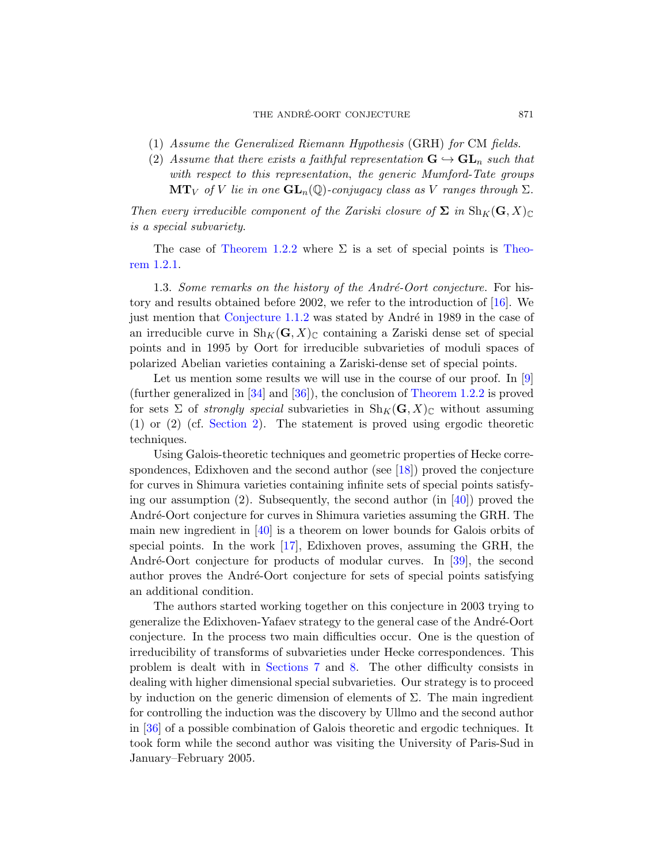- (1) Assume the Generalized Riemann Hypothesis (GRH) for CM fields.
- (2) Assume that there exists a faithful representation  $G \hookrightarrow GL_n$  such that with respect to this representation, the generic Mumford-Tate groups  $\mathbf{MT}_V$  of V lie in one  $\mathbf{GL}_n(\mathbb{Q})$ -conjugacy class as V ranges through  $\Sigma$ .

Then every irreducible component of the Zariski closure of  $\Sigma$  in  $\text{Sh}_K(\mathbf{G}, X)_{\mathbb{C}}$ is a special subvariety.

The case of [Theorem 1.2.2](#page-3-1) where  $\Sigma$  is a set of special points is [Theo](#page-3-2)[rem 1.2.1.](#page-3-2)

<span id="page-4-0"></span>1.3. Some remarks on the history of the André-Oort conjecture. For history and results obtained before 2002, we refer to the introduction of [\[16\]](#page-56-1). We just mention that Conjecture  $1.1.2$  was stated by André in 1989 in the case of an irreducible curve in  $\text{Sh}_K(G, X)_{\mathbb{C}}$  containing a Zariski dense set of special points and in 1995 by Oort for irreducible subvarieties of moduli spaces of polarized Abelian varieties containing a Zariski-dense set of special points.

Let us mention some results we will use in the course of our proof. In [\[9\]](#page-55-4) (further generalized in [\[34\]](#page-57-3) and [\[36\]](#page-57-1)), the conclusion of [Theorem 1.2.2](#page-3-1) is proved for sets  $\Sigma$  of *strongly special* subvarieties in  $\text{Sh}_K(G, X)_\mathbb{C}$  without assuming (1) or (2) (cf. [Section 2\)](#page-5-3). The statement is proved using ergodic theoretic techniques.

Using Galois-theoretic techniques and geometric properties of Hecke correspondences, Edixhoven and the second author (see [\[18\]](#page-56-2)) proved the conjecture for curves in Shimura varieties containing infinite sets of special points satisfying our assumption (2). Subsequently, the second author (in [\[40\]](#page-58-0)) proved the André-Oort conjecture for curves in Shimura varieties assuming the GRH. The main new ingredient in [\[40\]](#page-58-0) is a theorem on lower bounds for Galois orbits of special points. In the work [\[17\]](#page-56-3), Edixhoven proves, assuming the GRH, the André-Oort conjecture for products of modular curves. In [\[39\]](#page-57-4), the second author proves the André-Oort conjecture for sets of special points satisfying an additional condition.

The authors started working together on this conjecture in 2003 trying to generalize the Edixhoven-Yafaev strategy to the general case of the André-Oort conjecture. In the process two main difficulties occur. One is the question of irreducibility of transforms of subvarieties under Hecke correspondences. This problem is dealt with in [Sections 7](#page-29-0) and [8.](#page-36-0) The other difficulty consists in dealing with higher dimensional special subvarieties. Our strategy is to proceed by induction on the generic dimension of elements of  $\Sigma$ . The main ingredient for controlling the induction was the discovery by Ullmo and the second author in [\[36\]](#page-57-1) of a possible combination of Galois theoretic and ergodic techniques. It took form while the second author was visiting the University of Paris-Sud in January–February 2005.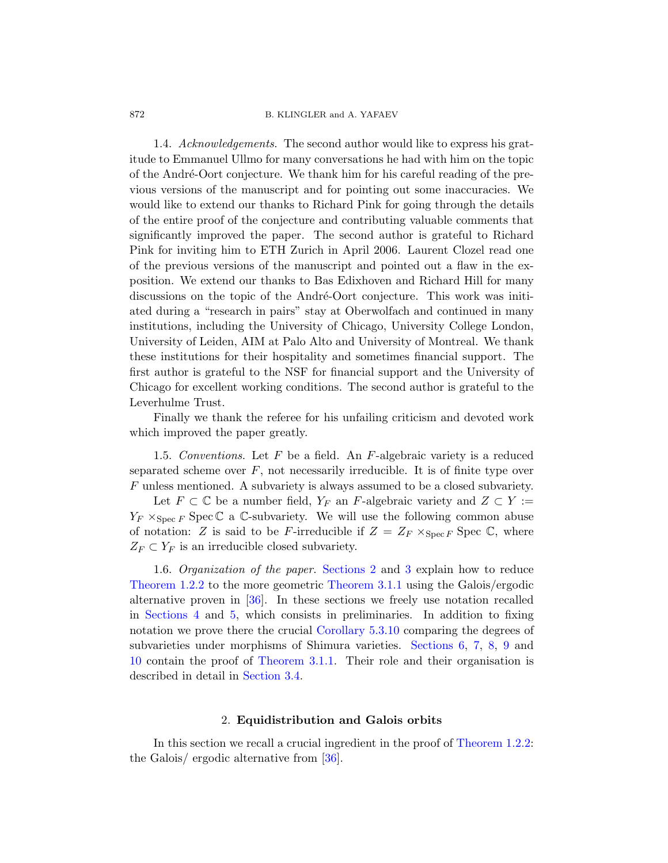<span id="page-5-0"></span>1.4. Acknowledgements. The second author would like to express his gratitude to Emmanuel Ullmo for many conversations he had with him on the topic of the André-Oort conjecture. We thank him for his careful reading of the previous versions of the manuscript and for pointing out some inaccuracies. We would like to extend our thanks to Richard Pink for going through the details of the entire proof of the conjecture and contributing valuable comments that significantly improved the paper. The second author is grateful to Richard Pink for inviting him to ETH Zurich in April 2006. Laurent Clozel read one of the previous versions of the manuscript and pointed out a flaw in the exposition. We extend our thanks to Bas Edixhoven and Richard Hill for many discussions on the topic of the André-Oort conjecture. This work was initiated during a "research in pairs" stay at Oberwolfach and continued in many institutions, including the University of Chicago, University College London, University of Leiden, AIM at Palo Alto and University of Montreal. We thank these institutions for their hospitality and sometimes financial support. The first author is grateful to the NSF for financial support and the University of Chicago for excellent working conditions. The second author is grateful to the Leverhulme Trust.

Finally we thank the referee for his unfailing criticism and devoted work which improved the paper greatly.

<span id="page-5-1"></span>1.5. Conventions. Let  $F$  be a field. An  $F$ -algebraic variety is a reduced separated scheme over  $F$ , not necessarily irreducible. It is of finite type over F unless mentioned. A subvariety is always assumed to be a closed subvariety.

Let  $F \subset \mathbb{C}$  be a number field,  $Y_F$  an F-algebraic variety and  $Z \subset Y :=$  $Y_F \times_{\text{Spec } F} \text{Spec } \mathbb{C}$  a C-subvariety. We will use the following common abuse of notation: Z is said to be F-irreducible if  $Z = Z_F \times_{\text{Spec } F} \text{Spec } \mathbb{C}$ , where  $Z_F \subset Y_F$  is an irreducible closed subvariety.

<span id="page-5-2"></span>1.6. Organization of the paper. [Sections 2](#page-5-3) and [3](#page-11-0) explain how to reduce [Theorem 1.2.2](#page-3-1) to the more geometric [Theorem 3.1.1](#page-11-2) using the Galois/ergodic alternative proven in [\[36\]](#page-57-1). In these sections we freely use notation recalled in [Sections 4](#page-17-0) and [5,](#page-21-0) which consists in preliminaries. In addition to fixing notation we prove there the crucial [Corollary 5.3.10](#page-27-1) comparing the degrees of subvarieties under morphisms of Shimura varieties. [Sections 6,](#page-27-0) [7,](#page-29-0) [8,](#page-36-0) [9](#page-43-0) and [10](#page-49-0) contain the proof of [Theorem 3.1.1.](#page-11-2) Their role and their organisation is described in detail in [Section 3.4.](#page-15-0)

### 2. Equidistribution and Galois orbits

<span id="page-5-3"></span>In this section we recall a crucial ingredient in the proof of [Theorem 1.2.2:](#page-3-1) the Galois/ ergodic alternative from [\[36\]](#page-57-1).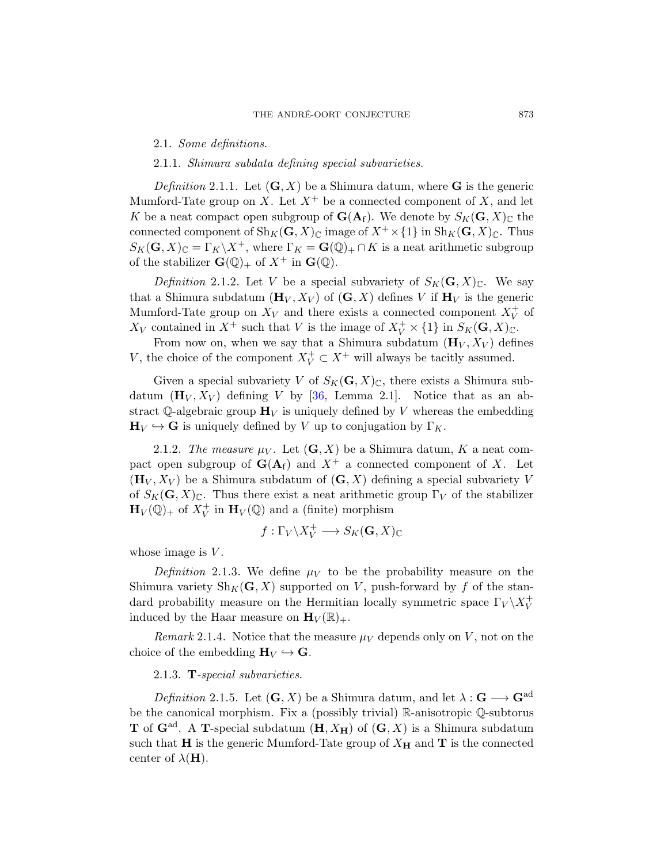#### <span id="page-6-0"></span>2.1. Some definitions.

## 2.1.1. Shimura subdata defining special subvarieties.

Definition 2.1.1. Let  $(G, X)$  be a Shimura datum, where G is the generic Mumford-Tate group on X. Let  $X^+$  be a connected component of X, and let K be a neat compact open subgroup of  $\mathbf{G}(\mathbf{A}_f)$ . We denote by  $S_K(\mathbf{G}, X)_{\mathbb{C}}$  the connected component of  $\text{Sh}_K(\mathbf{G}, X)_{\mathbb{C}}$  image of  $X^+ \times \{1\}$  in  $\text{Sh}_K(\mathbf{G}, X)_{\mathbb{C}}$ . Thus  $S_K(\mathbf{G}, X)_{\mathbb{C}} = \Gamma_K \backslash X^+$ , where  $\Gamma_K = \mathbf{G}(\mathbb{Q})_+ \cap K$  is a neat arithmetic subgroup of the stabilizer  $\mathbf{G}(\mathbb{Q})_+$  of  $X^+$  in  $\mathbf{G}(\mathbb{Q})$ .

Definition 2.1.2. Let V be a special subvariety of  $S_K(G, X)_{\mathbb{C}}$ . We say that a Shimura subdatum  $(\mathbf{H}_V, X_V)$  of  $(\mathbf{G}, X)$  defines V if  $\mathbf{H}_V$  is the generic Mumford-Tate group on  $X_V$  and there exists a connected component  $X_V^+$  of  $X_V$  contained in  $X^+$  such that V is the image of  $X_V^+ \times \{1\}$  in  $S_K(\mathbf{G}, X)_{\mathbb{C}}$ .

From now on, when we say that a Shimura subdatum  $(\mathbf{H}_V, X_V)$  defines V, the choice of the component  $X_V^+ \subset X^+$  will always be tacitly assumed.

Given a special subvariety V of  $S_K(G, X)_\mathbb{C}$ , there exists a Shimura subdatum  $(\mathbf{H}_V, X_V)$  defining V by [\[36,](#page-57-1) Lemma 2.1]. Notice that as an abstract  $\mathbb{Q}$ -algebraic group  $\mathbf{H}_V$  is uniquely defined by V whereas the embedding  $\mathbf{H}_V \hookrightarrow \mathbf{G}$  is uniquely defined by V up to conjugation by  $\Gamma_K$ .

2.1.2. The measure  $\mu_V$ . Let  $(G, X)$  be a Shimura datum, K a neat compact open subgroup of  $G(A_f)$  and  $X^+$  a connected component of X. Let  $(\mathbf{H}_V, X_V)$  be a Shimura subdatum of  $(\mathbf{G}, X)$  defining a special subvariety V of  $S_K(G, X)_\mathbb{C}$ . Thus there exist a neat arithmetic group  $\Gamma_V$  of the stabilizer  $\mathbf{H}_V(\mathbb{Q})_+$  of  $X_V^+$  in  $\mathbf{H}_V(\mathbb{Q})$  and a (finite) morphism

$$
f:\Gamma_V\backslash X_V^+\longrightarrow S_K(\mathbf{G},X)_{\mathbb{C}}
$$

whose image is  $V$ .

Definition 2.1.3. We define  $\mu_V$  to be the probability measure on the Shimura variety  $\text{Sh}_K(G, X)$  supported on V, push-forward by f of the standard probability measure on the Hermitian locally symmetric space  $\Gamma_V\backslash X_V^+$ induced by the Haar measure on  $\mathbf{H}_V(\mathbb{R})_+$ .

Remark 2.1.4. Notice that the measure  $\mu_V$  depends only on V, not on the choice of the embedding  $H_V \hookrightarrow G$ .

#### 2.1.3. T-special subvarieties.

Definition 2.1.5. Let  $(G, X)$  be a Shimura datum, and let  $\lambda : G \longrightarrow G^{ad}$ be the canonical morphism. Fix a (possibly trivial) R-anisotropic Q-subtorus **T** of  $\mathbf{G}^{\text{ad}}$ . A **T**-special subdatum  $(\mathbf{H}, X_{\mathbf{H}})$  of  $(\mathbf{G}, X)$  is a Shimura subdatum such that H is the generic Mumford-Tate group of  $X_H$  and T is the connected center of  $\lambda(\mathbf{H})$ .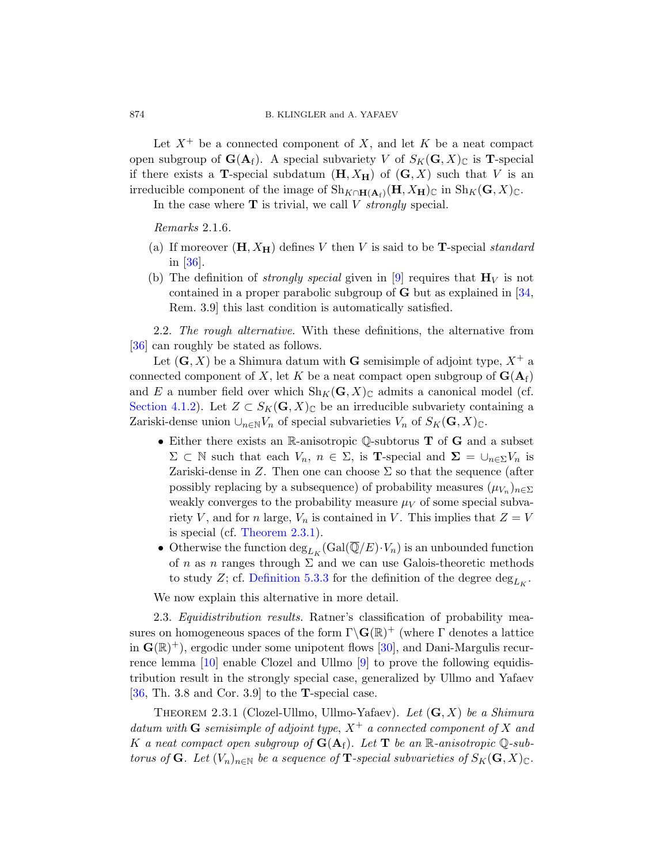Let  $X^+$  be a connected component of X, and let K be a neat compact open subgroup of  $\mathbf{G}(\mathbf{A}_f)$ . A special subvariety V of  $S_K(\mathbf{G}, X)_{\mathbb{C}}$  is **T**-special if there exists a **T**-special subdatum  $(H, X_H)$  of  $(G, X)$  such that V is an irreducible component of the image of  $\text{Sh}_{K\cap \mathbf{H}(\mathbf{A}_f)}(\mathbf{H}, X_{\mathbf{H}})_{\mathbb{C}}$  in  $\text{Sh}_K(\mathbf{G}, X)_{\mathbb{C}}$ .

In the case where  $T$  is trivial, we call  $V$  strongly special.

Remarks 2.1.6.

- (a) If moreover  $(H, X_H)$  defines V then V is said to be **T**-special *standard* in [\[36\]](#page-57-1).
- (b) The definition of *strongly special* given in [\[9\]](#page-55-4) requires that  $\mathbf{H}_V$  is not contained in a proper parabolic subgroup of  $G$  but as explained in [\[34,](#page-57-3)] Rem. 3.9] this last condition is automatically satisfied.

<span id="page-7-0"></span>2.2. The rough alternative. With these definitions, the alternative from [\[36\]](#page-57-1) can roughly be stated as follows.

Let  $(G, X)$  be a Shimura datum with G semisimple of adjoint type,  $X^+$  a connected component of X, let K be a neat compact open subgroup of  $\mathbf{G}(\mathbf{A}_f)$ and E a number field over which  $\text{Sh}_K(G, X)_{\mathbb{C}}$  admits a canonical model (cf. [Section 4.1.2\)](#page-18-0). Let  $Z \subset S_K(G,X)_{\mathbb{C}}$  be an irreducible subvariety containing a Zariski-dense union  $\cup_{n\in\mathbb{N}}V_n$  of special subvarieties  $V_n$  of  $S_K(\mathbf{G}, X)_{\mathbb{C}}$ .

- Either there exists an R-anisotropic Q-subtorus  $T$  of  $G$  and a subset  $\Sigma \subset \mathbb{N}$  such that each  $V_n$ ,  $n \in \Sigma$ , is **T**-special and  $\Sigma = \bigcup_{n \in \Sigma} V_n$  is Zariski-dense in Z. Then one can choose  $\Sigma$  so that the sequence (after possibly replacing by a subsequence) of probability measures  $(\mu_{V_n})_{n \in \Sigma}$ weakly converges to the probability measure  $\mu_V$  of some special subvariety V, and for n large,  $V_n$  is contained in V. This implies that  $Z = V$ is special (cf. [Theorem 2.3.1\)](#page-7-2).
- Otherwise the function  $\deg_{L_K}(\text{Gal}(\overline{\mathbb{Q}}/E)\cdot V_n)$  is an unbounded function of n as n ranges through  $\Sigma$  and we can use Galois-theoretic methods to study Z; cf. [Definition 5.3.3](#page-22-2) for the definition of the degree  $\deg_{L_K}$ .

We now explain this alternative in more detail.

<span id="page-7-1"></span>2.3. Equidistribution results. Ratner's classification of probability measures on homogeneous spaces of the form  $\Gamma \backslash \mathbf{G}(\mathbb{R})^+$  (where  $\Gamma$  denotes a lattice in  $\mathbf{G}(\mathbb{R})^+$ , ergodic under some unipotent flows [\[30\]](#page-57-5), and Dani-Margulis recurrence lemma [\[10\]](#page-55-5) enable Clozel and Ullmo [\[9\]](#page-55-4) to prove the following equidistribution result in the strongly special case, generalized by Ullmo and Yafaev  $[36, Th. 3.8 and Cor. 3.9]$  $[36, Th. 3.8 and Cor. 3.9]$  to the **T**-special case.

<span id="page-7-2"></span>THEOREM 2.3.1 (Clozel-Ullmo, Ullmo-Yafaev). Let  $(G, X)$  be a Shimura datum with **G** semisimple of adjoint type,  $X^+$  a connected component of X and K a neat compact open subgroup of  $G(A<sub>f</sub>)$ . Let **T** be an R-anisotropic Q-subtorus of **G**. Let  $(V_n)_{n\in\mathbb{N}}$  be a sequence of **T**-special subvarieties of  $S_K(\mathbf{G}, X)_{\mathbb{C}}$ .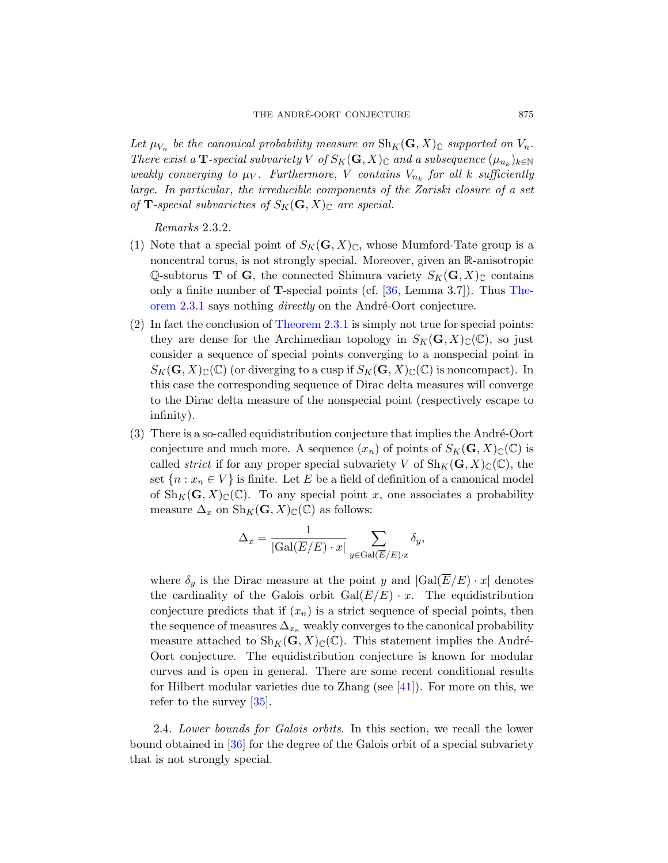Let  $\mu_{V_n}$  be the canonical probability measure on  $\text{Sh}_K(G,X)_{\mathbb{C}}$  supported on  $V_n$ . There exist a T-special subvariety V of  $S_K(G, X)_\mathbb{C}$  and a subsequence  $(\mu_{n_k})_{k \in \mathbb{N}}$ weakly converging to  $\mu_V$ . Furthermore, V contains  $V_{n_k}$  for all k sufficiently large. In particular, the irreducible components of the Zariski closure of a set of **T**-special subvarieties of  $S_K(G, X)_\mathbb{C}$  are special.

Remarks 2.3.2.

- (1) Note that a special point of  $S_K(G, X)_\mathbb{C}$ , whose Mumford-Tate group is a noncentral torus, is not strongly special. Moreover, given an R-anisotropic Q-subtorus **T** of **G**, the connected Shimura variety  $S_K(\mathbf{G}, X)_{\mathbb{C}}$  contains only a finite number of **T**-special points (cf.  $[36, \text{ Lemma } 3.7]$ ). Thus [The](#page-7-2)[orem 2.3.1](#page-7-2) says nothing *directly* on the André-Oort conjecture.
- (2) In fact the conclusion of [Theorem 2.3.1](#page-7-2) is simply not true for special points: they are dense for the Archimedian topology in  $S_K(G, X)_\mathbb{C}(\mathbb{C})$ , so just consider a sequence of special points converging to a nonspecial point in  $S_K(G, X)_\mathbb{C}(\mathbb{C})$  (or diverging to a cusp if  $S_K(G, X)_\mathbb{C}(\mathbb{C})$  is noncompact). In this case the corresponding sequence of Dirac delta measures will converge to the Dirac delta measure of the nonspecial point (respectively escape to infinity).
- $(3)$  There is a so-called equidistribution conjecture that implies the André-Oort conjecture and much more. A sequence  $(x_n)$  of points of  $S_K(\mathbf{G}, X)_{\mathbb{C}}(\mathbb{C})$  is called *strict* if for any proper special subvariety V of  $\text{Sh}_K(G, X)_{\mathbb{C}}(\mathbb{C})$ , the set  ${n : x_n \in V}$  is finite. Let E be a field of definition of a canonical model of  $\text{Sh}_K(G, X)_{\mathbb{C}}(\mathbb{C})$ . To any special point x, one associates a probability measure  $\Delta_x$  on  $\text{Sh}_K(G,X)_{\mathbb{C}}(\mathbb{C})$  as follows:

$$
\Delta_x = \frac{1}{|\text{Gal}(\overline{E}/E) \cdot x|} \sum_{y \in \text{Gal}(\overline{E}/E) \cdot x} \delta_y,
$$

where  $\delta_y$  is the Dirac measure at the point y and  $|Gal(\overline{E}/E) \cdot x|$  denotes the cardinality of the Galois orbit  $Gal(\overline{E}/E) \cdot x$ . The equidistribution conjecture predicts that if  $(x_n)$  is a strict sequence of special points, then the sequence of measures  $\Delta_{x_n}$  weakly converges to the canonical probability measure attached to  $\text{Sh}_K(G, X)_{\mathbb{C}}(\mathbb{C})$ . This statement implies the André-Oort conjecture. The equidistribution conjecture is known for modular curves and is open in general. There are some recent conditional results for Hilbert modular varieties due to Zhang (see [\[41\]](#page-58-1)). For more on this, we refer to the survey  $|35|$ .

<span id="page-8-0"></span>2.4. Lower bounds for Galois orbits. In this section, we recall the lower bound obtained in [\[36\]](#page-57-1) for the degree of the Galois orbit of a special subvariety that is not strongly special.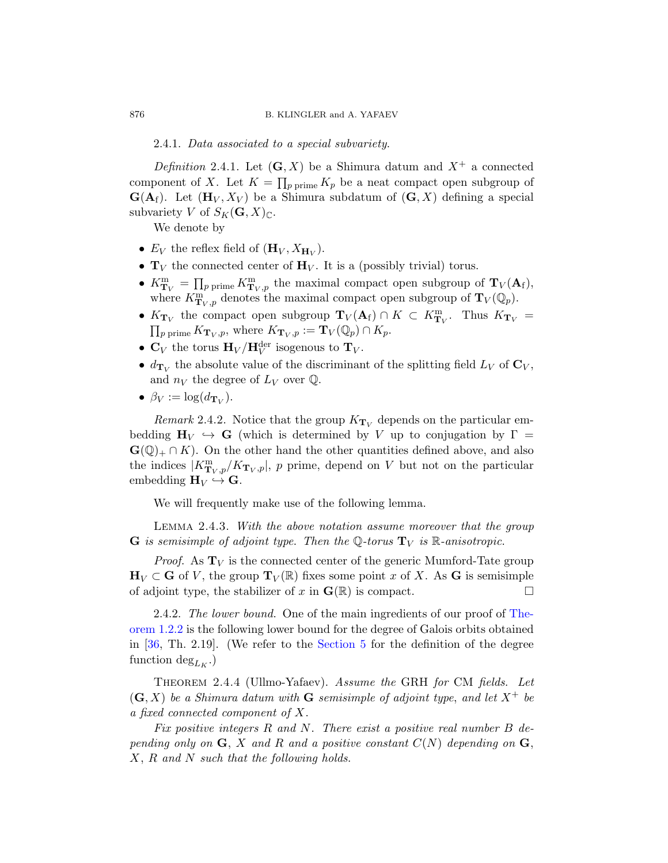# 2.4.1. Data associated to a special subvariety.

Definition 2.4.1. Let  $(G, X)$  be a Shimura datum and  $X^+$  a connected component of X. Let  $K = \prod_{p \text{ prime}} K_p$  be a neat compact open subgroup of  $\mathbf{G}(\mathbf{A}_f)$ . Let  $(\mathbf{H}_V, X_V)$  be a Shimura subdatum of  $(\mathbf{G}, X)$  defining a special subvariety V of  $S_K(G, X)_{\mathbb{C}}$ .

We denote by

- $E_V$  the reflex field of  $(\mathbf{H}_V, X_{\mathbf{H}_V})$ .
- $T_V$  the connected center of  $H_V$ . It is a (possibly trivial) torus.
- $K^{\text{m}}_{\mathbf{T}_V} = \prod_{p \text{ prime}} K^{\text{m}}_{\mathbf{T}_V, p}$  the maximal compact open subgroup of  $\mathbf{T}_V(\mathbf{A}_f)$ , where  $K^{\text{m}}_{\mathbf{T}_V, p}$  denotes the maximal compact open subgroup of  $\mathbf{T}_V(\mathbb{Q}_p)$ .
- $K_{\mathbf{T}_V}$  the compact open subgroup  $\mathbf{T}_V(\mathbf{A}_f) \cap K \subset K_{\mathbf{T}_V}^m$ Thus  $K_{\mathbf{T}_V}$  =  $\prod_{p \text{ prime}} K_{\mathbf{T}_V, p}$ , where  $K_{\mathbf{T}_V, p} := \mathbf{T}_V(\mathbb{Q}_p) \cap K_p$ .
- $\mathbf{C}_V$  the torus  $\mathbf{H}_V / \mathbf{H}_V^{\text{der}}$  isogenous to  $\mathbf{T}_V$ .
- $d_{\mathbf{T}_V}$  the absolute value of the discriminant of the splitting field  $L_V$  of  $\mathbf{C}_V$ , and  $n_V$  the degree of  $L_V$  over  $\mathbb{Q}$ .
- $\beta_V := \log(d_{\mathbf{T}_V}).$

<span id="page-9-1"></span>Remark 2.4.2. Notice that the group  $K_{\mathbf{T}_V}$  depends on the particular embedding  $H_V \hookrightarrow G$  (which is determined by V up to conjugation by  $\Gamma =$  $\mathbf{G}(\mathbb{Q})_+ \cap K$ ). On the other hand the other quantities defined above, and also the indices  $|K^{\text{m}}_{\mathbf{T}_V, p}/K_{\mathbf{T}_V, p}|$ , p prime, depend on V but not on the particular embedding  $H_V \hookrightarrow G$ .

We will frequently make use of the following lemma.

Lemma 2.4.3. With the above notation assume moreover that the group **G** is semisimple of adjoint type. Then the Q-torus  $T_V$  is R-anisotropic.

*Proof.* As  $T_V$  is the connected center of the generic Mumford-Tate group  $\mathbf{H}_V \subset \mathbf{G}$  of V, the group  $\mathbf{T}_V(\mathbb{R})$  fixes some point x of X. As G is semisimple of adjoint type, the stabilizer of x in  $\mathbf{G}(\mathbb{R})$  is compact.

2.4.2. The lower bound. One of the main ingredients of our proof of [The](#page-3-1)[orem 1.2.2](#page-3-1) is the following lower bound for the degree of Galois orbits obtained in [\[36,](#page-57-1) Th. 2.19]. (We refer to the [Section 5](#page-21-0) for the definition of the degree function  $deg_{L_K}$ .)

<span id="page-9-0"></span>Theorem 2.4.4 (Ullmo-Yafaev). Assume the GRH for CM fields. Let  $(G, X)$  be a Shimura datum with G semisimple of adjoint type, and let  $X^+$  be a fixed connected component of X.

Fix positive integers R and N. There exist a positive real number B depending only on  $\mathbf{G}, X$  and R and a positive constant  $C(N)$  depending on  $\mathbf{G},$ X, R and N such that the following holds.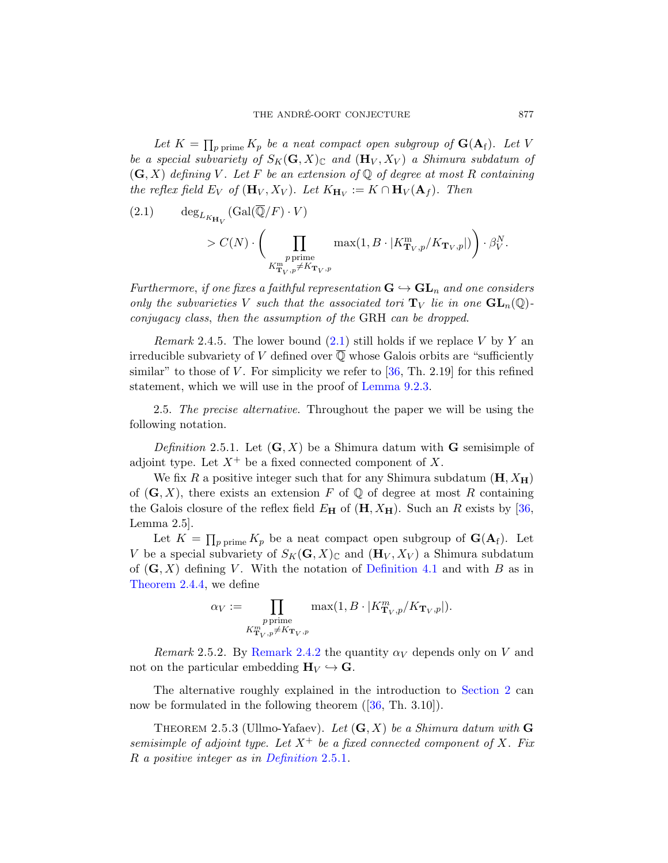Let  $K = \prod_{p \text{ prime}} K_p$  be a neat compact open subgroup of  $\mathbf{G}(\mathbf{A}_{\mathrm{f}})$ . Let V be a special subvariety of  $S_K(G, X)_\mathbb{C}$  and  $(\mathbf{H}_V, X_V)$  a Shimura subdatum of  $(G, X)$  defining V. Let F be an extension of Q of degree at most R containing the reflex field  $E_V$  of  $(\mathbf{H}_V, X_V)$ . Let  $K_{\mathbf{H}_V} := K \cap \mathbf{H}_V(\mathbf{A}_f)$ . Then

<span id="page-10-1"></span>(2.1) 
$$
\deg_{L_{K_{\mathbf{H}_V}}}(\text{Gal}(\overline{\mathbb{Q}}/F) \cdot V)
$$

$$
> C(N) \cdot \left(\prod_{\substack{p \text{ prime} \\ K_{\mathbf{T}_V, p}^m \neq K_{\mathbf{T}_V, p}}} \max(1, B \cdot |K_{\mathbf{T}_V, p}^m / K_{\mathbf{T}_V, p}|) \right) \cdot \beta_V^N.
$$

Furthermore, if one fixes a faithful representation  $\mathbf{G} \hookrightarrow \mathbf{GL}_n$  and one considers only the subvarieties V such that the associated tori  $T_V$  lie in one  $GL_n(\mathbb{Q})$ conjugacy class, then the assumption of the GRH can be dropped.

*Remark* 2.4.5. The lower bound  $(2.1)$  still holds if we replace V by Y an irreducible subvariety of V defined over  $\overline{Q}$  whose Galois orbits are "sufficiently similar" to those of  $V$ . For simplicity we refer to  $[36, Th. 2.19]$  for this refined statement, which we will use in the proof of [Lemma 9.2.3.](#page-47-0)

<span id="page-10-0"></span>2.5. The precise alternative. Throughout the paper we will be using the following notation.

<span id="page-10-2"></span>Definition 2.5.1. Let  $(G, X)$  be a Shimura datum with G semisimple of adjoint type. Let  $X^+$  be a fixed connected component of X.

We fix R a positive integer such that for any Shimura subdatum  $(H, X_H)$ of  $(G, X)$ , there exists an extension F of Q of degree at most R containing the Galois closure of the reflex field  $E_{\rm H}$  of  $({\rm H}, X_{\rm H})$ . Such an R exists by [\[36,](#page-57-1) Lemma 2.5].

Let  $K = \prod_{p \text{ prime}} K_p$  be a neat compact open subgroup of  $\mathbf{G}(\mathbf{A}_f)$ . Let V be a special subvariety of  $S_K(\mathbf{G}, X)_{\mathbb{C}}$  and  $(\mathbf{H}_V, X_V)$  a Shimura subdatum of  $(G, X)$  defining V. With the notation of [Definition 4.1](#page-17-1) and with B as in [Theorem 2.4.4,](#page-9-0) we define

$$
\alpha_V := \prod_{\substack{p \text{ prime} \\ K^m_{\mathbf{T}_V, p} \neq K_{\mathbf{T}_V, p}}} \max(1, B \cdot |K^m_{\mathbf{T}_V, p}/K_{\mathbf{T}_V, p}|).
$$

Remark 2.5.2. By [Remark 2.4.2](#page-9-1) the quantity  $\alpha_V$  depends only on V and not on the particular embedding  $H_V \hookrightarrow G$ .

The alternative roughly explained in the introduction to [Section 2](#page-5-3) can nowbe formulated in the following theorem ([\[36,](#page-57-1) Th. 3.10]).

<span id="page-10-3"></span>THEOREM 2.5.3 (Ullmo-Yafaev). Let  $(G, X)$  be a Shimura datum with G semisimple of adjoint type. Let  $X^+$  be a fixed connected component of X. Fix R a positive integer as in [Definition](#page-10-2) 2.5.1.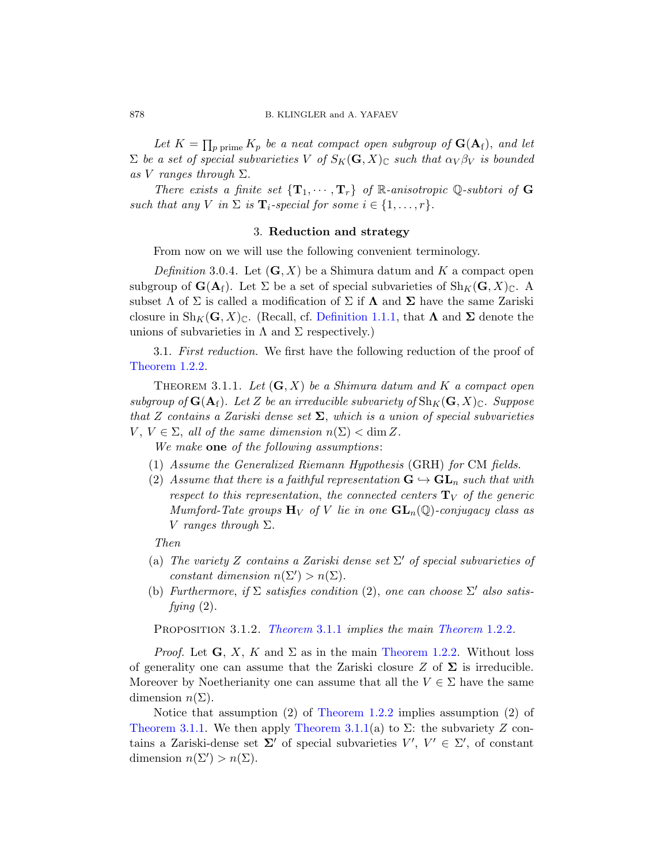Let  $K = \prod_{p \text{ prime}} K_p$  be a neat compact open subgroup of  $\mathbf{G}(\mathbf{A}_{\mathrm{f}})$ , and let  $\Sigma$  be a set of special subvarieties V of  $S_K(G, X)_\mathbb{C}$  such that  $\alpha_V \beta_V$  is bounded as V ranges through  $\Sigma$ .

There exists a finite set  $\{T_1, \cdots, T_r\}$  of R-anisotropic Q-subtori of G such that any V in  $\Sigma$  is  $\mathbf{T}_i$ -special for some  $i \in \{1, \ldots, r\}.$ 

## 3. Reduction and strategy

<span id="page-11-0"></span>From now on we will use the following convenient terminology.

Definition 3.0.4. Let  $(G, X)$  be a Shimura datum and K a compact open subgroup of  $\mathbf{G}(\mathbf{A}_f)$ . Let  $\Sigma$  be a set of special subvarieties of  $\mathrm{Sh}_K(\mathbf{G}, X)_{\mathbb{C}}$ . A subset  $\Lambda$  of  $\Sigma$  is called a modification of  $\Sigma$  if  $\Lambda$  and  $\Sigma$  have the same Zariski closure in  $\text{Sh}_K(\mathbf{G}, X)_{\mathbb{C}}$ . (Recall, cf. [Definition 1.1.1,](#page-3-4) that  $\Lambda$  and  $\Sigma$  denote the unions of subvarieties in  $\Lambda$  and  $\Sigma$  respectively.)

<span id="page-11-1"></span>3.1. First reduction. We first have the following reduction of the proof of [Theorem 1.2.2.](#page-3-1)

<span id="page-11-2"></span>THEOREM 3.1.1. Let  $(G, X)$  be a Shimura datum and K a compact open subgroup of  $\mathbf{G}(\mathbf{A}_f)$ . Let Z be an irreducible subvariety of  $\text{Sh}_K(\mathbf{G}, X)_{\mathbb{C}}$ . Suppose that Z contains a Zariski dense set  $\Sigma$ , which is a union of special subvarieties  $V, V \in \Sigma$ , all of the same dimension  $n(\Sigma) < \dim Z$ .

We make one of the following assumptions:

- (1) Assume the Generalized Riemann Hypothesis (GRH) for CM fields.
- (2) Assume that there is a faithful representation  $G \hookrightarrow GL_n$  such that with respect to this representation, the connected centers  $T_V$  of the generic Mumford-Tate groups  $H_V$  of V lie in one  $GL_n(\mathbb{Q})$ -conjugacy class as V ranges through  $\Sigma$ .

Then

- (a) The variety Z contains a Zariski dense set  $\Sigma'$  of special subvarieties of constant dimension  $n(\Sigma') > n(\Sigma)$ .
- (b) Furthermore, if  $\Sigma$  satisfies condition (2), one can choose  $\Sigma'$  also satisfying  $(2)$ .

PROPOSITION 3.1.2. [Theorem](#page-3-1) 3.1.1 implies the main Theorem 1.2.2.

*Proof.* Let  $G, X, K$  and  $\Sigma$  as in the main [Theorem 1.2.2.](#page-3-1) Without loss of generality one can assume that the Zariski closure Z of  $\Sigma$  is irreducible. Moreover by Noetherianity one can assume that all the  $V \in \Sigma$  have the same dimension  $n(\Sigma)$ .

Notice that assumption (2) of [Theorem 1.2.2](#page-3-1) implies assumption (2) of [Theorem 3.1.1.](#page-11-2) We then apply [Theorem 3.1.1\(](#page-11-2)a) to  $\Sigma$ : the subvariety Z contains a Zariski-dense set  $\Sigma'$  of special subvarieties  $V', V' \in \Sigma'$ , of constant dimension  $n(\Sigma') > n(\Sigma)$ .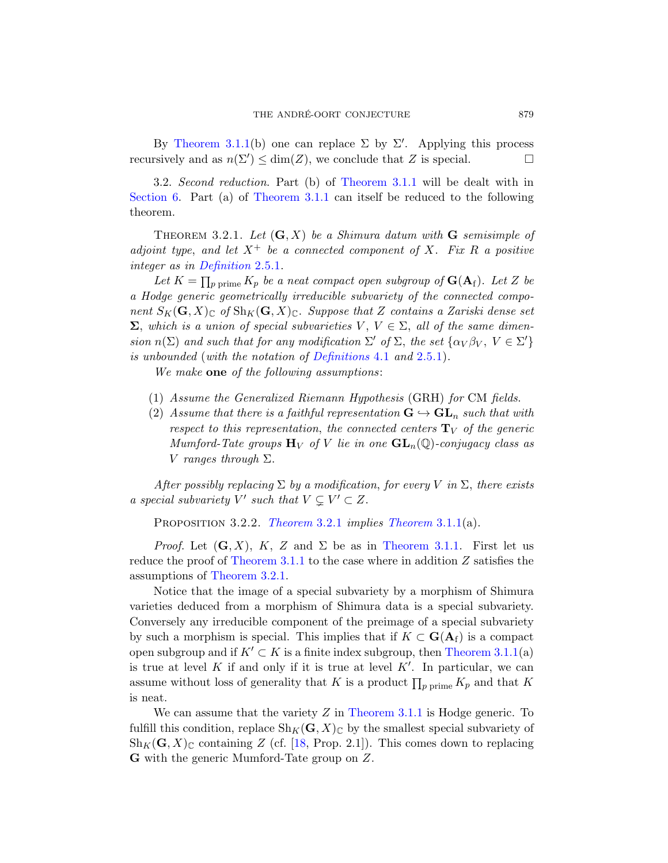By [Theorem 3.1.1\(](#page-11-2)b) one can replace  $\Sigma$  by  $\Sigma'$ . Applying this process recursively and as  $n(\Sigma') \le \dim(Z)$ , we conclude that Z is special.

<span id="page-12-0"></span>3.2. Second reduction. Part (b) of [Theorem 3.1.1](#page-11-2) will be dealt with in [Section 6.](#page-27-0) Part (a) of [Theorem 3.1.1](#page-11-2) can itself be reduced to the following theorem.

<span id="page-12-1"></span>THEOREM 3.2.1. Let  $(G, X)$  be a Shimura datum with G semisimple of adjoint type, and let  $X^+$  be a connected component of X. Fix R a positive integer as in [Definition](#page-10-2) 2.5.1.

Let  $K = \prod_{p \text{ prime}} K_p$  be a neat compact open subgroup of  $\mathbf{G}(\mathbf{A}_{\mathrm{f}})$ . Let Z be a Hodge generic geometrically irreducible subvariety of the connected component  $S_K(G, X)_\mathbb{C}$  of  $\text{Sh}_K(G, X)_\mathbb{C}$ . Suppose that Z contains a Zariski dense set  $\Sigma$ , which is a union of special subvarieties  $V, V \in \Sigma$ , all of the same dimension  $n(\Sigma)$  and such that for any modification  $\Sigma'$  of  $\Sigma$ , the set  $\{\alpha_V \beta_V, V \in \Sigma'\}$ is unbounded (with the notation of [Definitions](#page-17-1) 4.1 and [2.5.1\)](#page-10-2).

We make one of the following assumptions:

- (1) Assume the Generalized Riemann Hypothesis (GRH) for CM fields.
- (2) Assume that there is a faithful representation  $\mathbf{G} \hookrightarrow \mathbf{GL}_n$  such that with respect to this representation, the connected centers  $T_V$  of the generic Mumford-Tate groups  $\mathbf{H}_V$  of V lie in one  $\mathbf{GL}_n(\mathbb{Q})$ -conjugacy class as V ranges through  $\Sigma$ .

After possibly replacing  $\Sigma$  by a modification, for every V in  $\Sigma$ , there exists a special subvariety  $V'$  such that  $V \subsetneq V' \subset Z$ .

<span id="page-12-2"></span>PROPOSITION 3.2.2. [Theorem](#page-11-2) 3.2.1 implies Theorem 3.1.1(a).

*Proof.* Let  $(G, X)$ , K, Z and  $\Sigma$  be as in [Theorem 3.1.1.](#page-11-2) First let us reduce the proof of [Theorem 3.1.1](#page-11-2) to the case where in addition Z satisfies the assumptions of [Theorem 3.2.1.](#page-12-1)

Notice that the image of a special subvariety by a morphism of Shimura varieties deduced from a morphism of Shimura data is a special subvariety. Conversely any irreducible component of the preimage of a special subvariety by such a morphism is special. This implies that if  $K \subset G(\mathbf{A}_f)$  is a compact open subgroup and if  $K' \subset K$  is a finite index subgroup, then [Theorem 3.1.1\(](#page-11-2)a) is true at level K if and only if it is true at level  $K'$ . In particular, we can assume without loss of generality that K is a product  $\prod_{p \text{ prime}} K_p$  and that K is neat.

We can assume that the variety  $Z$  in [Theorem 3.1.1](#page-11-2) is Hodge generic. To fulfill this condition, replace  $\text{Sh}_K(G, X)_\mathbb{C}$  by the smallest special subvariety of  $\text{Sh}_K(\mathbf{G}, X)_{\mathbb{C}}$  containing Z (cf. [\[18,](#page-56-2) Prop. 2.1]). This comes down to replacing G with the generic Mumford-Tate group on Z.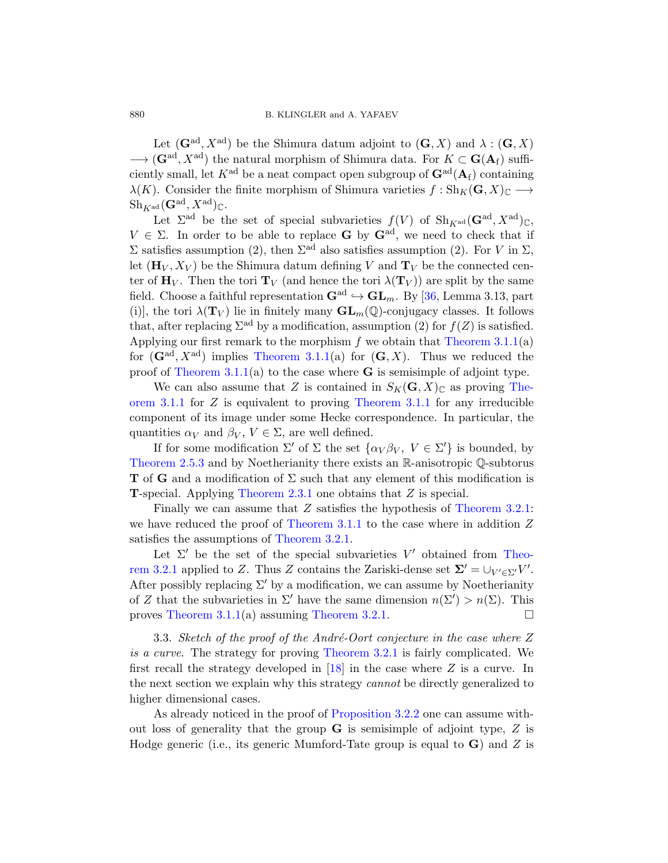Let  $(\mathbf{G}^{\text{ad}}, X^{\text{ad}})$  be the Shimura datum adjoint to  $(\mathbf{G}, X)$  and  $\lambda : (\mathbf{G}, X)$  $\longrightarrow (\mathbf{G}^{\mathrm{ad}}, X^{\mathrm{ad}})$  the natural morphism of Shimura data. For  $K \subset \mathbf{G}(\mathbf{A}_{\mathrm{f}})$  sufficiently small, let  $K^{\text{ad}}$  be a neat compact open subgroup of  $\mathbf{G}^{\text{ad}}(\mathbf{A}_{\text{f}})$  containing  $\lambda(K)$ . Consider the finite morphism of Shimura varieties  $f : Sh_K(G, X)_{\mathbb{C}} \longrightarrow$  $\text{Sh}_{K^{\text{ad}}}(\mathbf{G}^{\text{ad}}, X^{\text{ad}})_{\mathbb{C}}.$ 

Let  $\Sigma^{\text{ad}}$  be the set of special subvarieties  $f(V)$  of  $\text{Sh}_{K^{\text{ad}}}(\mathbf{G}^{\text{ad}}, X^{\text{ad}})_{\mathbb{C}},$  $V \in \Sigma$ . In order to be able to replace **G** by  $\mathbf{G}^{\text{ad}}$ , we need to check that if  $\Sigma$  satisfies assumption (2), then  $\Sigma^{\text{ad}}$  also satisfies assumption (2). For V in  $\Sigma$ , let  $(\mathbf{H}_V, X_V)$  be the Shimura datum defining V and  $\mathbf{T}_V$  be the connected center of  $\mathbf{H}_V$ . Then the tori  $\mathbf{T}_V$  (and hence the tori  $\lambda(\mathbf{T}_V)$ ) are split by the same field. Choose a faithful representation  $\mathbf{G}^{\text{ad}} \hookrightarrow \mathbf{GL}_m$ . By [\[36,](#page-57-1) Lemma 3.13, part (i)], the tori  $\lambda(\mathbf{T}_V)$  lie in finitely many  $\mathbf{GL}_m(\mathbb{Q})$ -conjugacy classes. It follows that, after replacing  $\Sigma^{\text{ad}}$  by a modification, assumption (2) for  $f(Z)$  is satisfied. Applying our first remark to the morphism  $f$  we obtain that [Theorem 3.1.1\(](#page-11-2)a) for  $(\mathbf{G}^{\text{ad}}, X^{\text{ad}})$  implies [Theorem 3.1.1\(](#page-11-2)a) for  $(\mathbf{G}, X)$ . Thus we reduced the proof of Theorem  $3.1.1(a)$  to the case where **G** is semisimple of adjoint type.

We can also assume that Z is contained in  $S_K(\mathbf{G}, X)_{\mathbb{C}}$  as proving [The](#page-11-2)[orem 3.1.1](#page-11-2) for Z is equivalent to proving [Theorem 3.1.1](#page-11-2) for any irreducible component of its image under some Hecke correspondence. In particular, the quantities  $\alpha_V$  and  $\beta_V$ ,  $V \in \Sigma$ , are well defined.

If for some modification  $\Sigma'$  of  $\Sigma$  the set  $\{\alpha_V \beta_V, V \in \Sigma'\}$  is bounded, by [Theorem 2.5.3](#page-10-3) and by Noetherianity there exists an R-anisotropic Q-subtorus **T** of **G** and a modification of  $\Sigma$  such that any element of this modification is T-special. Applying [Theorem 2.3.1](#page-7-2) one obtains that Z is special.

Finally we can assume that Z satisfies the hypothesis of [Theorem 3.2.1:](#page-12-1) we have reduced the proof of [Theorem 3.1.1](#page-11-2) to the case where in addition Z satisfies the assumptions of [Theorem 3.2.1.](#page-12-1)

Let  $\Sigma'$  be the set of the special subvarieties  $V'$  obtained from [Theo](#page-12-1)[rem 3.2.1](#page-12-1) applied to Z. Thus Z contains the Zariski-dense set  $\Sigma' = \cup_{V' \in \Sigma'} V'$ . After possibly replacing  $\Sigma'$  by a modification, we can assume by Noetherianity of Z that the subvarieties in  $\Sigma'$  have the same dimension  $n(\Sigma') > n(\Sigma)$ . This proves [Theorem 3.1.1\(](#page-11-2)a) assuming [Theorem 3.2.1.](#page-12-1)

<span id="page-13-0"></span>3.3. Sketch of the proof of the André-Oort conjecture in the case where  $Z$ is a curve. The strategy for proving [Theorem 3.2.1](#page-12-1) is fairly complicated. We first recall the strategy developed in  $[18]$  in the case where Z is a curve. In the next section we explain why this strategy *cannot* be directly generalized to higher dimensional cases.

As already noticed in the proof of [Proposition 3.2.2](#page-12-2) one can assume without loss of generality that the group  $\bf{G}$  is semisimple of adjoint type,  $Z$  is Hodge generic (i.e., its generic Mumford-Tate group is equal to  $\bf{G}$ ) and Z is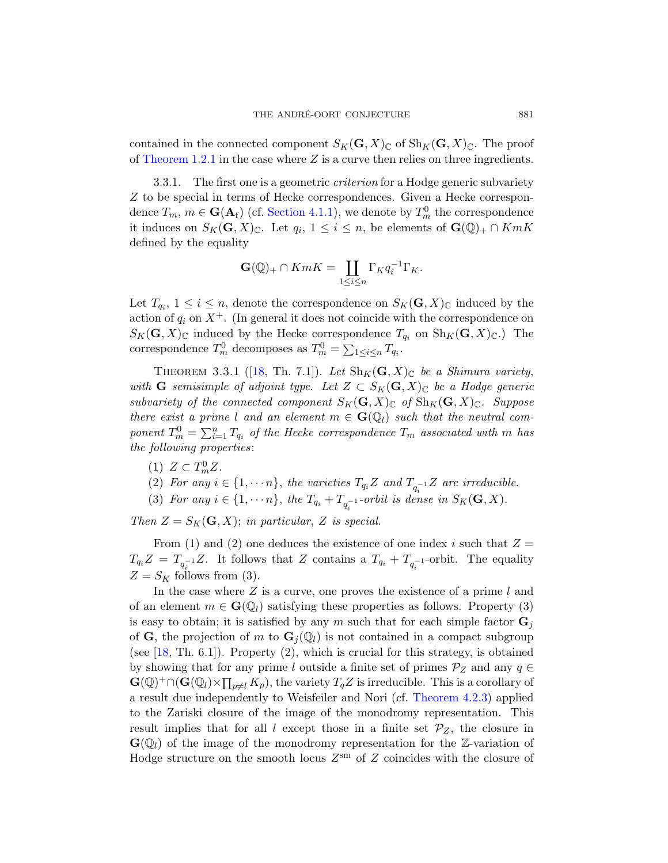contained in the connected component  $S_K(G, X)_\mathbb{C}$  of  $\text{Sh}_K(G, X)_\mathbb{C}$ . The proof of [Theorem 1.2.1](#page-3-2) in the case where  $Z$  is a curve then relies on three ingredients.

3.3.1. The first one is a geometric *criterion* for a Hodge generic subvariety Z to be special in terms of Hecke correspondences. Given a Hecke correspondence  $T_m$ ,  $m \in \mathbf{G}(\mathbf{A}_{\mathrm{f}})$  (cf. [Section 4.1.1\)](#page-17-2), we denote by  $T_m^0$  the correspondence it induces on  $S_K(\mathbf{G}, X)_{\mathbb{C}}$ . Let  $q_i, 1 \leq i \leq n$ , be elements of  $\mathbf{G}(\mathbb{Q})_+ \cap KmK$ defined by the equality

$$
\mathbf{G}(\mathbb{Q})_+ \cap KmK = \coprod_{1 \leq i \leq n} \Gamma_K q_i^{-1} \Gamma_K.
$$

Let  $T_{q_i}$ ,  $1 \leq i \leq n$ , denote the correspondence on  $S_K(\mathbf{G}, X)_{\mathbb{C}}$  induced by the action of  $q_i$  on  $X^+$ . (In general it does not coincide with the correspondence on  $S_K(\mathbf{G}, X)_{\mathbb{C}}$  induced by the Hecke correspondence  $T_{q_i}$  on  $\text{Sh}_K(\mathbf{G}, X)_{\mathbb{C}}$ .) The correspondence  $T_m^0$  decomposes as  $T_m^0 = \sum_{1 \leq i \leq n} T_{q_i}$ .

<span id="page-14-0"></span>THEOREM 3.3.1 ([\[18,](#page-56-2) Th. 7.1]). Let  $\text{Sh}_K(G, X)_\mathbb{C}$  be a Shimura variety, with **G** semisimple of adjoint type. Let  $Z \subset S_K(G,X)_{\mathbb{C}}$  be a Hodge generic subvariety of the connected component  $S_K(\mathbf{G}, X)_{\mathbb{C}}$  of  $\text{Sh}_K(\mathbf{G}, X)_{\mathbb{C}}$ . Suppose there exist a prime l and an element  $m \in \mathbf{G}(\mathbb{Q}_l)$  such that the neutral component  $T_m^0 = \sum_{i=1}^n T_{q_i}$  of the Hecke correspondence  $T_m$  associated with m has the following properties:

- (1)  $Z \subset T_m^0 Z$ .
- (2) For any  $i \in \{1, \dots n\}$ , the varieties  $T_{q_i}Z$  and  $T_{q_i^{-1}}Z$  are irreducible.
- (3) For any  $i \in \{1, \dots n\}$ , the  $T_{q_i} + T_{q_i^{-1}}$ -orbit is dense in  $S_K(\mathbf{G}, X)$ .

Then  $Z = S_K(G, X)$ ; in particular, Z is special.

From (1) and (2) one deduces the existence of one index i such that  $Z =$  $T_{q_i}Z = T_{q_i^{-1}}Z$ . It follows that Z contains a  $T_{q_i} + T_{q_i^{-1}}$ -orbit. The equality  $Z = S_K$  follows from (3).

In the case where  $Z$  is a curve, one proves the existence of a prime  $l$  and of an element  $m \in \mathbf{G}(\mathbb{Q}_l)$  satisfying these properties as follows. Property (3) is easy to obtain; it is satisfied by any m such that for each simple factor  $\mathbf{G}_i$ of G, the projection of m to  $\mathbf{G}_i(\mathbb{Q}_l)$  is not contained in a compact subgroup (see  $[18, Th. 6.1]$ ). Property  $(2)$ , which is crucial for this strategy, is obtained by showing that for any prime l outside a finite set of primes  $\mathcal{P}_Z$  and any  $q \in$  $\mathbf{G}(\mathbb{Q})^+\cap(\mathbf{G}(\mathbb{Q}_l)\times\prod_{p\neq l}K_p)$ , the variety  $T_qZ$  is irreducible. This is a corollary of a result due independently to Weisfeiler and Nori (cf. [Theorem 4.2.3\)](#page-21-2) applied to the Zariski closure of the image of the monodromy representation. This result implies that for all l except those in a finite set  $\mathcal{P}_Z$ , the closure in  $\mathbf{G}(\mathbb{Q}_l)$  of the image of the monodromy representation for the Z-variation of Hodge structure on the smooth locus  $Z^{\text{sm}}$  of Z coincides with the closure of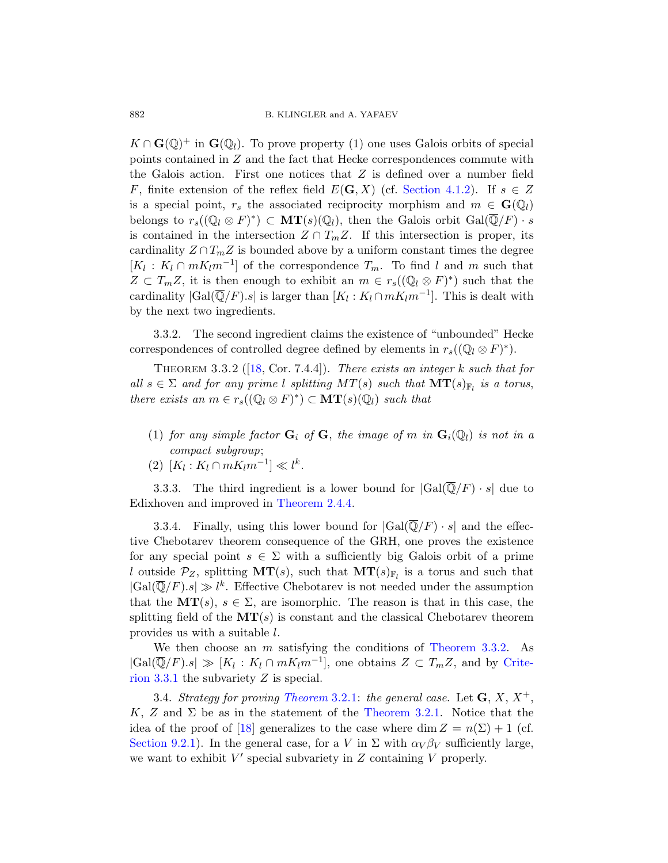$K \cap \mathbf{G}(\mathbb{Q})^+$  in  $\mathbf{G}(\mathbb{Q}_l)$ . To prove property (1) one uses Galois orbits of special points contained in Z and the fact that Hecke correspondences commute with the Galois action. First one notices that  $Z$  is defined over a number field F, finite extension of the reflex field  $E(G, X)$  (cf. [Section 4.1.2\)](#page-18-0). If  $s \in Z$ is a special point,  $r_s$  the associated reciprocity morphism and  $m \in \mathbf{G}(\mathbb{Q}_l)$ belongs to  $r_s((\mathbb{Q}_l \otimes F)^*) \subset \mathbf{MT}(s)(\mathbb{Q}_l)$ , then the Galois orbit  $Gal(\overline{\mathbb{Q}}/F) \cdot s$ is contained in the intersection  $Z \cap T_m Z$ . If this intersection is proper, its cardinality  $Z \cap T_m Z$  is bounded above by a uniform constant times the degree  $[K_l: K_l \cap mK_l m^{-1}]$  of the correspondence  $T_m$ . To find l and m such that  $Z \subset T_m Z$ , it is then enough to exhibit an  $m \in r_s((\mathbb{Q}_l \otimes F)^*)$  such that the cardinality  $|\text{Gal}(\overline{\mathbb{Q}}/F).s|$  is larger than  $[K_l: K_l \cap mK_l m^{-1}]$ . This is dealt with by the next two ingredients.

3.3.2. The second ingredient claims the existence of "unbounded" Hecke correspondences of controlled degree defined by elements in  $r_s((\mathbb{Q}_l \otimes F)^*)$ .

<span id="page-15-1"></span>THEOREM 3.3.2 ( $[18, \text{Cor. } 7.4.4]$  $[18, \text{Cor. } 7.4.4]$ ). There exists an integer k such that for all  $s \in \Sigma$  and for any prime l splitting  $MT(s)$  such that  $MT(s)_{\mathbb{F}_l}$  is a torus, there exists an  $m \in r_s((\mathbb{Q}_l \otimes F)^*) \subset \mathbf{MT}(s)(\mathbb{Q}_l)$  such that

- (1) for any simple factor  $\mathbf{G}_i$  of  $\mathbf{G}$ , the image of m in  $\mathbf{G}_i(\mathbb{Q}_l)$  is not in a compact subgroup;
- (2)  $[K_l : K_l \cap mK_l m^{-1}] \ll l^k$ .

3.3.3. The third ingredient is a lower bound for  $|Gal(\overline{Q}/F) \cdot s|$  due to Edixhoven and improved in [Theorem 2.4.4.](#page-9-0)

3.3.4. Finally, using this lower bound for  $|Gal(\overline{Q}/F) \cdot s|$  and the effective Chebotarev theorem consequence of the GRH, one proves the existence for any special point  $s \in \Sigma$  with a sufficiently big Galois orbit of a prime l outside  $\mathcal{P}_Z$ , splitting  $MT(s)$ , such that  $MT(s)_{\mathbb{F}_l}$  is a torus and such that  $|Gal(\overline{\mathbb{Q}}/F).s| \gg l^k$ . Effective Chebotarev is not needed under the assumption that the  $MT(s), s \in \Sigma$ , are isomorphic. The reason is that in this case, the splitting field of the  $MT(s)$  is constant and the classical Chebotarev theorem provides us with a suitable l.

We then choose an *m* satisfying the conditions of [Theorem 3.3.2.](#page-15-1) As  $|Gal(\overline{\mathbb{Q}}/F).s| \gg [K_l : K_l \cap mK_l m^{-1}],$  one obtains  $Z \subset T_m Z$ , and by [Crite](#page-14-0)[rion 3.3.1](#page-14-0) the subvariety Z is special.

<span id="page-15-0"></span>3.4. Strategy for proving [Theorem](#page-12-1) 3.2.1: the general case. Let  $\mathbf{G}, X, X^+$ , K, Z and  $\Sigma$  be as in the statement of the [Theorem 3.2.1.](#page-12-1) Notice that the idea of the proof of [\[18\]](#page-56-2) generalizes to the case where dim  $Z = n(\Sigma) + 1$  (cf. [Section 9.2.1\)](#page-44-1). In the general case, for a V in  $\Sigma$  with  $\alpha_V \beta_V$  sufficiently large, we want to exhibit  $V'$  special subvariety in  $Z$  containing  $V$  properly.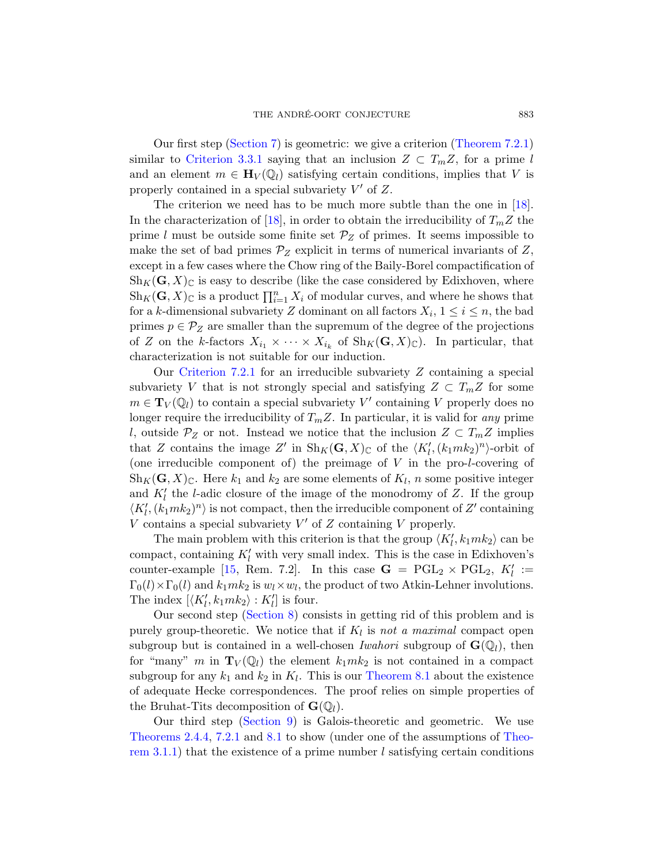Our first step [\(Section 7\)](#page-29-0) is geometric: we give a criterion [\(Theorem 7.2.1\)](#page-30-1) similar to [Criterion 3.3.1](#page-14-0) saying that an inclusion  $Z \subset T_m Z$ , for a prime l and an element  $m \in \mathbf{H}_V(\mathbb{Q}_l)$  satisfying certain conditions, implies that V is properly contained in a special subvariety  $V'$  of  $Z$ .

The criterion we need has to be much more subtle than the one in [\[18\]](#page-56-2). In the characterization of [\[18\]](#page-56-2), in order to obtain the irreducibility of  $T_m Z$  the prime l must be outside some finite set  $\mathcal{P}_Z$  of primes. It seems impossible to make the set of bad primes  $\mathcal{P}_Z$  explicit in terms of numerical invariants of Z, except in a few cases where the Chow ring of the Baily-Borel compactification of  $\text{Sh}_K(\mathbf{G}, X)_{\mathbb{C}}$  is easy to describe (like the case considered by Edixhoven, where  $\text{Sh}_K(G, X)_{\mathbb{C}}$  is a product  $\prod_{i=1}^n X_i$  of modular curves, and where he shows that for a k-dimensional subvariety Z dominant on all factors  $X_i$ ,  $1 \leq i \leq n$ , the bad primes  $p \in \mathcal{P}_Z$  are smaller than the supremum of the degree of the projections of Z on the k-factors  $X_{i_1} \times \cdots \times X_{i_k}$  of  $\text{Sh}_K(\mathbf{G}, X)_{\mathbb{C}}$ ). In particular, that characterization is not suitable for our induction.

Our Criterion  $7.2.1$  for an irreducible subvariety  $Z$  containing a special subvariety V that is not strongly special and satisfying  $Z \subset T_m Z$  for some  $m \in \mathbf{T}_V(\mathbb{Q}_l)$  to contain a special subvariety  $V'$  containing V properly does no longer require the irreducibility of  $T_mZ$ . In particular, it is valid for any prime l, outside  $P_Z$  or not. Instead we notice that the inclusion  $Z \subset T_m Z$  implies that Z contains the image Z' in  $\text{Sh}_K(G,X)_{\mathbb{C}}$  of the  $\langle K'_l, (k_1mk_2)^n \rangle$ -orbit of (one irreducible component of) the preimage of  $V$  in the pro-*l*-covering of  $\text{Sh}_K(\mathbf{G}, X)_{\mathbb{C}}$ . Here  $k_1$  and  $k_2$  are some elements of  $K_l$ , n some positive integer and  $K'_{l}$  the *l*-adic closure of the image of the monodromy of Z. If the group  $\langle K_l', (k_1mk_2)^n \rangle$  is not compact, then the irreducible component of  $Z'$  containing V contains a special subvariety  $V'$  of  $Z$  containing  $V$  properly.

The main problem with this criterion is that the group  $\langle K_l', k_1 m k_2 \rangle$  can be compact, containing  $K'_{l}$  with very small index. This is the case in Edixhoven's counter-example [\[15,](#page-56-4) Rem. 7.2]. In this case  $G = PGL_2 \times PGL_2$ ,  $K'_l :=$  $\Gamma_0(l) \times \Gamma_0(l)$  and  $k_1mk_2$  is  $w_l \times w_l$ , the product of two Atkin-Lehner involutions. The index  $[\langle K'_l, k_1mk_2 \rangle : K'_l]$  is four.

Our second step [\(Section 8\)](#page-36-0) consists in getting rid of this problem and is purely group-theoretic. We notice that if  $K_l$  is not a maximal compact open subgroup but is contained in a well-chosen *Iwahori* subgroup of  $\mathbf{G}(\mathbb{Q}_l)$ , then for "many" m in  $\mathbf{T}_V(\mathbb{Q}_l)$  the element  $k_1mk_2$  is not contained in a compact subgroup for any  $k_1$  and  $k_2$  in  $K_l$ . This is our [Theorem 8.1](#page-36-1) about the existence of adequate Hecke correspondences. The proof relies on simple properties of the Bruhat-Tits decomposition of  $\mathbf{G}(\mathbb{Q}_l)$ .

Our third step [\(Section 9\)](#page-43-0) is Galois-theoretic and geometric. We use [Theorems 2.4.4,](#page-9-0) [7.2.1](#page-30-1) and [8.1](#page-36-1) to show (under one of the assumptions of [Theo](#page-11-2)[rem 3.1.1\)](#page-11-2) that the existence of a prime number l satisfying certain conditions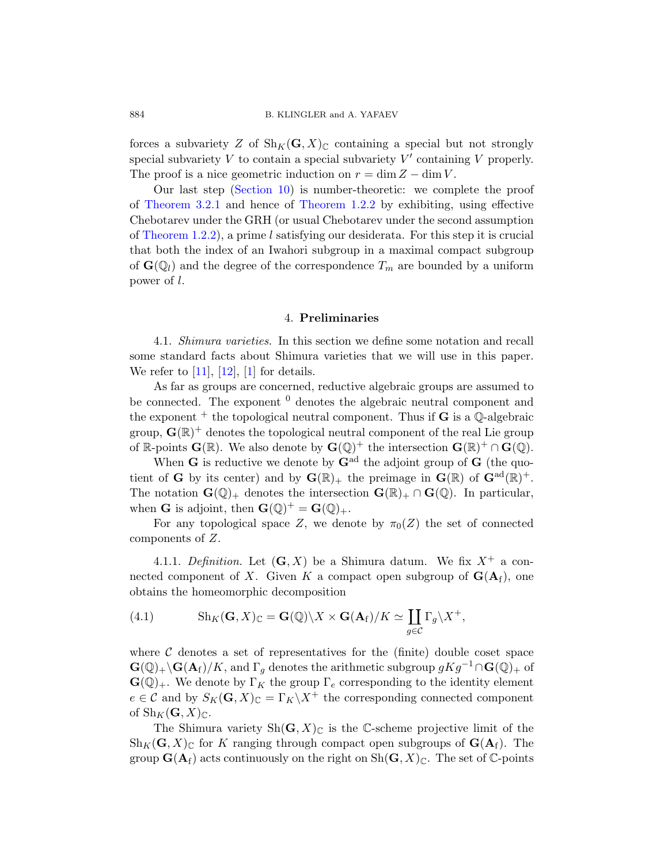forces a subvariety Z of  $\text{Sh}_K(G, X)_{\mathbb{C}}$  containing a special but not strongly special subvariety  $V$  to contain a special subvariety  $V'$  containing  $V$  properly. The proof is a nice geometric induction on  $r = \dim Z - \dim V$ .

Our last step [\(Section 10\)](#page-49-0) is number-theoretic: we complete the proof of [Theorem 3.2.1](#page-12-1) and hence of [Theorem 1.2.2](#page-3-1) by exhibiting, using effective Chebotarev under the GRH (or usual Chebotarev under the second assumption of [Theorem 1.2.2\)](#page-3-1), a prime l satisfying our desiderata. For this step it is crucial that both the index of an Iwahori subgroup in a maximal compact subgroup of  $\mathbf{G}(\mathbb{Q}_l)$  and the degree of the correspondence  $T_m$  are bounded by a uniform power of l.

### 4. Preliminaries

<span id="page-17-1"></span><span id="page-17-0"></span>4.1. Shimura varieties. In this section we define some notation and recall some standard facts about Shimura varieties that we will use in this paper. We refer to  $[11]$ ,  $[12]$ ,  $[1]$  for details.

As far as groups are concerned, reductive algebraic groups are assumed to be connected. The exponent  $\theta$  denotes the algebraic neutral component and the exponent  $+$  the topological neutral component. Thus if **G** is a  $\mathbb{Q}$ -algebraic group,  $\mathbf{G}(\mathbb{R})^+$  denotes the topological neutral component of the real Lie group of R-points  $\mathbf{G}(\mathbb{R})$ . We also denote by  $\mathbf{G}(\mathbb{Q})^+$  the intersection  $\mathbf{G}(\mathbb{R})^+ \cap \mathbf{G}(\mathbb{Q})$ .

When **G** is reductive we denote by  $\mathbf{G}^{\text{ad}}$  the adjoint group of **G** (the quotient of **G** by its center) and by  $\mathbf{G}(\mathbb{R})_+$  the preimage in  $\mathbf{G}(\mathbb{R})$  of  $\mathbf{G}^{\text{ad}}(\mathbb{R})^+$ . The notation  $\mathbf{G}(\mathbb{Q})_+$  denotes the intersection  $\mathbf{G}(\mathbb{R})_+ \cap \mathbf{G}(\mathbb{Q})$ . In particular, when **G** is adjoint, then  $\mathbf{G}(\mathbb{Q})^+ = \mathbf{G}(\mathbb{Q})_+$ .

For any topological space Z, we denote by  $\pi_0(Z)$  the set of connected components of Z.

<span id="page-17-2"></span>4.1.1. Definition. Let  $(G, X)$  be a Shimura datum. We fix  $X^+$  a connected component of X. Given K a compact open subgroup of  $\mathbf{G}(\mathbf{A}_f)$ , one obtains the homeomorphic decomposition

<span id="page-17-3"></span>(4.1) 
$$
\mathrm{Sh}_K(\mathbf{G}, X)_{\mathbb{C}} = \mathbf{G}(\mathbb{Q}) \backslash X \times \mathbf{G}(\mathbf{A}_f) / K \simeq \coprod_{g \in \mathcal{C}} \Gamma_g \backslash X^+,
$$

where  $\mathcal C$  denotes a set of representatives for the (finite) double coset space  $\mathbf{G}(\mathbb{Q})_+\backslash\mathbf{G}(\mathbf{A}_f)/K$ , and  $\Gamma_q$  denotes the arithmetic subgroup  $gKg^{-1}\cap\mathbf{G}(\mathbb{Q})_+$  of  $\mathbf{G}(\mathbb{Q})_+$ . We denote by  $\Gamma_K$  the group  $\Gamma_e$  corresponding to the identity element  $e \in \mathcal{C}$  and by  $S_K(\mathbf{G}, X)_{\mathbb{C}} = \Gamma_K \backslash X^+$  the corresponding connected component of  $\text{Sh}_K(G, X)_{\mathbb{C}}$ .

The Shimura variety  $\mathrm{Sh}(\mathbf{G},X)_{\mathbb{C}}$  is the C-scheme projective limit of the  $\text{Sh}_K(\mathbf{G}, X)_{\mathbb{C}}$  for K ranging through compact open subgroups of  $\mathbf{G}(\mathbf{A}_f)$ . The group  $\mathbf{G}(\mathbf{A}_f)$  acts continuously on the right on  $\mathrm{Sh}(\mathbf{G}, X)_{\mathbb{C}}$ . The set of  $\mathbb{C}$ -points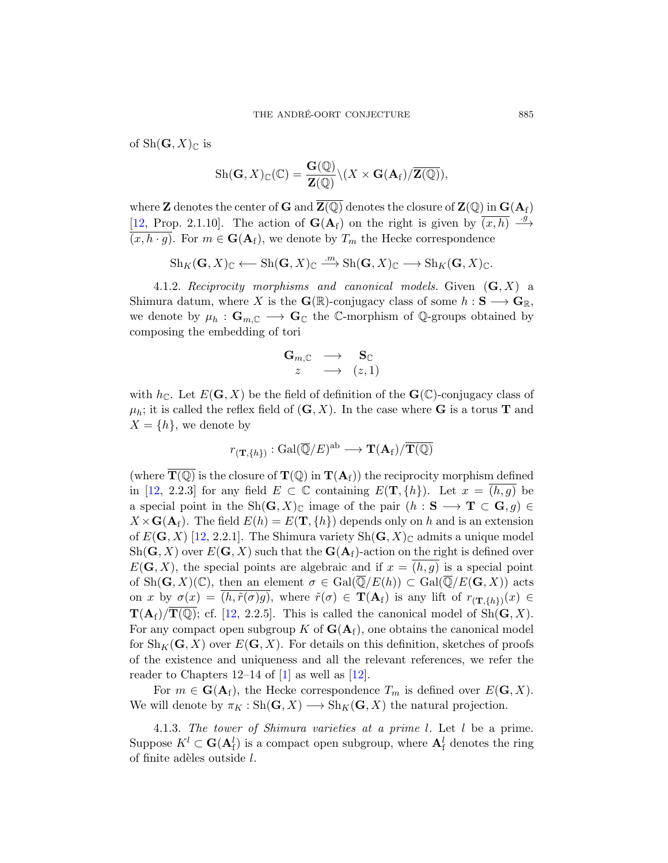of  $\text{Sh}(\mathbf{G}, X)_{\mathbb{C}}$  is

$$
\mathrm{Sh}(\mathbf{G},X)_{\mathbb{C}}(\mathbb{C})=\frac{\mathbf{G}(\mathbb{Q})}{\mathbf{Z}(\mathbb{Q})}\backslash (X\times\mathbf{G}(\mathbf{A}_{\mathrm{f}})/\overline{\mathbf{Z}(\mathbb{Q})}),
$$

where **Z** denotes the center of **G** and  $\overline{Z(\mathbb{Q})}$  denotes the closure of  $\mathbb{Z}(\mathbb{Q})$  in  $\mathbf{G}(\mathbf{A}_f)$ [\[12,](#page-56-0) Prop. 2.1.10]. The action of  $\mathbf{G}(\mathbf{A}_f)$  on the right is given by  $\overline{(x,h)} \xrightarrow{g}$  $(x, h \cdot g)$ . For  $m \in \mathbf{G}(\mathbf{A}_f)$ , we denote by  $T_m$  the Hecke correspondence

$$
Sh_K(\mathbf{G},X)_{\mathbb{C}} \longleftarrow Sh(\mathbf{G},X)_{\mathbb{C}} \xrightarrow{m} Sh(\mathbf{G},X)_{\mathbb{C}} \longrightarrow Sh_K(\mathbf{G},X)_{\mathbb{C}}.
$$

<span id="page-18-0"></span>4.1.2. Reciprocity morphisms and canonical models. Given  $(G, X)$  a Shimura datum, where X is the  $\mathbf{G}(\mathbb{R})$ -conjugacy class of some  $h: \mathbf{S} \longrightarrow \mathbf{G}_{\mathbb{R}},$ we denote by  $\mu_h : \mathbf{G}_{m,\mathbb{C}} \longrightarrow \mathbf{G}_{\mathbb{C}}$  the C-morphism of Q-groups obtained by composing the embedding of tori

$$
\begin{array}{ccc} \mathbf{G}_{m, \mathbb{C}} & \longrightarrow & \mathbf{S}_{\mathbb{C}} \\ z & \longrightarrow & (z, 1) \end{array}
$$

with  $h_{\mathbb{C}}$ . Let  $E(G, X)$  be the field of definition of the  $\mathbf{G}(\mathbb{C})$ -conjugacy class of  $\mu_h$ ; it is called the reflex field of  $(G, X)$ . In the case where G is a torus T and  $X = \{h\}$ , we denote by

$$
r_{(\mathbf{T},\{h\})}: \mathrm{Gal}(\overline{\mathbb{Q}}/E)^{\mathrm{ab}} \longrightarrow \mathbf{T}(\mathbf{A}_\mathrm{f})/\overline{\mathbf{T}(\mathbb{Q})}
$$

(where  $\mathbf{T}(\mathbb{Q})$  is the closure of  $\mathbf{T}(\mathbb{Q})$  in  $\mathbf{T}(\mathbf{A}_{f})$ ) the reciprocity morphism defined in [\[12,](#page-56-0) 2.2.3] for any field  $E \subset \mathbb{C}$  containing  $E(T, \{h\})$ . Let  $x = (h, g)$  be a special point in the Sh $(\mathbf{G}, X)_{\mathbb{C}}$  image of the pair  $(h : \mathbf{S} \longrightarrow \mathbf{T} \subset \mathbf{G}, g) \in$  $X \times G(\mathbf{A}_{f})$ . The field  $E(h) = E(\mathbf{T}, \{h\})$  depends only on h and is an extension of  $E(G, X)$  [\[12,](#page-56-0) 2.2.1]. The Shimura variety  $\text{Sh}(G, X)_{\mathbb{C}}$  admits a unique model  $\text{Sh}(\mathbf{G}, X)$  over  $E(\mathbf{G}, X)$  such that the  $\mathbf{G}(\mathbf{A}_f)$ -action on the right is defined over  $E(G, X)$ , the special points are algebraic and if  $x = (h, g)$  is a special point of  $\text{Sh}(\mathbf{G}, X)(\mathbb{C})$ , then an element  $\sigma \in \text{Gal}(\overline{\mathbb{Q}}/E(h)) \subset \text{Gal}(\overline{\mathbb{Q}}/E(\mathbf{G}, X))$  acts on x by  $\sigma(x) = (h, \tilde{r}(\sigma)g)$ , where  $\tilde{r}(\sigma) \in \mathbf{T}(\mathbf{A}_{f})$  is any lift of  $r_{(\mathbf{T},\{h\})}(x) \in$  $\mathbf{T}(\mathbf{A}_f)/\overline{\mathbf{T}(\mathbb{Q})}$ ; cf. [\[12,](#page-56-0) 2.2.5]. This is called the canonical model of Sh $(\mathbf{G}, X)$ . For any compact open subgroup K of  $G(A<sub>f</sub>)$ , one obtains the canonical model for  $\text{Sh}_K(G, X)$  over  $E(G, X)$ . For details on this definition, sketches of proofs of the existence and uniqueness and all the relevant references, we refer the reader to Chapters 12–14 of  $[1]$  as well as  $[12]$ .

For  $m \in \mathbf{G}(\mathbf{A}_f)$ , the Hecke correspondence  $T_m$  is defined over  $E(\mathbf{G}, X)$ . We will denote by  $\pi_K : \text{Sh}(\mathbf{G}, X) \longrightarrow \text{Sh}_K(\mathbf{G}, X)$  the natural projection.

4.1.3. The tower of Shimura varieties at a prime l. Let l be a prime. Suppose  $K^l \subset \mathbf{G}(\mathbf{A}^l_f)$  is a compact open subgroup, where  $\mathbf{A}^l_f$  denotes the ring of finite adèles outside  $l$ .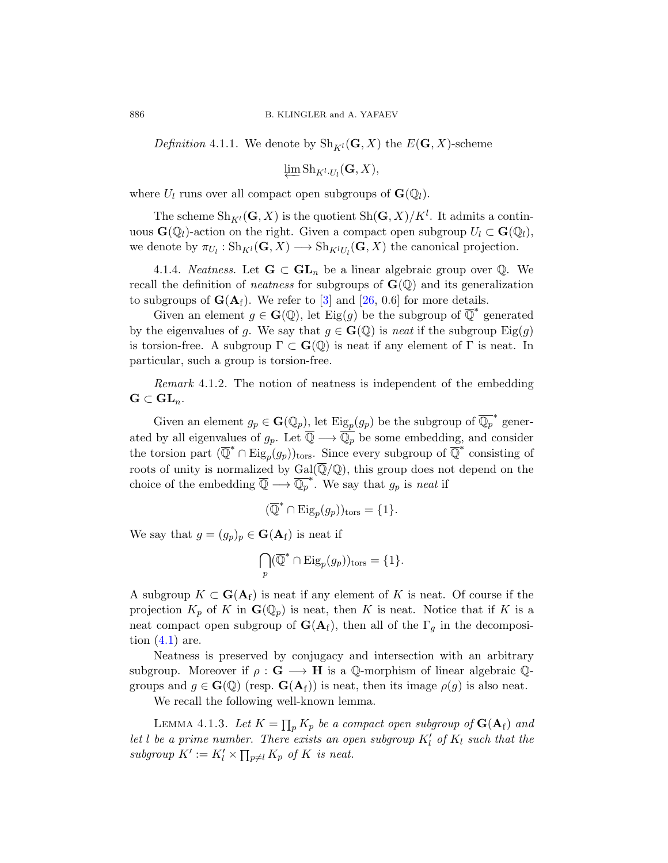<span id="page-19-0"></span>*Definition* 4.1.1. We denote by  $\text{Sh}_{K^l}(\mathbf{G}, X)$  the  $E(\mathbf{G}, X)$ -scheme

$$
\varprojlim \textnormal{Sh}_{K^l \cdot U_l}(\mathbf{G}, X),
$$

where  $U_l$  runs over all compact open subgroups of  $\mathbf{G}(\mathbb{Q}_l)$ .

The scheme  $\mathrm{Sh}_{K^l}(\mathbf{G},X)$  is the quotient  $\mathrm{Sh}(\mathbf{G},X)/K^l$ . It admits a continuous  $\mathbf{G}(\mathbb{Q}_l)$ -action on the right. Given a compact open subgroup  $U_l \subset \mathbf{G}(\mathbb{Q}_l)$ , we denote by  $\pi_{U_l} : \mathrm{Sh}_{K^l}(\mathbf{G}, X) \longrightarrow \mathrm{Sh}_{K^lU_l}(\mathbf{G}, X)$  the canonical projection.

4.1.4. *Neatness*. Let  $G \subset GL_n$  be a linear algebraic group over  $\mathbb{Q}$ . We recall the definition of *neatness* for subgroups of  $\mathbf{G}(\mathbb{Q})$  and its generalization to subgroups of  $G(A_f)$ . We refer to [\[3\]](#page-55-6) and [\[26,](#page-57-7) 0.6] for more details.

Given an element  $g \in \mathbf{G}(\mathbb{Q})$ , let Eig(g) be the subgroup of  $\overline{\mathbb{Q}}^*$  generated by the eigenvalues of g. We say that  $g \in \mathbf{G}(\mathbb{Q})$  is neat if the subgroup  $\text{Eig}(g)$ is torsion-free. A subgroup  $\Gamma \subset \mathbf{G}(\mathbb{Q})$  is neat if any element of  $\Gamma$  is neat. In particular, such a group is torsion-free.

Remark 4.1.2. The notion of neatness is independent of the embedding  $\mathbf{G} \subset \mathbf{GL}_n.$ 

Given an element  $g_p \in \mathbf{G}(\mathbb{Q}_p)$ , let  $\text{Eig}_p(g_p)$  be the subgroup of  $\overline{\mathbb{Q}_p}^*$  generated by all eigenvalues of  $g_p$ . Let  $\overline{\mathbb{Q}} \longrightarrow \overline{\mathbb{Q}_p}$  be some embedding, and consider the torsion part  $(\overline{\mathbb{Q}}^* \cap \text{Eig}_p(g_p))_{\text{tors}}$ . Since every subgroup of  $\overline{\mathbb{Q}}^*$  consisting of roots of unity is normalized by  $Gal(\overline{\mathbb{Q}}/\mathbb{Q})$ , this group does not depend on the choice of the embedding  $\overline{\mathbb{Q}} \longrightarrow \overline{\mathbb{Q}_p}^*$ . We say that  $g_p$  is neat if

 $(\overline{\mathbb{Q}}^* \cap \text{Eig}_p(g_p))_{\text{tors}} = \{1\}.$ 

We say that  $g = (g_p)_p \in \mathbf{G}(\mathbf{A}_f)$  is neat if

$$
\bigcap_p (\overline{\mathbb{Q}}^* \cap \text{Eig}_p(g_p))_{\text{tors}} = \{1\}.
$$

A subgroup  $K \subset \mathbf{G}(\mathbf{A}_{f})$  is neat if any element of K is neat. Of course if the projection  $K_p$  of K in  $\mathbf{G}(\mathbb{Q}_p)$  is neat, then K is neat. Notice that if K is a neat compact open subgroup of  $\mathbf{G}(\mathbf{A}_f)$ , then all of the  $\Gamma_g$  in the decomposition  $(4.1)$  are.

Neatness is preserved by conjugacy and intersection with an arbitrary subgroup. Moreover if  $\rho : G \longrightarrow H$  is a Q-morphism of linear algebraic Qgroups and  $g \in \mathbf{G}(\mathbb{Q})$  (resp.  $\mathbf{G}(\mathbf{A}_{f})$ ) is neat, then its image  $\rho(g)$  is also neat.

We recall the following well-known lemma.

LEMMA 4.1.3. Let  $K = \prod_p K_p$  be a compact open subgroup of  $\mathbf{G}(\mathbf{A}_f)$  and let l be a prime number. There exists an open subgroup  $K_l'$  of  $K_l$  such that the subgroup  $K' := K'_l \times \prod_{p \neq l} K_p$  of K is neat.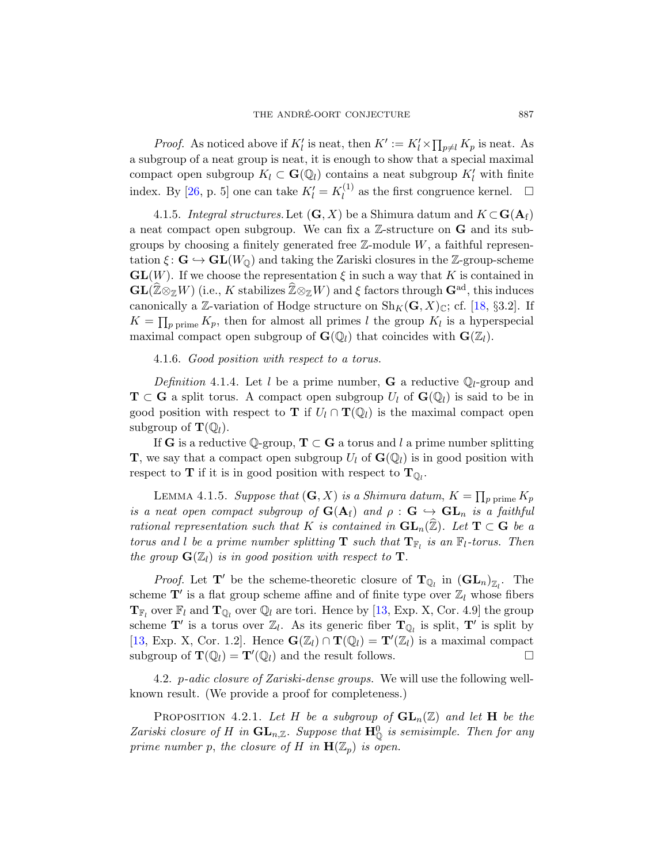*Proof.* As noticed above if  $K'_l$  is neat, then  $K' := K'_l \times \prod_{p \neq l} K_p$  is neat. As a subgroup of a neat group is neat, it is enough to show that a special maximal compact open subgroup  $K_l \subset \mathbf{G}(\mathbb{Q}_l)$  contains a neat subgroup  $K_l'$  with finite index. By [\[26,](#page-57-7) p. 5] one can take  $K'_l = K_l^{(1)}$  $\mathcal{L}_l^{(1)}$  as the first congruence kernel.  $\Box$ 

<span id="page-20-2"></span>4.1.5. Integral structures. Let  $(G, X)$  be a Shimura datum and  $K \subset G(\mathbf{A}_f)$ a neat compact open subgroup. We can fix a  $\mathbb Z$ -structure on  $G$  and its subgroups by choosing a finitely generated free  $\mathbb{Z}$ -module  $W$ , a faithful representation  $\xi : \mathbf{G} \hookrightarrow \mathbf{GL}(W_{\mathbb{Q}})$  and taking the Zariski closures in the Z-group-scheme  $GL(W)$ . If we choose the representation  $\xi$  in such a way that K is contained in  $\mathbf{GL}(\widehat{\mathbb{Z}}\otimes_{\mathbb{Z}}W)$  (i.e., K stabilizes  $\widehat{\mathbb{Z}}\otimes_{\mathbb{Z}}W$ ) and  $\xi$  factors through  $\mathbf{G}^{\text{ad}}$ , this induces canonically a Z-variation of Hodge structure on  $\text{Sh}_K(G, X)_{\mathbb{C}}$ ; cf. [\[18,](#page-56-2) §3.2]. If  $K = \prod_{p \text{ prime}} K_p$ , then for almost all primes l the group  $K_l$  is a hyperspecial maximal compact open subgroup of  $\mathbf{G}(\mathbb{Q}_l)$  that coincides with  $\mathbf{G}(\mathbb{Z}_l)$ .

<span id="page-20-3"></span>4.1.6. Good position with respect to a torus.

*Definition* 4.1.4. Let l be a prime number, **G** a reductive  $\mathbb{Q}_l$ -group and  $\mathbf{T} \subset \mathbf{G}$  a split torus. A compact open subgroup  $U_l$  of  $\mathbf{G}(\mathbb{Q}_l)$  is said to be in good position with respect to **T** if  $U_l \cap T(\mathbb{Q}_l)$  is the maximal compact open subgroup of  $\mathbf{T}(\mathbb{Q}_l)$ .

If G is a reductive Q-group,  $T \subset G$  a torus and l a prime number splitting **T**, we say that a compact open subgroup  $U_l$  of  $\mathbf{G}(\mathbb{Q}_l)$  is in good position with respect to **T** if it is in good position with respect to  $\mathbf{T}_{\mathbb{Q}_l}$ .

<span id="page-20-4"></span>LEMMA 4.1.5. Suppose that  $(G, X)$  is a Shimura datum,  $K = \prod_{p \text{ prime}} K_p$ is a neat open compact subgroup of  $G(A_f)$  and  $\rho : G \hookrightarrow GL_n$  is a faithful rational representation such that K is contained in  $\mathbf{GL}_n(\hat{\mathbb{Z}})$ . Let  $\mathbf{T} \subset \mathbf{G}$  be a torus and l be a prime number splitting **T** such that  $T_{\mathbb{F}_l}$  is an  $\mathbb{F}_l$ -torus. Then the group  $\mathbf{G}(\mathbb{Z}_l)$  is in good position with respect to **T**.

*Proof.* Let  $T'$  be the scheme-theoretic closure of  $T_{\mathbb{Q}_l}$  in  $(\mathbf{GL}_n)_{\mathbb{Z}_l}$ . The scheme  $\mathbf{T}'$  is a flat group scheme affine and of finite type over  $\mathbb{Z}_l$  whose fibers  $\mathbf{T}_{\mathbb{F}_l}$  over  $\mathbb{F}_l$  and  $\mathbf{T}_{\mathbb{Q}_l}$  over  $\mathbb{Q}_l$  are tori. Hence by [\[13,](#page-56-5) Exp. X, Cor. 4.9] the group scheme  $\mathbf{T}'$  is a torus over  $\mathbb{Z}_l$ . As its generic fiber  $\mathbf{T}_{\mathbb{Q}_l}$  is split,  $\mathbf{T}'$  is split by [\[13,](#page-56-5) Exp. X, Cor. 1.2]. Hence  $\mathbf{G}(\mathbb{Z}_l) \cap \mathbf{T}(\mathbb{Q}_l) = \mathbf{T}'(\mathbb{Z}_l)$  is a maximal compact subgroup of  $\mathbf{T}(\mathbb{Q}_l) = \mathbf{T}'(\mathbb{Q}_l)$  and the result follows.

<span id="page-20-0"></span>4.2. *p-adic closure of Zariski-dense groups*. We will use the following wellknown result. (We provide a proof for completeness.)

<span id="page-20-1"></span>PROPOSITION 4.2.1. Let H be a subgroup of  $GL_n(\mathbb{Z})$  and let H be the Zariski closure of H in  $\mathbf{GL}_{n,\mathbb{Z}}$ . Suppose that  $\mathbf{H}_{\mathbb{Q}}^{0}$  is semisimple. Then for any prime number p, the closure of H in  $\mathbf{H}(\mathbb{Z}_p)$  is open.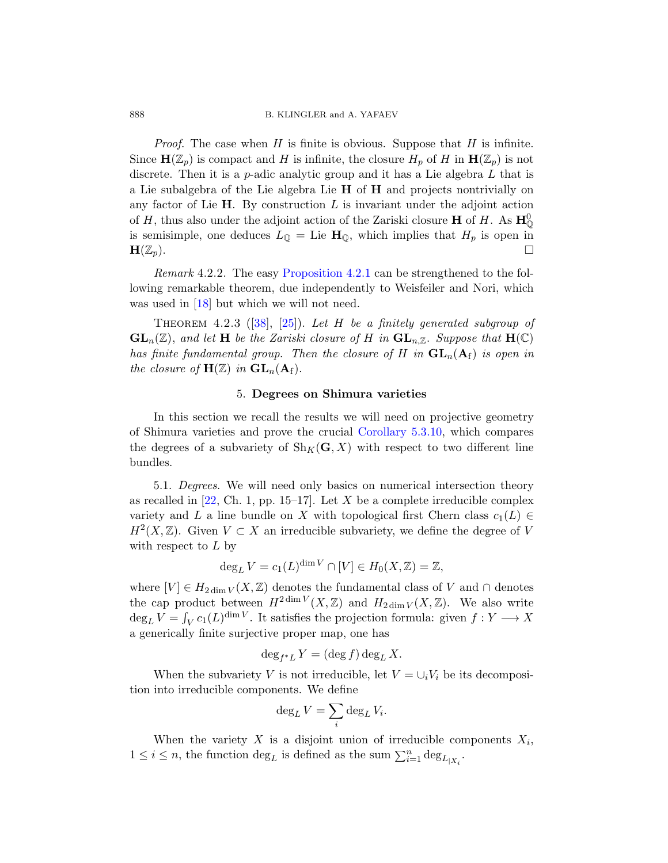*Proof.* The case when H is finite is obvious. Suppose that H is infinite. Since  $H(\mathbb{Z}_p)$  is compact and H is infinite, the closure  $H_p$  of H in  $H(\mathbb{Z}_p)$  is not discrete. Then it is a p-adic analytic group and it has a Lie algebra  $L$  that is a Lie subalgebra of the Lie algebra Lie  $H$  of  $H$  and projects nontrivially on any factor of Lie  $H$ . By construction  $L$  is invariant under the adjoint action of H, thus also under the adjoint action of the Zariski closure **H** of H. As  $\mathbf{H}_{\mathbb{Q}}^{0}$ is semisimple, one deduces  $L_{\mathbb{Q}} =$  Lie  $\mathbf{H}_{\mathbb{Q}}$ , which implies that  $H_p$  is open in  $\mathbf{H}(\mathbb{Z}_p).$ 

Remark 4.2.2. The easy [Proposition 4.2.1](#page-20-1) can be strengthened to the following remarkable theorem, due independently to Weisfeiler and Nori, which was used in [\[18\]](#page-56-2) but which we will not need.

<span id="page-21-2"></span>THEOREM 4.2.3 ([\[38\]](#page-57-8), [\[25\]](#page-56-6)). Let H be a finitely generated subgroup of  $GL_n(\mathbb{Z})$ , and let H be the Zariski closure of H in  $GL_{n,\mathbb{Z}}$ . Suppose that  $H(\mathbb{C})$ has finite fundamental group. Then the closure of H in  $GL_n(A_f)$  is open in the closure of  $\mathbf{H}(\mathbb{Z})$  in  $\mathbf{GL}_n(\mathbf{A}_f)$ .

# 5. Degrees on Shimura varieties

<span id="page-21-0"></span>In this section we recall the results we will need on projective geometry of Shimura varieties and prove the crucial [Corollary 5.3.10,](#page-27-1) which compares the degrees of a subvariety of  $\text{Sh}_K(G, X)$  with respect to two different line bundles.

<span id="page-21-1"></span>5.1. Degrees. We will need only basics on numerical intersection theory as recalled in  $[22, Ch. 1, pp. 15–17]$ . Let X be a complete irreducible complex variety and L a line bundle on X with topological first Chern class  $c_1(L) \in$  $H^2(X,\mathbb{Z})$ . Given  $V \subset X$  an irreducible subvariety, we define the degree of V with respect to  $L$  by

$$
\deg_L V = c_1(L)^{\dim V} \cap [V] \in H_0(X, \mathbb{Z}) = \mathbb{Z},
$$

where  $[V] \in H_{2\dim V}(X,\mathbb{Z})$  denotes the fundamental class of V and  $\cap$  denotes the cap product between  $H^{2\dim V}(X,\mathbb{Z})$  and  $H_{2\dim V}(X,\mathbb{Z})$ . We also write  $\deg_L V = \int_V c_1(L)^{\dim V}$ . It satisfies the projection formula: given  $f: Y \longrightarrow X$ a generically finite surjective proper map, one has

$$
\deg_{f^*L} Y = (\deg f) \deg_L X.
$$

When the subvariety V is not irreducible, let  $V = \bigcup_i V_i$  be its decomposition into irreducible components. We define

$$
\deg_L V = \sum_i \deg_L V_i.
$$

When the variety X is a disjoint union of irreducible components  $X_i$ ,  $1 \leq i \leq n$ , the function  $\deg_L$  is defined as the sum  $\sum_{i=1}^n \deg_{L_{|X_i}}$ .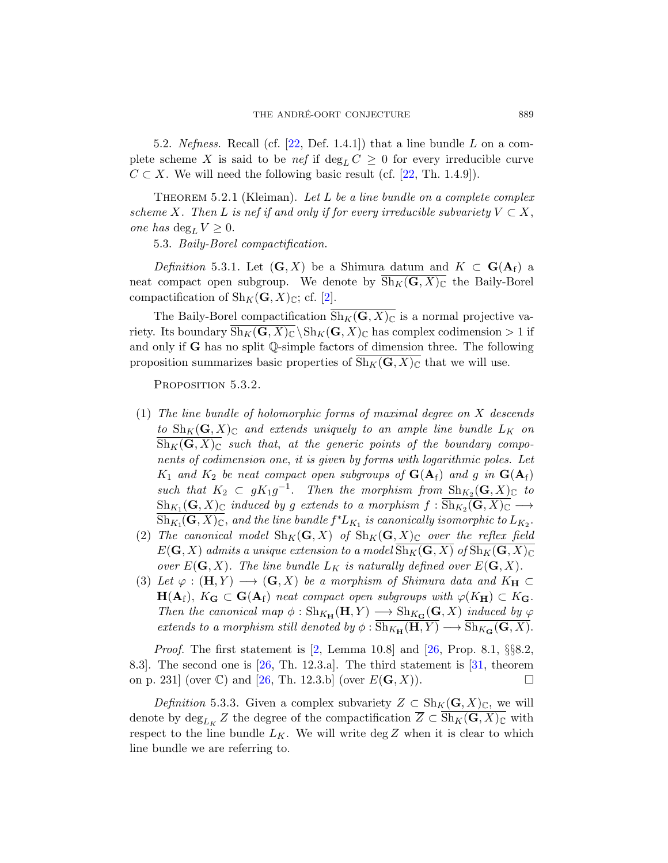<span id="page-22-0"></span>5.2. Nefness. Recall (cf.  $[22,$  Def. 1.4.1]) that a line bundle  $L$  on a complete scheme X is said to be nef if  $\deg_L C \geq 0$  for every irreducible curve  $C \subset X$ . We will need the following basic result (cf. [\[22,](#page-56-7) Th. 1.4.9]).

<span id="page-22-4"></span>THEOREM 5.2.1 (Kleiman). Let L be a line bundle on a complete complex scheme X. Then L is nef if and only if for every irreducible subvariety  $V \subset X$ , one has  $\deg_L V \geq 0$ .

<span id="page-22-1"></span>5.3. Baily-Borel compactification.

Definition 5.3.1. Let  $(G, X)$  be a Shimura datum and  $K \subset G(A_f)$  a neat compact open subgroup. We denote by  $\text{Sh}_K(G, X)_{\mathbb{C}}$  the Baily-Borel compactification of  $\text{Sh}_K(G, X)_{\mathbb{C}}$ ; cf. [\[2\]](#page-55-7).

The Baily-Borel compactification  $\overline{Sh_K(G, X)_\mathbb{C}}$  is a normal projective variety. Its boundary  $\overline{\text{Sh}_K(\mathbf{G}, X)_{\mathbb{C}}} \backslash \text{Sh}_K(\mathbf{G}, X)_{\mathbb{C}}$  has complex codimension  $> 1$  if and only if  $G$  has no split  $\mathbb Q$ -simple factors of dimension three. The following proposition summarizes basic properties of  $\text{Sh}_K(G, X)_{\mathbb{C}}$  that we will use.

<span id="page-22-3"></span>PROPOSITION 5.3.2.

- (1) The line bundle of holomorphic forms of maximal degree on X descends to  $\text{Sh}_K(G, X)_{\mathbb{C}}$  and extends uniquely to an ample line bundle  $L_K$  on  $\overline{\text{Sh}_{K}(G,X)_{\mathbb{C}}}$  such that, at the generic points of the boundary components of codimension one, it is given by forms with logarithmic poles. Let  $K_1$  and  $K_2$  be neat compact open subgroups of  $\mathbf{G}(\mathbf{A}_{\mathrm{f}})$  and g in  $\mathbf{G}(\mathbf{A}_{\mathrm{f}})$ such that  $K_2 \subset gK_1g^{-1}$ . Then the morphism from  $\text{Sh}_{K_2}(\mathbf{G},X)_{\mathbb{C}}$  to  $\text{Sh}_{K_1}(\mathbf{G}, X)_{\mathbb{C}}$  induced by g extends to a morphism  $f: \text{Sh}_{K_2}(\mathbf{G}, X)_{\mathbb{C}} \longrightarrow$  $\overline{{\operatorname{Sh}}_{K_1}(\mathbf{G},X)_{\mathbb{C}}},$  and the line bundle  $f^*L_{K_1}$  is canonically isomorphic to  $L_{K_2}.$
- (2) The canonical model  $\text{Sh}_K(G, X)$  of  $\text{Sh}_K(G, X)_{\mathbb{C}}$  over the reflex field  $E(G, X)$  admits a unique extension to a model  $\text{Sh}_K(G, X)$  of  $\text{Sh}_K(G, X)_{\mathbb{C}}$ over  $E(G, X)$ . The line bundle  $L_K$  is naturally defined over  $E(G, X)$ .
- (3) Let  $\varphi : (\mathbf{H}, Y) \longrightarrow (\mathbf{G}, X)$  be a morphism of Shimura data and  $K_{\mathbf{H}} \subset$  $H(A_f)$ ,  $K_G \subset G(A_f)$  neat compact open subgroups with  $\varphi(K_H) \subset K_G$ . Then the canonical map  $\phi : Sh_{K_{\mathbf{H}}}(\mathbf{H}, Y) \longrightarrow Sh_{K_{\mathbf{G}}}(\mathbf{G}, X)$  induced by  $\varphi$ extends to a morphism still denoted by  $\phi : \overline{\text{Sh}_{K_{\mathbf{H}}}(\mathbf{H}, Y)} \longrightarrow \overline{\text{Sh}_{K_{\mathbf{G}}}(\mathbf{G}, X)}$ .

*Proof.* The first statement is  $[2, \text{ Lemma } 10.8]$  and  $[26, \text{ Prop. } 8.1, \S_{38}^{8}.2, \S_{40}^{8}]$ 8.3. The second one is  $[26, Th. 12.3.a]$ . The third statement is  $[31,$  theorem on p. 231] (over  $\mathbb{C}$ ) and [\[26,](#page-57-7) Th. 12.3.b] (over  $E(G, X)$ ).

<span id="page-22-2"></span>*Definition* 5.3.3. Given a complex subvariety  $Z \subset Sh_K(G,X)_{\mathbb{C}}$ , we will denote by  $\deg_{L_K} Z$  the degree of the compactification  $Z \subset \mathrm{Sh}_K(G,X)_{\mathbb{C}}$  with respect to the line bundle  $L_K$ . We will write deg Z when it is clear to which line bundle we are referring to.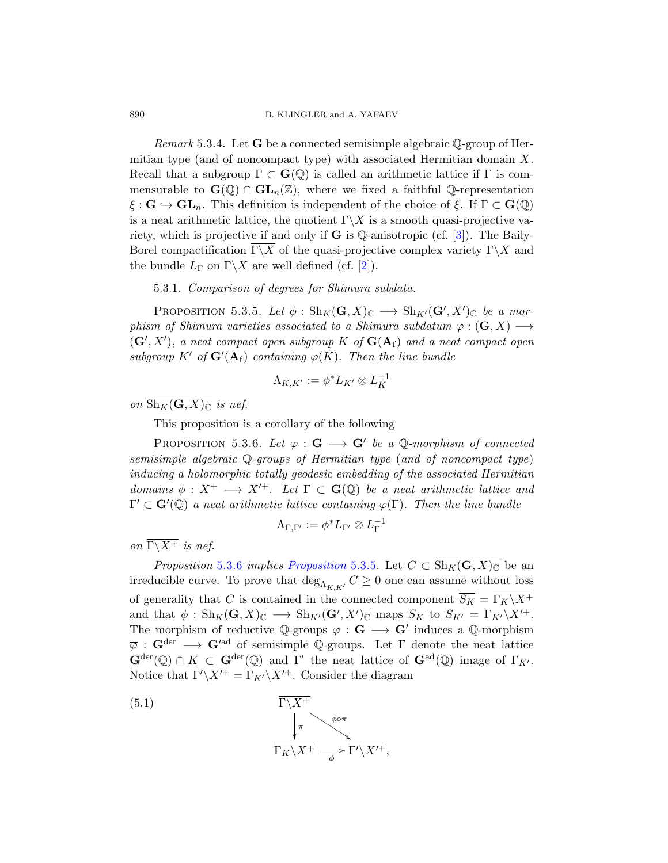*Remark* 5.3.4. Let **G** be a connected semisimple algebraic  $\mathbb{Q}$ -group of Hermitian type (and of noncompact type) with associated Hermitian domain  $X$ . Recall that a subgroup  $\Gamma \subset \mathbf{G}(\mathbb{Q})$  is called an arithmetic lattice if  $\Gamma$  is commensurable to  $\mathbf{G}(\mathbb{Q}) \cap \mathbf{GL}_n(\mathbb{Z})$ , where we fixed a faithful Q-representation  $\xi : \mathbf{G} \hookrightarrow \mathbf{GL}_n$ . This definition is independent of the choice of  $\xi$ . If  $\Gamma \subset \mathbf{G}(\mathbb{Q})$ is a neat arithmetic lattice, the quotient  $\Gamma \backslash X$  is a smooth quasi-projective variety, which is projective if and only if  $G$  is  $\mathbb Q$ -anisotropic (cf. [\[3\]](#page-55-6)). The Baily-Borel compactification  $\overline{\Gamma \backslash X}$  of the quasi-projective complex variety  $\Gamma \backslash X$  and the bundle  $L_{\Gamma}$  on  $\overline{\Gamma \backslash X}$  are well defined (cf. [\[2\]](#page-55-7)).

# 5.3.1. Comparison of degrees for Shimura subdata.

<span id="page-23-1"></span>PROPOSITION 5.3.5. Let  $\phi: Sh_K(G,X)_{\mathbb{C}} \longrightarrow Sh_{K'}(G',X')_{\mathbb{C}}$  be a morphism of Shimura varieties associated to a Shimura subdatum  $\varphi : (\mathbf{G}, X) \longrightarrow$  $(\mathbf{G}', X')$ , a neat compact open subgroup K of  $\mathbf{G}(\mathbf{A}_{\mathrm{f}})$  and a neat compact open subgroup K' of  $G'(A_f)$  containing  $\varphi(K)$ . Then the line bundle

$$
\Lambda_{K,K'}:=\phi^*L_{K'}\otimes L_K^{-1}
$$

on  $\overline{\text{Sh}_K(\mathbf{G}, X)_{\mathbb{C}}}$  is nef.

This proposition is a corollary of the following

<span id="page-23-0"></span>PROPOSITION 5.3.6. Let  $\varphi : \mathbf{G} \longrightarrow \mathbf{G}'$  be a Q-morphism of connected semisimple algebraic Q-groups of Hermitian type (and of noncompact type) inducing a holomorphic totally geodesic embedding of the associated Hermitian domains  $\phi: X^+ \longrightarrow X'^+$ . Let  $\Gamma \subset \mathbf{G}(\mathbb{Q})$  be a neat arithmetic lattice and  $\Gamma' \subset \mathbf{G}'(\mathbb{Q})$  a neat arithmetic lattice containing  $\varphi(\Gamma)$ . Then the line bundle

$$
\Lambda_{\Gamma,\Gamma'}:=\phi^*L_{\Gamma'}\otimes L_{\Gamma}^{-1}
$$

on  $\overline{\Gamma \backslash X^+}$  is nef.

*[Proposition](#page-23-1)* [5.3.6](#page-23-0) *implies Proposition* 5.3.5. Let  $C \subset \overline{Sh_K(G,X)_\mathbb{C}}$  be an irreducible curve. To prove that  $\deg_{\Lambda_{K,K'}} C \geq 0$  one can assume without loss of generality that C is contained in the connected component  $\overline{S_K} = \overline{\Gamma_K \backslash X^+}$ and that  $\phi$  :  $\overline{\text{Sh}_K(\mathbf{G},X)_{\mathbb{C}}} \longrightarrow \overline{\text{Sh}_{K'}(\mathbf{G}',X')_{\mathbb{C}}}$  maps  $\overline{S_K}$  to  $\overline{S_{K'}} = \overline{\Gamma_{K'}\backslash X'^{+}}$ . The morphism of reductive Q-groups  $\varphi : \mathbf{G} \longrightarrow \mathbf{G}'$  induces a Q-morphism  $\overline{\varphi}: \mathbf{G}^{\text{der}} \longrightarrow \mathbf{G}'^{\text{ad}}$  of semisimple Q-groups. Let  $\Gamma$  denote the neat lattice  $\mathbf{G}^{\text{der}}(\mathbb{Q}) \cap K \subset \mathbf{G}^{\text{der}}(\mathbb{Q})$  and  $\Gamma'$  the neat lattice of  $\mathbf{G}^{\text{ad}}(\mathbb{Q})$  image of  $\Gamma_{K'}$ . Notice that  $\Gamma'\backslash X'^+ = \Gamma_{K'}\backslash X'^+$ . Consider the diagram

(5.1) 
$$
\frac{\Gamma \backslash X^+}{\Gamma_K \backslash X^+} \longrightarrow^{\phi \circ \pi} \frac{\Gamma \backslash X'^+}{\Gamma_K \backslash X'^+},
$$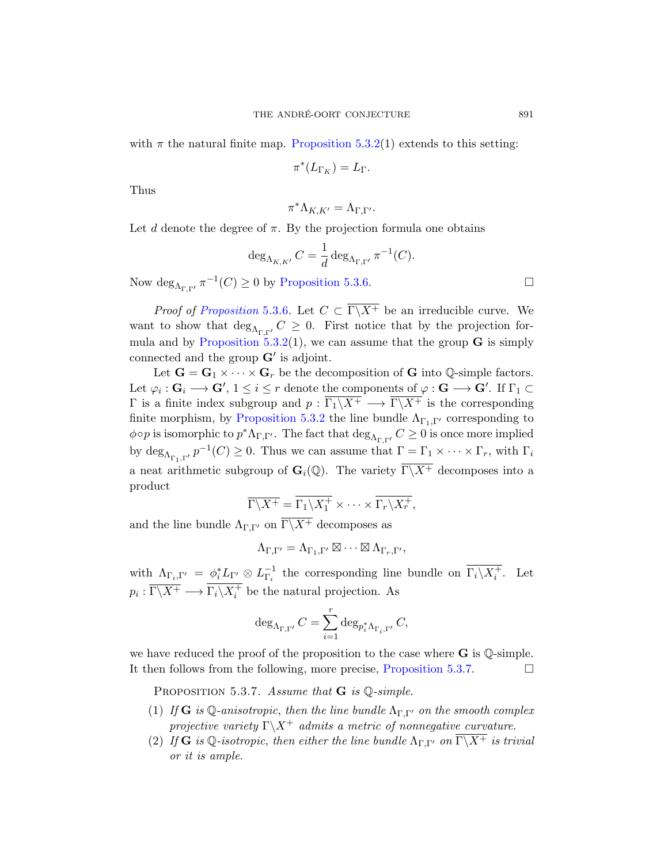with  $\pi$  the natural finite map. [Proposition 5.3.2\(](#page-22-3)1) extends to this setting:

$$
\pi^*(L_{\Gamma_K}) = L_{\Gamma}.
$$

Thus

 $\pi^* \Lambda_{K,K'} = \Lambda_{\Gamma,\Gamma'}.$ 

Let d denote the degree of  $\pi$ . By the projection formula one obtains

$$
\deg_{\Lambda_{K,K'}} C = \frac{1}{d} \deg_{\Lambda_{\Gamma,\Gamma'}} \pi^{-1}(C).
$$

Now  $\deg_{\Lambda_{\Gamma,\Gamma'}} \pi^{-1}(C) \geq 0$  by [Proposition 5.3.6.](#page-23-0)

*Proof of [Proposition](#page-23-0)* 5.3.6. Let  $C \subset \overline{\Gamma \backslash X^+}$  be an irreducible curve. We want to show that  $\deg_{\Lambda_{\Gamma,\Gamma'}} C \geq 0$ . First notice that by the projection for-mula and by [Proposition 5.3.2\(](#page-22-3)1), we can assume that the group  $\bf{G}$  is simply connected and the group  $G'$  is adjoint.

Let  $G = G_1 \times \cdots \times G_r$  be the decomposition of G into Q-simple factors. Let  $\varphi_i: \mathbf{G}_i \longrightarrow \mathbf{G}', 1 \leq i \leq r$  denote the components of  $\varphi: \mathbf{G} \longrightarrow \mathbf{G}'.$  If  $\Gamma_1 \subset$  $Γ$  is a finite index subgroup and  $p : \overline{\Gamma_1 \backslash X^+} \longrightarrow \overline{\Gamma_1 \backslash X^+}$  is the corresponding finite morphism, by [Proposition 5.3.2](#page-22-3) the line bundle  $\Lambda_{\Gamma_1,\Gamma'}$  corresponding to  $\phi \circ p$  is isomorphic to  $p^* \Lambda_{\Gamma,\Gamma'}$ . The fact that  $\deg_{\Lambda_{\Gamma,\Gamma'}} C \geq 0$  is once more implied by  $\deg_{\Lambda_{\Gamma_1,\Gamma'}} p^{-1}(C) \geq 0$ . Thus we can assume that  $\Gamma = \Gamma_1 \times \cdots \times \Gamma_r$ , with  $\Gamma_i$ a neat arithmetic subgroup of  $\mathbf{G}_i(\mathbb{Q})$ . The variety  $\overline{\Gamma\setminus X^+}$  decomposes into a product

$$
\overline{\Gamma \backslash X^+} = \overline{\Gamma_1 \backslash X_1^+} \times \cdots \times \overline{\Gamma_r \backslash X_r^+},
$$

and the line bundle  $\Lambda_{\Gamma,\Gamma'}$  on  $\Gamma\backslash\overline{X^+}$  decomposes as

 $\Lambda_{\Gamma,\Gamma'} = \Lambda_{\Gamma_1,\Gamma'} \boxtimes \cdots \boxtimes \Lambda_{\Gamma_r,\Gamma'},$ 

with  $\Lambda_{\Gamma_i,\Gamma'} = \phi_i^* L_{\Gamma'} \otimes L_{\Gamma_i}^{-1}$  the corresponding line bundle on  $\overline{\Gamma_i \setminus X_i^+}$ . Let  $p_i: \overline{\Gamma \backslash X^+} \longrightarrow \overline{\Gamma_i \backslash X_i^+}$  be the natural projection. As

$$
\deg_{\Lambda_{\Gamma,\Gamma'}}C=\sum_{i=1}^r\deg_{p_i^*\Lambda_{\Gamma_i,\Gamma'}}C,
$$

we have reduced the proof of the proposition to the case where  $G$  is  $\mathbb Q$ -simple. It then follows from the following, more precise, [Proposition 5.3.7.](#page-24-0)  $\Box$ 

<span id="page-24-0"></span>PROPOSITION 5.3.7. Assume that  $G$  is  $\mathbb{Q}\text{-simple}$ .

- (1) If  $\bf{G}$  is Q-anisotropic, then the line bundle  $\Lambda_{\Gamma,\Gamma}$  on the smooth complex projective variety  $\Gamma \backslash X^+$  admits a metric of nonnegative curvature.
- (2) If G is Q-isotropic, then either the line bundle  $\Lambda_{\Gamma,\Gamma'}$  on  $\overline{\Gamma\backslash X^+}$  is trivial or it is ample.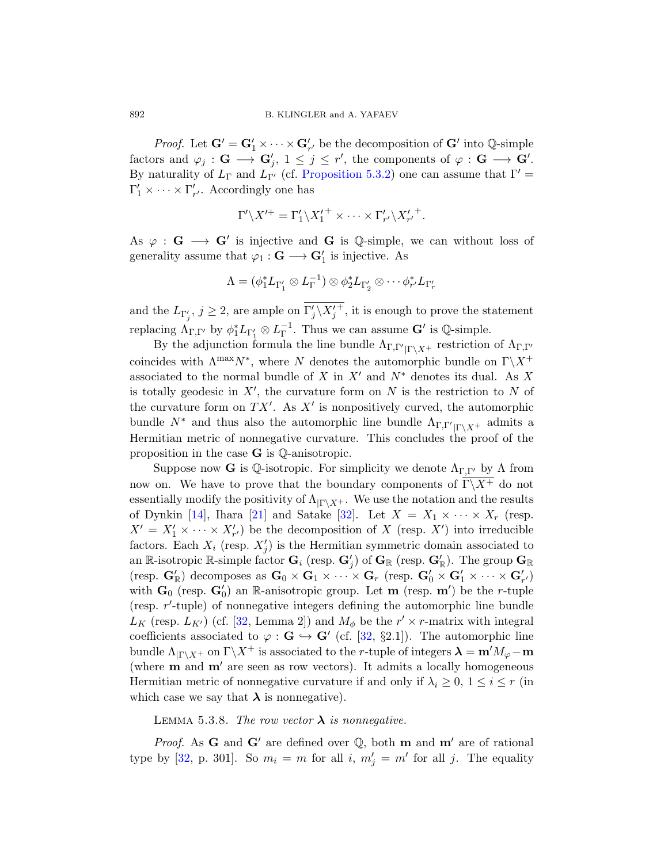*Proof.* Let  $G' = G'_1 \times \cdots \times G'_{r'}$  be the decomposition of  $G'$  into  $\mathbb{Q}$ -simple factors and  $\varphi_j : \mathbf{G} \longrightarrow \mathbf{G}'_j$ ,  $1 \leq j \leq r'$ , the components of  $\varphi : \mathbf{G} \longrightarrow \mathbf{G}'$ . By naturality of  $L_{\Gamma}$  and  $L_{\Gamma}$  (cf. [Proposition 5.3.2\)](#page-22-3) one can assume that  $\Gamma' =$  $\Gamma'_1 \times \cdots \times \Gamma'_{r'}$ . Accordingly one has

$$
\Gamma' \backslash X'^{+} = \Gamma'_{1} \backslash X'^{+}_{1} \times \cdots \times \Gamma'_{r'} \backslash X'_{r'}{}^{+}.
$$

As  $\varphi : G \longrightarrow G'$  is injective and G is Q-simple, we can without loss of generality assume that  $\varphi_1 : \mathbf{G} \longrightarrow \mathbf{G}'_1$  is injective. As

$$
\Lambda=(\phi_1^*L_{\Gamma'_1}\otimes L_{\Gamma}^{-1})\otimes \phi_2^*L_{\Gamma'_2}\otimes \cdots \phi_{r'}^*L_{\Gamma'_r}
$$

and the  $L_{\Gamma'_j}, j \geq 2$ , are ample on  $\Gamma'_j \backslash X'_j$  $\overline{+}$ , it is enough to prove the statement replacing  $\Lambda_{\Gamma,\Gamma'}$  by  $\phi_1^* L_{\Gamma'_1} \otimes L_{\Gamma}^{-1}$ . Thus we can assume  $\mathbf{G}'$  is  $\mathbb{Q}$ -simple.

By the adjunction formula the line bundle  $\Lambda_{\Gamma,\Gamma'|\Gamma\setminus X^+}$  restriction of  $\Lambda_{\Gamma,\Gamma'}$ coincides with  $\Lambda^{\max}N^*$ , where N denotes the automorphic bundle on  $\Gamma\backslash X^+$ associated to the normal bundle of X in  $X'$  and  $N^*$  denotes its dual. As X is totally geodesic in  $X'$ , the curvature form on N is the restriction to N of the curvature form on  $TX'$ . As  $X'$  is nonpositively curved, the automorphic bundle  $N^*$  and thus also the automorphic line bundle  $\Lambda_{\Gamma,\Gamma'|\Gamma\setminus X^+}$  admits a Hermitian metric of nonnegative curvature. This concludes the proof of the proposition in the case  $\bf{G}$  is  $\mathbb{Q}$ -anisotropic.

Suppose now **G** is Q-isotropic. For simplicity we denote  $\Lambda_{\Gamma,\Gamma'}$  by  $\Lambda$  from now on. We have to prove that the boundary components of  $\overline{\Gamma\setminus X^+}$  do not essentially modify the positivity of  $\Lambda_{|\Gamma \backslash X^+}$ . We use the notation and the results of Dynkin [\[14\]](#page-56-8), Ihara [\[21\]](#page-56-9) and Satake [\[32\]](#page-57-10). Let  $X = X_1 \times \cdots \times X_r$  (resp.  $X' = X'_1 \times \cdots \times X'_{r'}$  be the decomposition of X (resp. X') into irreducible factors. Each  $X_i$  (resp.  $X'_j$ ) is the Hermitian symmetric domain associated to an R-isotropic R-simple factor  $G_i$  (resp.  $G'_j$ ) of  $G_R$  (resp.  $G'_R$ ). The group  $G_R$ (resp.  $\mathbf{G}'_{\mathbb{R}}$ ) decomposes as  $\mathbf{G}_0 \times \mathbf{G}_1 \times \cdots \times \mathbf{G}_r$  (resp.  $\mathbf{G}'_0 \times \mathbf{G}'_1 \times \cdots \times \mathbf{G}'_{r'}$ ) with  $\mathbf{G}_0$  (resp.  $\mathbf{G}'_0$ ) an R-anisotropic group. Let **m** (resp. **m'**) be the *r*-tuple (resp.  $r'$ -tuple) of nonnegative integers defining the automorphic line bundle  $L_K$  (resp.  $L_{K'}$ ) (cf. [\[32,](#page-57-10) Lemma 2]) and  $M_{\phi}$  be the  $r' \times r$ -matrix with integral coefficients associated to  $\varphi : \mathbf{G} \hookrightarrow \mathbf{G}'$  (cf. [\[32,](#page-57-10) §2.1]). The automorphic line bundle  $\Lambda_{\vert \Gamma \setminus X^+}$  on  $\Gamma \setminus X^+$  is associated to the *r*-tuple of integers  $\lambda = m'M_{\varphi} - m$ (where  $m$  and  $m'$  are seen as row vectors). It admits a locally homogeneous Hermitian metric of nonnegative curvature if and only if  $\lambda_i \geq 0$ ,  $1 \leq i \leq r$  (in which case we say that  $\lambda$  is nonnegative).

# LEMMA 5.3.8. The row vector  $\lambda$  is nonnegative.

*Proof.* As G and G' are defined over  $\mathbb{Q}$ , both m and m' are of rational type by [\[32,](#page-57-10) p. 301]. So  $m_i = m$  for all i,  $m'_j = m'$  for all j. The equality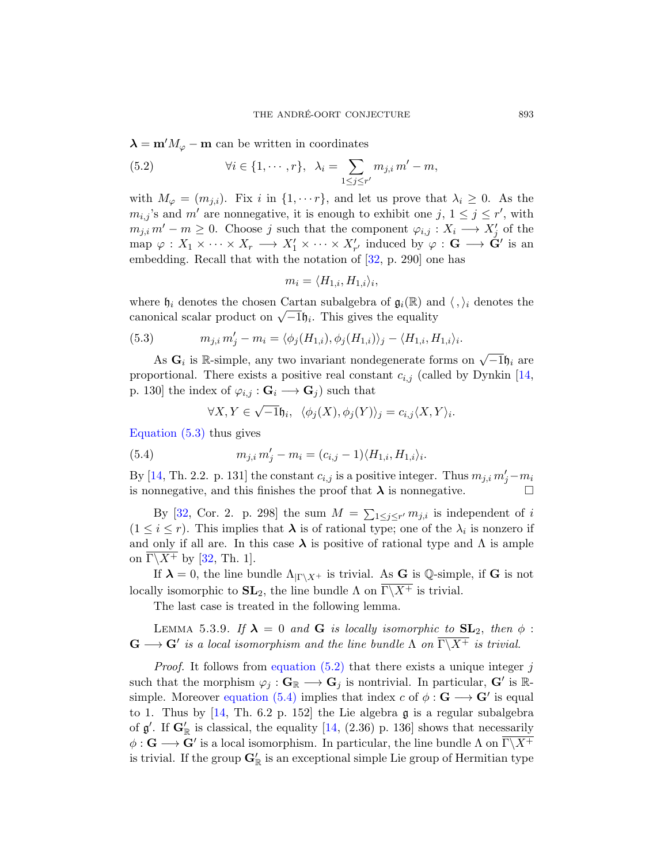$\lambda = m'M_{\varphi} - m$  can be written in coordinates

<span id="page-26-1"></span>(5.2) 
$$
\forall i \in \{1, \cdots, r\}, \ \lambda_i = \sum_{1 \le j \le r'} m_{j,i} m' - m,
$$

with  $M_{\varphi} = (m_{j,i})$ . Fix i in  $\{1, \dots r\}$ , and let us prove that  $\lambda_i \geq 0$ . As the  $m_{i,j}$ 's and m' are nonnegative, it is enough to exhibit one j,  $1 \leq j \leq r'$ , with  $m_{j,i}, m'-m \geq 0$ . Choose j such that the component  $\varphi_{i,j}: X_i \longrightarrow X'_j$  of the map  $\varphi: X_1 \times \cdots \times X_r \longrightarrow X'_1 \times \cdots \times X'_{r'}$  induced by  $\varphi: \mathbf{G} \longrightarrow \tilde{\mathbf{G}}'$  is an embedding. Recall that with the notation of [\[32,](#page-57-10) p. 290] one has

$$
m_i = \langle H_{1,i}, H_{1,i} \rangle_i,
$$

where  $\mathfrak{h}_i$  denotes the chosen Cartan subalgebra of  $\mathfrak{g}_i(\mathbb{R})$  and  $\langle , \rangle_i$  denotes the where  $\theta_i$  denotes the chosen Cartan subalgebra of  $\mathbf{y}_i(\mathbb{n})$  and canonical scalar product on  $\sqrt{-1}\theta_i$ . This gives the equality

<span id="page-26-0"></span>(5.3) 
$$
m_{j,i} m'_j - m_i = \langle \phi_j(H_{1,i}), \phi_j(H_{1,i}) \rangle_j - \langle H_{1,i}, H_{1,i} \rangle_i.
$$

As  $\mathbf{G}_i$  is R-simple, any two invariant nondegenerate forms on  $\sqrt{-1}\mathfrak{h}_i$  are proportional. There exists a positive real constant  $c_{i,j}$  (called by Dynkin [\[14,](#page-56-8) p. 130] the index of  $\varphi_{i,j} : \mathbf{G}_i \longrightarrow \mathbf{G}_j$  such that

<span id="page-26-2"></span>
$$
\forall X, Y \in \sqrt{-1} \mathfrak{h}_i, \ \langle \phi_j(X), \phi_j(Y) \rangle_j = c_{i,j} \langle X, Y \rangle_i.
$$

[Equation \(5.3\)](#page-26-0) thus gives

(5.4) 
$$
m_{j,i} m'_j - m_i = (c_{i,j} - 1) \langle H_{1,i}, H_{1,i} \rangle_i.
$$

By [\[14,](#page-56-8) Th. 2.2. p. 131] the constant  $c_{i,j}$  is a positive integer. Thus  $m_{j,i} m'_j - m_i$ is nonnegative, and this finishes the proof that  $\lambda$  is nonnegative.

By [\[32,](#page-57-10) Cor. 2. p. 298] the sum  $M = \sum_{1 \leq j \leq r'} m_{j,i}$  is independent of i  $(1 \leq i \leq r)$ . This implies that  $\lambda$  is of rational type; one of the  $\lambda_i$  is nonzero if and only if all are. In this case  $\lambda$  is positive of rational type and  $\Lambda$  is ample on  $\overline{\Gamma \backslash X^+}$  by [\[32,](#page-57-10) Th. 1].

If  $\lambda = 0$ , the line bundle  $\Lambda_{\vert \Gamma \setminus X^+}$  is trivial. As G is Q-simple, if G is not locally isomorphic to  $SL_2$ , the line bundle  $\Lambda$  on  $\overline{\Gamma \backslash X^+}$  is trivial.

The last case is treated in the following lemma.

LEMMA 5.3.9. If  $\lambda = 0$  and G is locally isomorphic to  $SL_2$ , then  $\phi$ :  $\mathbf{G} \longrightarrow \mathbf{G}'$  is a local isomorphism and the line bundle  $\Lambda$  on  $\overline{\Gamma \backslash X^+}$  is trivial.

*Proof.* It follows from equation  $(5.2)$  that there exists a unique integer j such that the morphism  $\varphi_j : \mathbf{G}_{\mathbb{R}} \longrightarrow \mathbf{G}_j$  is nontrivial. In particular,  $\mathbf{G}'$  is  $\mathbb{R}$ simple. Moreover [equation \(5.4\)](#page-26-2) implies that index c of  $\phi : \mathbf{G} \longrightarrow \mathbf{G}'$  is equal to 1. Thus by  $[14, Th. 6.2 p. 152]$  the Lie algebra  $\mathfrak g$  is a regular subalgebra of  $\mathfrak{g}'$ . If  $\mathbf{G}'_{\mathbb{R}}$  is classical, the equality [\[14,](#page-56-8) (2.36) p. 136] shows that necessarily  $\phi: \mathbf{G} \longrightarrow \mathbf{G}'$  is a local isomorphism. In particular, the line bundle  $\Lambda$  on  $\overline{\Gamma \backslash X^+}$ is trivial. If the group  $G'_{\mathbb{R}}$  is an exceptional simple Lie group of Hermitian type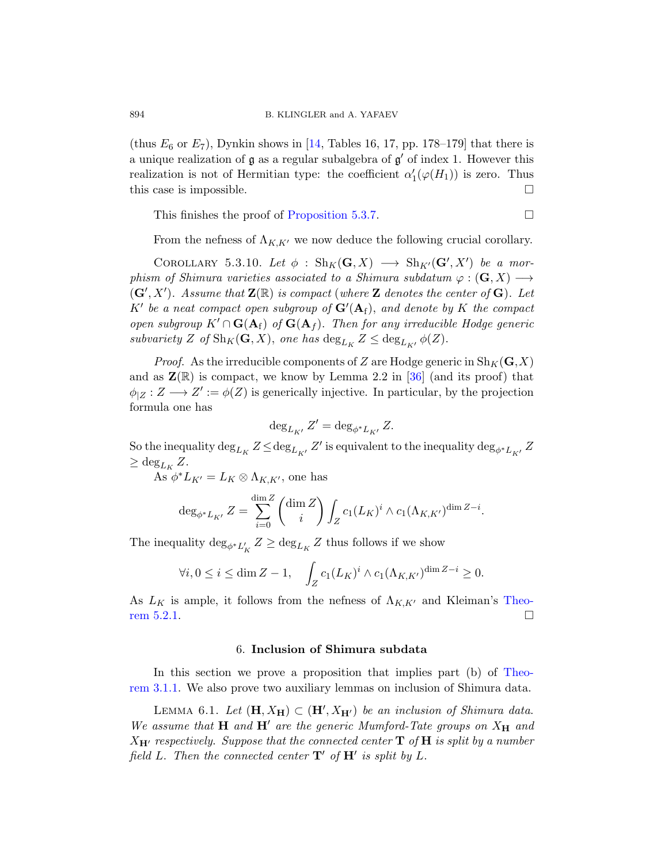(thus  $E_6$  or  $E_7$ ), Dynkin shows in [\[14,](#page-56-8) Tables 16, 17, pp. 178–179] that there is a unique realization of  $\mathfrak g$  as a regular subalgebra of  $\mathfrak g'$  of index 1. However this realization is not of Hermitian type: the coefficient  $\alpha'_{1}(\varphi(H_{1}))$  is zero. Thus this case is impossible.

This finishes the proof of [Proposition 5.3.7.](#page-24-0)

From the nefness of  $\Lambda_{K,K'}$  we now deduce the following crucial corollary.

<span id="page-27-1"></span>COROLLARY 5.3.10. Let  $\phi$  :  $\text{Sh}_K(\mathbf{G}, X) \longrightarrow \text{Sh}_{K'}(\mathbf{G}', X')$  be a morphism of Shimura varieties associated to a Shimura subdatum  $\varphi : (\mathbf{G}, X) \longrightarrow$  $(\mathbf{G}', X')$ . Assume that  $\mathbf{Z}(\mathbb{R})$  is compact (where  $\mathbf Z$  denotes the center of  $\mathbf G$ ). Let K' be a neat compact open subgroup of  $\mathbf{G}'(\mathbf{A}_f)$ , and denote by K the compact open subgroup  $K' \cap \mathbf{G}(\mathbf{A}_f)$  of  $\mathbf{G}(\mathbf{A}_f)$ . Then for any irreducible Hodge generic subvariety Z of  $\text{Sh}_K(\mathbf{G}, X)$ , one has  $\text{deg}_{L_K} Z \le \text{deg}_{L_{K'}} \phi(Z)$ .

*Proof.* As the irreducible components of Z are Hodge generic in  $\text{Sh}_K(\mathbf{G},X)$ and as  $\mathbf{Z}(\mathbb{R})$  is compact, we know by Lemma 2.2 in [\[36\]](#page-57-1) (and its proof) that  $\phi_{|Z}: Z \longrightarrow Z' := \phi(Z)$  is generically injective. In particular, by the projection formula one has

$$
\deg_{L_{K'}}Z'=\deg_{\phi^*L_{K'}}Z.
$$

So the inequality  $\deg_{L_K}Z\!\leq\!\deg_{L_{K'}}Z'$  is equivalent to the inequality  $\deg_{\phi^*L_{K'}}Z$  $\geq \deg_{L_K} Z.$ 

As  $\phi^* L_{K'} = L_K \otimes \Lambda_{K,K'}$ , one has

$$
\deg_{\phi^* L_{K'}} Z = \sum_{i=0}^{\dim Z} \binom{\dim Z}{i} \int_Z c_1(L_K)^i \wedge c_1(\Lambda_{K,K'})^{\dim Z - i}.
$$

The inequality  $\deg_{\phi^*L_K'}Z \ge \deg_{L_K}Z$  thus follows if we show

$$
\forall i, 0 \le i \le \dim Z - 1, \quad \int_Z c_1(L_K)^i \wedge c_1(\Lambda_{K,K'})^{\dim Z - i} \ge 0.
$$

As  $L_K$  is ample, it follows from the nefness of  $\Lambda_{K,K'}$  and Kleiman's [Theo](#page-22-4)[rem 5.2.1.](#page-22-4)

#### 6. Inclusion of Shimura subdata

<span id="page-27-0"></span>In this section we prove a proposition that implies part (b) of [Theo](#page-11-2)[rem 3.1.1.](#page-11-2) We also prove two auxiliary lemmas on inclusion of Shimura data.

<span id="page-27-2"></span>LEMMA 6.1. Let  $(\mathbf{H}, X_{\mathbf{H}}) \subset (\mathbf{H}', X_{\mathbf{H}'})$  be an inclusion of Shimura data. We assume that  $H$  and  $H'$  are the generic Mumford-Tate groups on  $X_H$  and  $X_{\mathbf{H}'}$  respectively. Suppose that the connected center **T** of **H** is split by a number field L. Then the connected center  $\mathbf{T}'$  of  $\mathbf{H}'$  is split by L.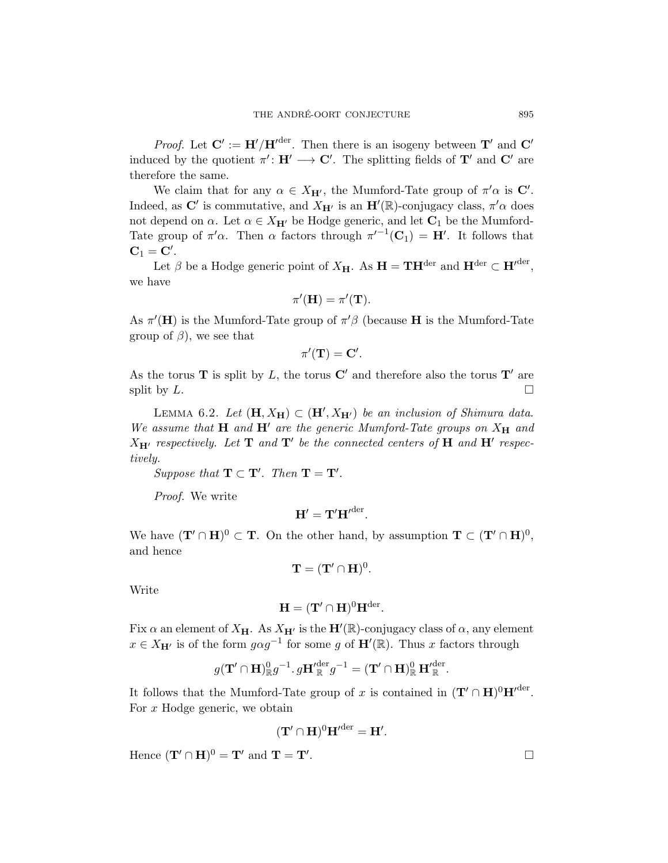*Proof.* Let  $C' := H'/H'^{der}$ . Then there is an isogeny between  $T'$  and  $C'$ induced by the quotient  $\pi' : H' \longrightarrow C'$ . The splitting fields of  $T'$  and  $C'$  are therefore the same.

We claim that for any  $\alpha \in X_{\mathbf{H}'},$  the Mumford-Tate group of  $\pi' \alpha$  is  $\mathbf{C}'$ . Indeed, as C' is commutative, and  $X_{\mathbf{H}'}$  is an  $\mathbf{H}'(\mathbb{R})$ -conjugacy class,  $\pi' \alpha$  does not depend on  $\alpha$ . Let  $\alpha \in X_{\mathbf{H}'}$  be Hodge generic, and let  $\mathbf{C}_1$  be the Mumford-Tate group of  $\pi' \alpha$ . Then  $\alpha$  factors through  $\pi'^{-1}(\mathbf{C}_1) = \mathbf{H}'$ . It follows that  $\mathbf{C}_1 = \mathbf{C}'$ .

Let  $\beta$  be a Hodge generic point of  $X_{\mathbf{H}}$ . As  $\mathbf{H} = \mathbf{TH}^{\text{der}}$  and  $\mathbf{H}^{\text{der}} \subset \mathbf{H}'^{\text{der}}$ , we have

$$
\pi'(\mathbf{H}) = \pi'(\mathbf{T}).
$$

As  $\pi'(\mathbf{H})$  is the Mumford-Tate group of  $\pi'\beta$  (because **H** is the Mumford-Tate group of  $\beta$ ), we see that

$$
\pi'(\mathbf{T}) = \mathbf{C}'.
$$

As the torus **T** is split by L, the torus  $C'$  and therefore also the torus  $T'$  are split by  $L$ .

<span id="page-28-0"></span>LEMMA 6.2. Let  $(\mathbf{H}, X_{\mathbf{H}}) \subset (\mathbf{H}', X_{\mathbf{H}'})$  be an inclusion of Shimura data. We assume that  $H$  and  $H'$  are the generic Mumford-Tate groups on  $X_H$  and  $X_{\mathbf{H}'}$  respectively. Let  $\mathbf{T}$  and  $\mathbf{T}'$  be the connected centers of  $\mathbf{H}$  and  $\mathbf{H}'$  respectively.

.

Suppose that 
$$
\mathbf{T} \subset \mathbf{T}'
$$
. Then  $\mathbf{T} = \mathbf{T}'$ 

Proof. We write

$$
\mathbf{H}' = \mathbf{T}'{\mathbf{H}'}^{\operatorname{der}}.
$$

We have  $(\mathbf{T}' \cap \mathbf{H})^0 \subset \mathbf{T}$ . On the other hand, by assumption  $\mathbf{T} \subset (\mathbf{T}' \cap \mathbf{H})^0$ , and hence

$$
\mathbf{T}=(\mathbf{T}'\cap\mathbf{H})^0.
$$

Write

$$
\mathbf{H} = (\mathbf{T}' \cap \mathbf{H})^0 \mathbf{H}^{\text{der}}.
$$

Fix  $\alpha$  an element of  $X_{\mathbf{H}}$ . As  $X_{\mathbf{H}'}$  is the  $\mathbf{H}'(\mathbb{R})$ -conjugacy class of  $\alpha$ , any element  $x \in X_{\mathbf{H}'}$  is of the form  $g \alpha g^{-1}$  for some g of  $\mathbf{H}'(\mathbb{R})$ . Thus x factors through

$$
g(\mathbf{T}' \cap \mathbf{H})^0_{\mathbb{R}} g^{-1} \cdot g \mathbf{H}'^{\text{der}}_{\mathbb{R}} g^{-1} = (\mathbf{T}' \cap \mathbf{H})^0_{\mathbb{R}} \mathbf{H}'^{\text{der}}_{\mathbb{R}}.
$$

It follows that the Mumford-Tate group of x is contained in  $({\bf T}' \cap H)^0 {\bf H}'^{der}$ . For x Hodge generic, we obtain

$$
(\mathbf{T}' \cap \mathbf{H})^0 \mathbf{H}'^{der} = \mathbf{H}'.
$$

Hence  $(\mathbf{T}' \cap \mathbf{H})^0 = \mathbf{T}'$  and  $\mathbf{T} = \mathbf{T}'$ 

$$
\qquad \qquad \Box
$$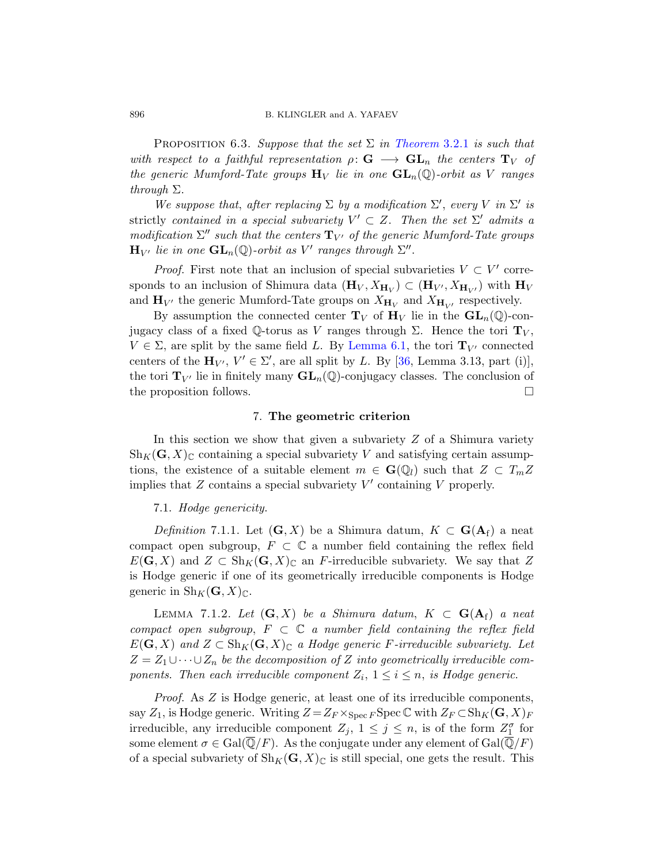PROPOSITION 6.3. Suppose that the set  $\Sigma$  in [Theorem](#page-12-1) 3.2.1 is such that with respect to a faithful representation  $\rho: G \longrightarrow GL_n$  the centers  $T_V$  of the generic Mumford-Tate groups  $H_V$  lie in one  $GL_n(\mathbb{Q})$ -orbit as V ranges through Σ.

We suppose that, after replacing  $\Sigma$  by a modification  $\Sigma'$ , every V in  $\Sigma'$  is strictly contained in a special subvariety  $V' \subset Z$ . Then the set  $\Sigma'$  admits a modification  $\Sigma''$  such that the centers  $\mathbf{T}_{V'}$  of the generic Mumford-Tate groups  $\mathbf{H}_{V'}$  lie in one  $\mathbf{GL}_n(\mathbb{Q})$ -orbit as  $V'$  ranges through  $\Sigma''$ .

*Proof.* First note that an inclusion of special subvarieties  $V \subset V'$  corresponds to an inclusion of Shimura data  $(\mathbf{H}_V, X_{\mathbf{H}_V}) \subset (\mathbf{H}_{V'}, X_{\mathbf{H}_{V'}})$  with  $\mathbf{H}_V$ and  $\mathbf{H}_{V'}$  the generic Mumford-Tate groups on  $X_{\mathbf{H}_V}$  and  $X_{\mathbf{H}_{V'}}$  respectively.

By assumption the connected center  $T_V$  of  $H_V$  lie in the  $GL_n(\mathbb{Q})$ -conjugacy class of a fixed Q-torus as V ranges through  $\Sigma$ . Hence the tori  $\mathbf{T}_V$ ,  $V \in \Sigma$ , are split by the same field L. By [Lemma 6.1,](#page-27-2) the tori  $\mathbf{T}_{V'}$  connected centers of the  $\mathbf{H}_{V}$ ,  $V' \in \Sigma'$ , are all split by L. By [\[36,](#page-57-1) Lemma 3.13, part (i)], the tori  $\mathbf{T}_{V'}$  lie in finitely many  $\mathbf{GL}_n(\mathbb{Q})$ -conjugacy classes. The conclusion of the proposition follows.  $\Box$ 

# 7. The geometric criterion

<span id="page-29-0"></span>In this section we show that given a subvariety  $Z$  of a Shimura variety  $\text{Sh}_K(G, X)_{\mathbb{C}}$  containing a special subvariety V and satisfying certain assumptions, the existence of a suitable element  $m \in \mathbf{G}(\mathbb{Q}_l)$  such that  $Z \subset T_m Z$ implies that  $Z$  contains a special subvariety  $V'$  containing  $V$  properly.

# <span id="page-29-1"></span>7.1. Hodge genericity.

Definition 7.1.1. Let  $(G, X)$  be a Shimura datum,  $K \subset G(A_f)$  a neat compact open subgroup,  $F \subset \mathbb{C}$  a number field containing the reflex field  $E(G, X)$  and  $Z \subset Sh_K(G, X)_{\mathbb{C}}$  an F-irreducible subvariety. We say that Z is Hodge generic if one of its geometrically irreducible components is Hodge generic in  $\text{Sh}_K(G,X)_{\mathbb{C}}$ .

<span id="page-29-2"></span>LEMMA 7.1.2. Let  $(G, X)$  be a Shimura datum,  $K \subset G(A_f)$  a neat compact open subgroup,  $F \subset \mathbb{C}$  a number field containing the reflex field  $E(G, X)$  and  $Z \subset Sh_K(G, X)_{\mathbb{C}}$  a Hodge generic F-irreducible subvariety. Let  $Z = Z_1 \cup \cdots \cup Z_n$  be the decomposition of Z into geometrically irreducible components. Then each irreducible component  $Z_i$ ,  $1 \leq i \leq n$ , is Hodge generic.

Proof. As Z is Hodge generic, at least one of its irreducible components, say  $Z_1$ , is Hodge generic. Writing  $Z = Z_F \times_{Spec F} \operatorname{Spec} \mathbb{C}$  with  $Z_F \subset \operatorname{Sh}_K(\mathbb{G}, X)_F$ irreducible, any irreducible component  $Z_j$ ,  $1 \leq j \leq n$ , is of the form  $Z_1^{\sigma}$  for some element  $\sigma \in \text{Gal}(\overline{\mathbb{Q}}/F)$ . As the conjugate under any element of  $\text{Gal}(\overline{\mathbb{Q}}/F)$ of a special subvariety of  $\text{Sh}_K(G, X)_{\mathbb{C}}$  is still special, one gets the result. This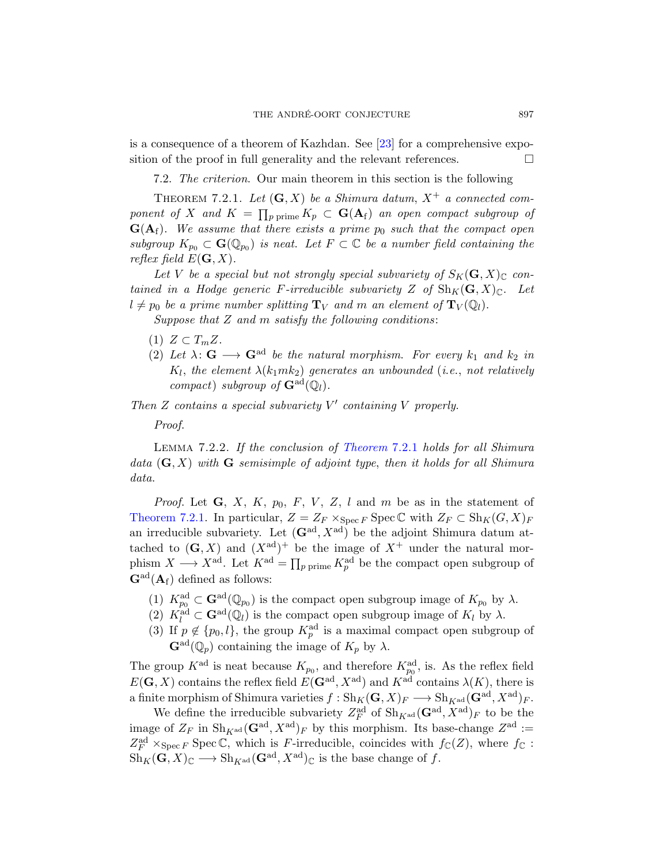is a consequence of a theorem of Kazhdan. See [\[23\]](#page-56-10) for a comprehensive exposition of the proof in full generality and the relevant references.

<span id="page-30-0"></span>7.2. The criterion. Our main theorem in this section is the following

<span id="page-30-1"></span>THEOREM 7.2.1. Let  $(G, X)$  be a Shimura datum,  $X^+$  a connected component of X and  $K = \prod_{p \text{ prime}} K_p \subset \mathbf{G}(\mathbf{A}_{\mathrm{f}})$  an open compact subgroup of  $G(A<sub>f</sub>)$ . We assume that there exists a prime  $p<sub>0</sub>$  such that the compact open subgroup  $K_{p_0} \subset \mathbf{G}(\mathbb{Q}_{p_0})$  is neat. Let  $F \subset \mathbb{C}$  be a number field containing the reflex field  $E(G, X)$ .

Let V be a special but not strongly special subvariety of  $S_K(G, X)_\mathbb{C}$  contained in a Hodge generic F-irreducible subvariety Z of  $\text{Sh}_K(\mathbf{G}, X)_{\mathbb{C}}$ . Let  $l \neq p_0$  be a prime number splitting  $\mathbf{T}_V$  and m an element of  $\mathbf{T}_V (\mathbb{Q}_l)$ .

Suppose that  $Z$  and  $m$  satisfy the following conditions:

- (1)  $Z \subset T_m Z$ .
- (2) Let  $\lambda: \mathbf{G} \longrightarrow \mathbf{G}^{ad}$  be the natural morphism. For every  $k_1$  and  $k_2$  in  $K_l,$  the element  $\lambda(k_1mk_2)$  generates an unbounded (i.e., not relatively compact) subgroup of  $\mathbf{G}^{\text{ad}}(\mathbb{Q}_l)$ .

Then  $Z$  contains a special subvariety  $V'$  containing  $V$  properly.

Proof.

<span id="page-30-2"></span>Lemma 7.2.2. If the conclusion of [Theorem](#page-30-1) 7.2.1 holds for all Shimura data  $(G, X)$  with G semisimple of adjoint type, then it holds for all Shimura data.

*Proof.* Let  $G$ ,  $X$ ,  $K$ ,  $p_0$ ,  $F$ ,  $V$ ,  $Z$ ,  $l$  and  $m$  be as in the statement of [Theorem 7.2.1.](#page-30-1) In particular,  $Z = Z_F \times_{\text{Spec } F} \text{Spec } \mathbb{C}$  with  $Z_F \subset \text{Sh}_K(G, X)_F$ an irreducible subvariety. Let  $(G<sup>ad</sup>, X<sup>ad</sup>)$  be the adjoint Shimura datum attached to  $(G, X)$  and  $(X^{ad})^+$  be the image of  $X^+$  under the natural morphism  $X \longrightarrow X^{\text{ad}}$ . Let  $K^{\text{ad}} = \prod_{p \text{ prime}} K_p^{\text{ad}}$  be the compact open subgroup of  $\mathbf{G}^{\text{ad}}(\mathbf{A}_{\text{f}})$  defined as follows:

- (1)  $K_{p_0}^{\rm ad} \subset \mathbf{G}^{\rm ad}(\mathbb{Q}_{p_0})$  is the compact open subgroup image of  $K_{p_0}$  by  $\lambda$ .
- (2)  $K_l^{\text{ad}} \subset \mathbf{G}^{\text{ad}}(\mathbb{Q}_l)$  is the compact open subgroup image of  $K_l$  by  $\lambda$ .
- (3) If  $p \notin \{p_0, l\}$ , the group  $K_p^{\text{ad}}$  is a maximal compact open subgroup of  $\mathbf{G}^{\text{ad}}(\mathbb{Q}_p)$  containing the image of  $K_p$  by  $\lambda$ .

The group  $K^{\text{ad}}$  is neat because  $K_{p_0}$ , and therefore  $K^{\text{ad}}_{p_0}$ , is. As the reflex field  $E(G, X)$  contains the reflex field  $E(G<sup>ad</sup>, X<sup>ad</sup>)$  and  $K<sup>ad</sup>$  contains  $\lambda(K)$ , there is a finite morphism of Shimura varieties  $f : Sh_K(G, X)_F \longrightarrow Sh_{K^{ad}}(G^{ad}, X^{ad})_F$ .

We define the irreducible subvariety  $Z_F^{\text{ad}}$  of  $\text{Sh}_{K^{\text{ad}}}(\mathbf{G}^{\text{ad}}, X^{\text{ad}})_F$  to be the image of  $Z_F$  in  $\text{Sh}_{K^{\text{ad}}}(\mathbf{G}^{\text{ad}}, X^{\text{ad}})_F$  by this morphism. Its base-change  $Z^{\text{ad}} :=$  $Z_F^{\text{ad}} \times_{\text{Spec } F} \text{Spec } \mathbb{C}$ , which is F-irreducible, coincides with  $f_{\mathbb{C}}(Z)$ , where  $f_{\mathbb{C}}$ :  $\text{Sh}_K(\mathbf{G}, X)_{\mathbb{C}} \longrightarrow \text{Sh}_{K^{\text{ad}}}(\mathbf{G}^{\text{ad}}, X^{\text{ad}})_{\mathbb{C}}$  is the base change of f.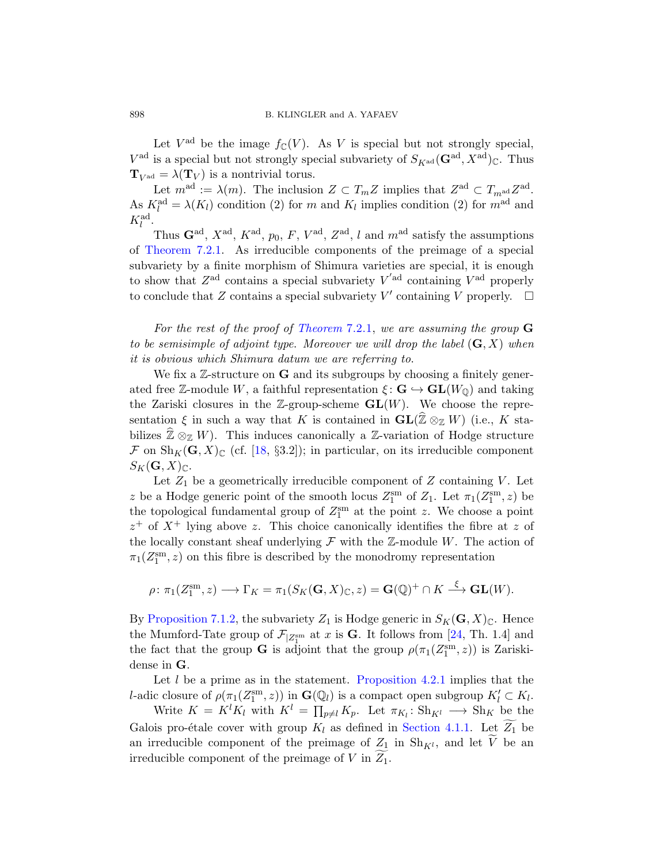Let  $V^{\text{ad}}$  be the image  $f_{\mathbb{C}}(V)$ . As V is special but not strongly special,  $V^{\text{ad}}$  is a special but not strongly special subvariety of  $S_{K^{\text{ad}}}(\mathbf{G}^{\text{ad}}, X^{\text{ad}})_{\mathbb{C}}$ . Thus  $\mathbf{T}_{V^{\text{ad}}} = \lambda(\mathbf{T}_V)$  is a nontrivial torus.

Let  $m^{\text{ad}} := \lambda(m)$ . The inclusion  $Z \subset T_m Z$  implies that  $Z^{\text{ad}} \subset T_{m^{\text{ad}}} Z^{\text{ad}}$ . As  $K_l^{\text{ad}} = \lambda(K_l)$  condition (2) for m and  $K_l$  implies condition (2) for  $m^{\text{ad}}$  and  $K_l^{\rm ad}.$ 

Thus  $\mathbf{G}^{\text{ad}}, X^{\text{ad}}, K^{\text{ad}}, p_0, F, V^{\text{ad}}, Z^{\text{ad}}, l$  and  $m^{\text{ad}}$  satisfy the assumptions of [Theorem 7.2.1.](#page-30-1) As irreducible components of the preimage of a special subvariety by a finite morphism of Shimura varieties are special, it is enough to show that  $Z^{\text{ad}}$  contains a special subvariety  $V^{\text{ad}}$  containing  $V^{\text{ad}}$  properly to conclude that Z contains a special subvariety V' containing V properly.  $\Box$ 

For the rest of the proof of [Theorem](#page-30-1) 7.2.1, we are assuming the group  $G$ to be semisimple of adjoint type. Moreover we will drop the label  $(G, X)$  when it is obvious which Shimura datum we are referring to.

We fix a  $\mathbb{Z}$ -structure on  $G$  and its subgroups by choosing a finitely generated free Z-module W, a faithful representation  $\xi : \mathbf{G} \hookrightarrow \mathbf{GL}(W_{\mathbb{Q}})$  and taking the Zariski closures in the Z-group-scheme  $GL(W)$ . We choose the representation  $\xi$  in such a way that K is contained in  $\mathbf{GL}(\widehat{\mathbb{Z}}\otimes_{\mathbb{Z}} W)$  (i.e., K stabilizes  $\widehat{\mathbb{Z}} \otimes_{\mathbb{Z}} W$ ). This induces canonically a  $\mathbb{Z}$ -variation of Hodge structure  $\mathcal F$  on  $\text{Sh}_K(\mathbf G,X)_{\mathbb C}$  (cf. [\[18,](#page-56-2) §3.2]); in particular, on its irreducible component  $S_K(G, X)_\mathbb{C}.$ 

Let  $Z_1$  be a geometrically irreducible component of  $Z$  containing  $V$ . Let z be a Hodge generic point of the smooth locus  $Z_1^{\text{sm}}$  of  $Z_1$ . Let  $\pi_1(Z_1^{\text{sm}},z)$  be the topological fundamental group of  $Z_1^{\rm sm}$  at the point z. We choose a point  $z^+$  of  $X^+$  lying above z. This choice canonically identifies the fibre at z of the locally constant sheaf underlying  $\mathcal F$  with the Z-module W. The action of  $\pi_1(Z_1^{\text{sm}}, z)$  on this fibre is described by the monodromy representation

$$
\rho \colon \pi_1(Z_1^{\text{sm}}, z) \longrightarrow \Gamma_K = \pi_1(S_K(\mathbf{G}, X)_{\mathbb{C}}, z) = \mathbf{G}(\mathbb{Q})^+ \cap K \stackrel{\xi}{\longrightarrow} \mathbf{GL}(W).
$$

By [Proposition 7.1.2,](#page-29-2) the subvariety  $Z_1$  is Hodge generic in  $S_K(G, X)_{\mathbb{C}}$ . Hence the Mumford-Tate group of  $\mathcal{F}_{|Z_1^{\text{sm}}}$  at x is **G**. It follows from [\[24,](#page-56-11) Th. 1.4] and the fact that the group **G** is adjoint that the group  $\rho(\pi_1(Z_1^{\text{sm}}, z))$  is Zariskidense in G.

Let  $l$  be a prime as in the statement. [Proposition 4.2.1](#page-20-1) implies that the l-adic closure of  $\rho(\pi_1(Z_1^{\text{sm}}, z))$  in  $\mathbf{G}(\mathbb{Q}_l)$  is a compact open subgroup  $K'_l \subset K_l$ .

Write  $K = K^l K_l$  with  $K^l = \prod_{p \neq l} K_p$ . Let  $\pi_{K_l}: Sh_{K^l} \longrightarrow Sh_K$  be the Galois pro-étale cover with group  $K_l$  as defined in [Section 4.1.1.](#page-19-0) Let  $Z_1$  be an irreducible component of the preimage of  $Z_1$  in  $\text{Sh}_{K^l}$ , and let V be an irreducible component of the preimage of  $V$  in  $Z_1$ .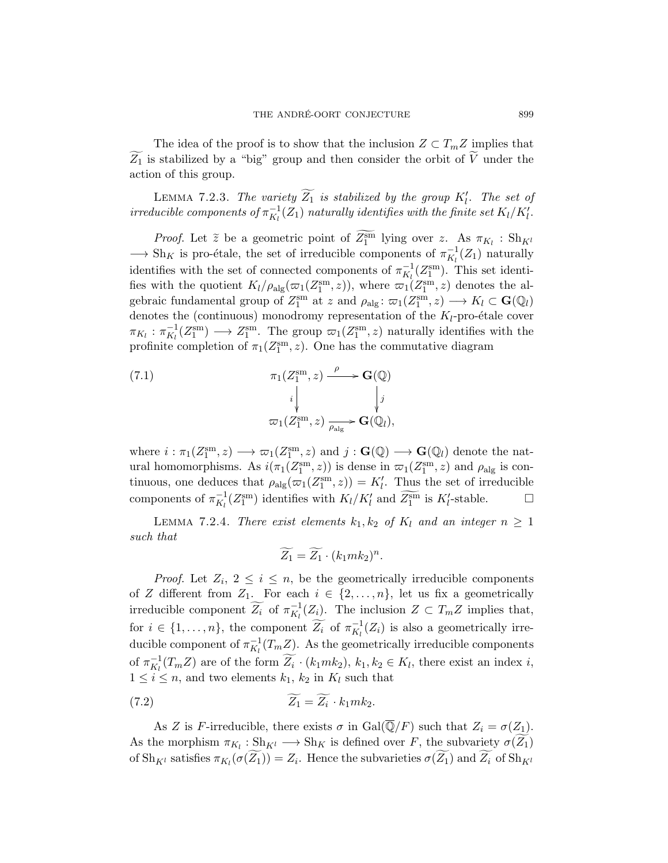The idea of the proof is to show that the inclusion  $Z \subset T_m Z$  implies that  $Z_1$  is stabilized by a "big" group and then consider the orbit of V under the action of this group.

<span id="page-32-1"></span>LEMMA 7.2.3. The variety  $\widetilde{Z_1}$  is stabilized by the group  $K'_l$ . The set of irreducible components of  $\pi_{K_l}^{-1}(Z_1)$  naturally identifies with the finite set  $K_l/K_l'$ .

*Proof.* Let  $\tilde{z}$  be a geometric point of  $\overline{Z_1^{\text{sm}}}$  lying over z. As  $\pi_{K_l}$ :  $\text{Sh}_{K^l}$  $\longrightarrow$  Sh<sub>K</sub> is pro-étale, the set of irreducible components of  $\pi_{K_l}^{-1}(Z_1)$  naturally identifies with the set of connected components of  $\pi_{K_l}^{-1}(Z_1^{\text{sm}})$ . This set identifies with the quotient  $K_l/\rho_{\rm alg}(\varpi_1(Z_1^{\rm sm},z))$ , where  $\varpi_1(Z_1^{\rm sm},z)$  denotes the algebraic fundamental group of  $Z_1^{\text{sm}}$  at z and  $\rho_{\text{alg}} \colon \varpi_1(Z_1^{\text{sm}}, z) \longrightarrow K_l \subset \mathbf{G}(\mathbb{Q}_l)$ denotes the (continuous) monodromy representation of the  $K_l$ -pro-étale cover  $\pi_{K_l} : \pi_{K_l}^{-1}(Z_1^{\text{sm}}) \longrightarrow Z_1^{\text{sm}}$ . The group  $\varpi_1(Z_1^{\text{sm}}, z)$  naturally identifies with the profinite completion of  $\pi_1(Z_1^{\text{sm}}, z)$ . One has the commutative diagram

(7.1) 
$$
\pi_1(Z_1^{\text{sm}}, z) \xrightarrow{\rho} \mathbf{G}(\mathbb{Q})
$$

$$
i \downarrow \qquad \qquad i \downarrow
$$

$$
\varpi_1(Z_1^{\text{sm}}, z) \xrightarrow{\rho_{\text{alg}}} \mathbf{G}(\mathbb{Q}_l),
$$

where  $i : \pi_1(Z_1^{\text{sm}}, z) \longrightarrow \varpi_1(Z_1^{\text{sm}}, z)$  and  $j : \mathbf{G}(\mathbb{Q}) \longrightarrow \mathbf{G}(\mathbb{Q}_l)$  denote the natural homomorphisms. As  $i(\pi_1(Z_1^{\text{sm}}, z))$  is dense in  $\varpi_1(Z_1^{\text{sm}}, z)$  and  $\rho_{\text{alg}}$  is continuous, one deduces that  $\rho_{\text{alg}}(\varpi_1(Z_1^{\text{sm}}, z)) = K'_l$ . Thus the set of irreducible components of  $\pi_{K_l}^{-1}(Z_1^{\text{sm}})$  identifies with  $K_l/K_l'$  and  $\widetilde{Z_1^{\text{sm}}}$  is  $K_l'$ -stable.  $\Box$ 

<span id="page-32-2"></span>LEMMA 7.2.4. There exist elements  $k_1, k_2$  of  $K_l$  and an integer  $n \geq 1$ such that

<span id="page-32-0"></span>
$$
\widetilde{Z_1} = \widetilde{Z_1} \cdot (k_1 m k_2)^n.
$$

*Proof.* Let  $Z_i$ ,  $2 \leq i \leq n$ , be the geometrically irreducible components of Z different from  $Z_1$ . For each  $i \in \{2, \ldots, n\}$ , let us fix a geometrically irreducible component  $\widetilde{Z_i}$  of  $\pi_{K_l}^{-1}(Z_i)$ . The inclusion  $Z \subset T_m Z$  implies that, for  $i \in \{1, \ldots, n\}$ , the component  $\widetilde{Z_i}$  of  $\pi_{K_l}^{-1}(Z_i)$  is also a geometrically irreducible component of  $\pi_{K_l}^{-1}(T_m Z)$ . As the geometrically irreducible components of  $\pi_{K_l}^{-1}(T_m Z)$  are of the form  $\widetilde{Z_i} \cdot (k_1 m k_2), k_1, k_2 \in K_l$ , there exist an index i,  $1 \leq i \leq n$ , and two elements  $k_1, k_2$  in  $K_l$  such that

(7.2) 
$$
\widetilde{Z_1} = \widetilde{Z_i} \cdot k_1 m k_2.
$$

As Z is F-irreducible, there exists  $\sigma$  in Gal( $\overline{\mathbb{Q}}/F$ ) such that  $Z_i = \sigma(Z_1)$ . As the morphism  $\pi_{K_l} : Sh_{K^l} \longrightarrow Sh_K$  is defined over F, the subvariety  $\sigma(Z_1)$ of  $\text{Sh}_{K^l}$  satisfies  $\pi_{K_l}(\sigma(Z_1)) = Z_i$ . Hence the subvarieties  $\sigma(Z_1)$  and  $Z_i$  of  $\text{Sh}_{K^l}$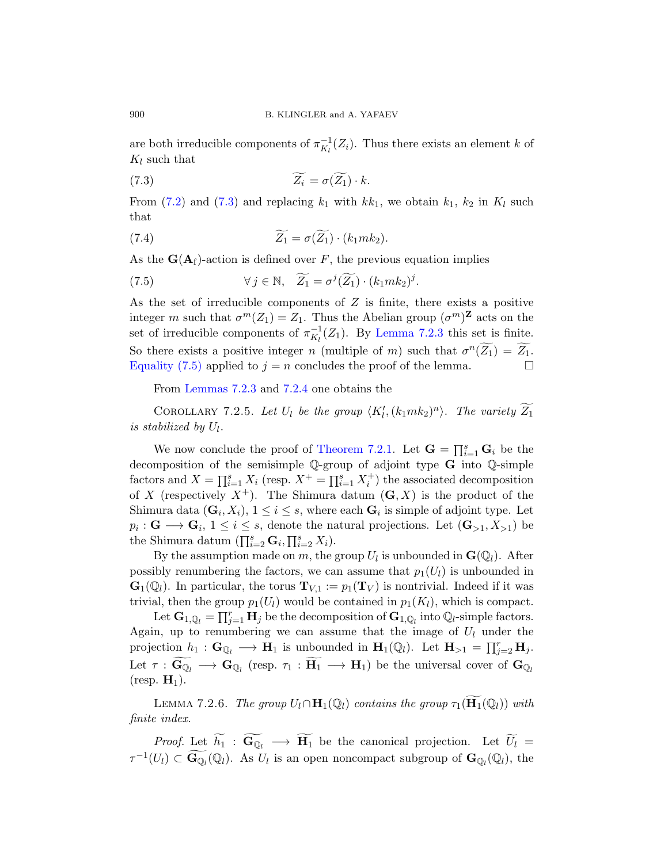are both irreducible components of  $\pi_{K_l}^{-1}(Z_i)$ . Thus there exists an element k of  $K_l$  such that

<span id="page-33-0"></span>(7.3) 
$$
\widetilde{Z_i} = \sigma(\widetilde{Z_1}) \cdot k.
$$

From [\(7](#page-32-0).2) and (7.[3\)](#page-33-0) and replacing  $k_1$  with  $kk_1$ , we obtain  $k_1$ ,  $k_2$  in  $K_l$  such that

(7.4) 
$$
\widetilde{Z_1} = \sigma(\widetilde{Z_1}) \cdot (k_1 m k_2).
$$

As the  $\mathbf{G}(\mathbf{A}_f)$ -action is defined over F, the previous equation implies

<span id="page-33-1"></span>(7.5) 
$$
\forall j \in \mathbb{N}, \quad \widetilde{Z_1} = \sigma^j(\widetilde{Z_1}) \cdot (k_1 m k_2)^j.
$$

As the set of irreducible components of  $Z$  is finite, there exists a positive integer m such that  $\sigma^m(Z_1) = Z_1$ . Thus the Abelian group  $(\sigma^m)^{\mathbf{Z}}$  acts on the set of irreducible components of  $\pi_{K_l}^{-1}(Z_1)$ . By [Lemma 7.2.3](#page-32-1) this set is finite. So there exists a positive integer n (multiple of m) such that  $\sigma^n(\widetilde{Z_1}) = \widetilde{Z_1}$ . [Equality \(7.5\)](#page-33-1) applied to  $j = n$  concludes the proof of the lemma.

From [Lemmas 7.2.3](#page-32-1) and [7.2.4](#page-32-2) one obtains the

COROLLARY 7.2.5. Let  $U_l$  be the group  $\langle K'_l, (k_1mk_2)^n \rangle$ . The variety  $\widetilde{Z_1}$ is stabilized by  $U_l$ .

We now conclude the proof of [Theorem 7.2.1.](#page-30-1) Let  $G = \prod_{i=1}^{s} G_i$  be the decomposition of the semisimple Q-group of adjoint type G into Q-simple factors and  $X = \prod_{i=1}^{s} X_i$  (resp.  $X^+ = \prod_{i=1}^{s} X_i^+$ ) the associated decomposition of X (respectively  $X^+$ ). The Shimura datum  $(G, X)$  is the product of the Shimura data  $(G_i, X_i)$ ,  $1 \leq i \leq s$ , where each  $G_i$  is simple of adjoint type. Let  $p_i: \mathbf{G} \longrightarrow \mathbf{G}_i$ ,  $1 \leq i \leq s$ , denote the natural projections. Let  $(\mathbf{G}_{>1}, X_{>1})$  be the Shimura datum  $(\prod_{i=2}^s \mathbf{G}_i, \prod_{i=2}^s X_i)$ .

By the assumption made on m, the group  $U_l$  is unbounded in  $\mathbf{G}(\mathbb{Q}_l)$ . After possibly renumbering the factors, we can assume that  $p_1(U_l)$  is unbounded in  $\mathbf{G}_1(\mathbb{Q}_l)$ . In particular, the torus  $\mathbf{T}_{V,1} := p_1(\mathbf{T}_V)$  is nontrivial. Indeed if it was trivial, then the group  $p_1(U_l)$  would be contained in  $p_1(K_l)$ , which is compact.

Let  $\mathbf{G}_{1,\mathbb{Q}_l} = \prod_{j=1}^r \mathbf{H}_j$  be the decomposition of  $\mathbf{G}_{1,\mathbb{Q}_l}$  into  $\mathbb{Q}_l$ -simple factors. Again, up to renumbering we can assume that the image of  $U_l$  under the projection  $h_1 : \mathbf{G}_{\mathbb{Q}_l} \longrightarrow \mathbf{H}_1$  is unbounded in  $\mathbf{H}_1(\mathbb{Q}_l)$ . Let  $\mathbf{H}_{>1} = \prod_{j=2}^r \mathbf{H}_j$ . Let  $\tau : \mathbf{G}_{\mathbb{Q}_l} \longrightarrow \mathbf{G}_{\mathbb{Q}_l}$  (resp.  $\tau_1 : \mathbf{H}_1 \longrightarrow \mathbf{H}_1$ ) be the universal cover of  $\mathbf{G}_{\mathbb{Q}_l}$  $(r \exp. \mathbf{H}_1).$ 

LEMMA 7.2.6. The group  $U_l \cap \mathbf{H}_1(\mathbb{Q}_l)$  contains the group  $\tau_1(\mathbf{H}_1(\mathbb{Q}_l))$  with finite index.

*Proof.* Let  $h_1$  :  $\mathbf{G}_{\mathbb{Q}_l} \longrightarrow \mathbf{H}_1$  be the canonical projection. Let  $U_l =$  $\tau^{-1}(U_l) \subset \widetilde{\mathbf{G}_{\mathbb{Q}_l}}(\mathbb{Q}_l)$ . As  $U_l$  is an open noncompact subgroup of  $\mathbf{G}_{\mathbb{Q}_l}(\mathbb{Q}_l)$ , the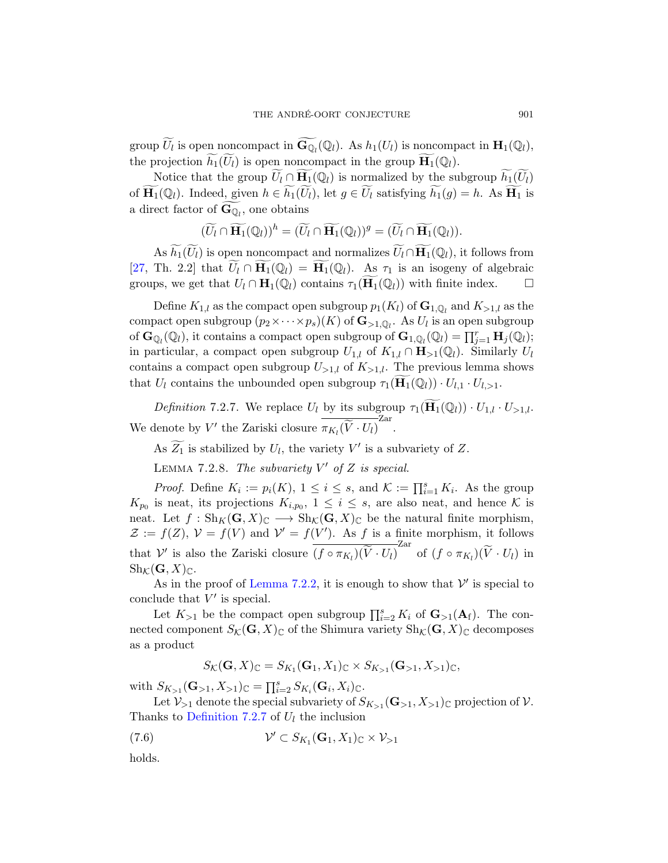group  $\widetilde{U}_l$  is open noncompact in  $\widetilde{\mathbf{G}_{\mathbb{Q}_l}}(\mathbb{Q}_l)$ . As  $h_1(U_l)$  is noncompact in  $\mathbf{H}_1(\mathbb{Q}_l)$ , the projection  $\widetilde{h_1}(U_l)$  is open noncompact in the group  $\widetilde{H_1}(\mathbb{Q}_l)$ .

Notice that the group  $\widetilde{U}_l \cap \widetilde{H}_1(\mathbb{Q}_l)$  is normalized by the subgroup  $\widetilde{h}_1(\widetilde{U}_l)$ of  $\widetilde{\mathbf{H}_1}(\mathbb{Q}_l)$ . Indeed, given  $h \in \widetilde{h_1}(\widetilde{U}_l)$ , let  $g \in \widetilde{U}_l$  satisfying  $\widetilde{h_1}(g) = h$ . As  $\widetilde{\mathbf{H}_1}$  is a direct factor of  $\mathbf{G}_{\mathbb{Q}_l}$ , one obtains

$$
(\widetilde{U}_l \cap \widetilde{\mathbf{H}_1}(\mathbb{Q}_l))^h = (\widetilde{U}_l \cap \widetilde{\mathbf{H}_1}(\mathbb{Q}_l))^g = (\widetilde{U}_l \cap \widetilde{\mathbf{H}_1}(\mathbb{Q}_l)).
$$

As  $\widetilde{h}_1(\widetilde{U}_l)$  is open noncompact and normalizes  $\widetilde{U}_l \cap \widetilde{H}_1(\mathbb{Q}_l)$ , it follows from [\[27,](#page-57-11) Th. 2.2] that  $\widetilde{U}_l \cap \widetilde{H}_1(\mathbb{Q}_l) = \widetilde{H}_1(\mathbb{Q}_l)$ . As  $\tau_1$  is an isogeny of algebraic groups, we get that  $U_l \cap \mathbf{H}_1(\mathbb{Q}_l)$  contains  $\tau_1(\mathbf{H}_1(\mathbb{Q}_l))$  with finite index.  $\Box$ 

Define  $K_{1,l}$  as the compact open subgroup  $p_1(K_l)$  of  $\mathbf{G}_{1,\mathbb{Q}_l}$  and  $K_{>1,l}$  as the compact open subgroup  $(p_2 \times \cdots \times p_s)(K)$  of  $\mathbf{G}_{>1,\mathbb{Q}_l}$ . As  $U_l$  is an open subgroup of  $\mathbf{G}_{\mathbb{Q}_l}(\mathbb{Q}_l)$ , it contains a compact open subgroup of  $\mathbf{G}_{1,\mathbb{Q}_l}(\mathbb{Q}_l) = \prod_{j=1}^r \mathbf{H}_j(\mathbb{Q}_l)$ ; in particular, a compact open subgroup  $U_{1,l}$  of  $K_{1,l} \cap \mathbf{H}_{>1}(\mathbb{Q}_l)$ . Similarly  $U_l$ contains a compact open subgroup  $U_{>1,l}$  of  $K_{>1,l}$ . The previous lemma shows that  $U_l$  contains the unbounded open subgroup  $\tau_1(\mathbf{H}_1(\mathbb{Q}_l)) \cdot U_{l,1} \cdot U_{l,1}$ .

<span id="page-34-0"></span>Definition 7.2.7. We replace  $U_l$  by its subgroup  $\tau_1(\mathbf{H}_1(\mathbb{Q}_l)) \cdot U_{1,l} \cdot U_{>1,l}$ . We denote by V' the Zariski closure  $\overline{\pi_{K_l}(\widetilde{V} \cdot U_l)}^{\text{Zar}}$ .

As  $\widetilde{Z_1}$  is stabilized by  $U_l$ , the variety  $V'$  is a subvariety of  $Z$ .

LEMMA 7.2.8. The subvariety  $V'$  of Z is special.

*Proof.* Define  $K_i := p_i(K)$ ,  $1 \leq i \leq s$ , and  $K := \prod_{i=1}^s K_i$ . As the group  $K_{p_0}$  is neat, its projections  $K_{i,p_0}$ ,  $1 \leq i \leq s$ , are also neat, and hence K is neat. Let  $f : Sh_K(G,X)_{\mathbb{C}} \longrightarrow Sh_{\mathcal{K}}(G,X)_{\mathbb{C}}$  be the natural finite morphism,  $\mathcal{Z} := f(Z), \mathcal{V} = f(V)$  and  $\mathcal{V}' = f(V')$ . As f is a finite morphism, it follows that  $V'$  is also the Zariski closure  $\overline{(f \circ \pi_{K_l})(\widetilde{V} \cdot U_l)}^{\text{Zar}}$  of  $(f \circ \pi_{K_l})(\widetilde{V} \cdot U_l)$  in  $\text{Sh}_{\mathcal{K}}(\mathbf{G}, X)_{\mathbb{C}}.$ 

As in the proof of [Lemma 7.2.2,](#page-30-2) it is enough to show that  $\mathcal{V}'$  is special to conclude that  $V'$  is special.

Let  $K_{>1}$  be the compact open subgroup  $\prod_{i=2}^{s} K_i$  of  $\mathbf{G}_{>1}(\mathbf{A}_{f})$ . The connected component  $S_{\mathcal{K}}(\mathbf{G}, X)_{\mathbb{C}}$  of the Shimura variety  $\text{Sh}_{\mathcal{K}}(\mathbf{G}, X)_{\mathbb{C}}$  decomposes as a product

<span id="page-34-1"></span>
$$
S_{\mathcal{K}}(\mathbf{G},X)_{\mathbb{C}} = S_{K_1}(\mathbf{G}_1,X_1)_{\mathbb{C}} \times S_{K_{>1}}(\mathbf{G}_{>1},X_{>1})_{\mathbb{C}},
$$

with  $S_{K_{>1}}(\mathbf{G}_{>1}, X_{>1})_{\mathbb{C}} = \prod_{i=2}^{s} S_{K_i}(\mathbf{G}_i, X_i)_{\mathbb{C}}.$ 

Let  $\mathcal{V}_{>1}$  denote the special subvariety of  $S_{K_{>1}}(\mathbf{G}_{>1}, X_{>1})_{\mathbb{C}}$  projection of  $\mathcal{V}$ . Thanks to [Definition 7.2.7](#page-34-0) of  $U_l$  the inclusion

(7.6) 
$$
\mathcal{V}' \subset S_{K_1}(\mathbf{G}_1, X_1)_{\mathbb{C}} \times \mathcal{V}_{>1}
$$

holds.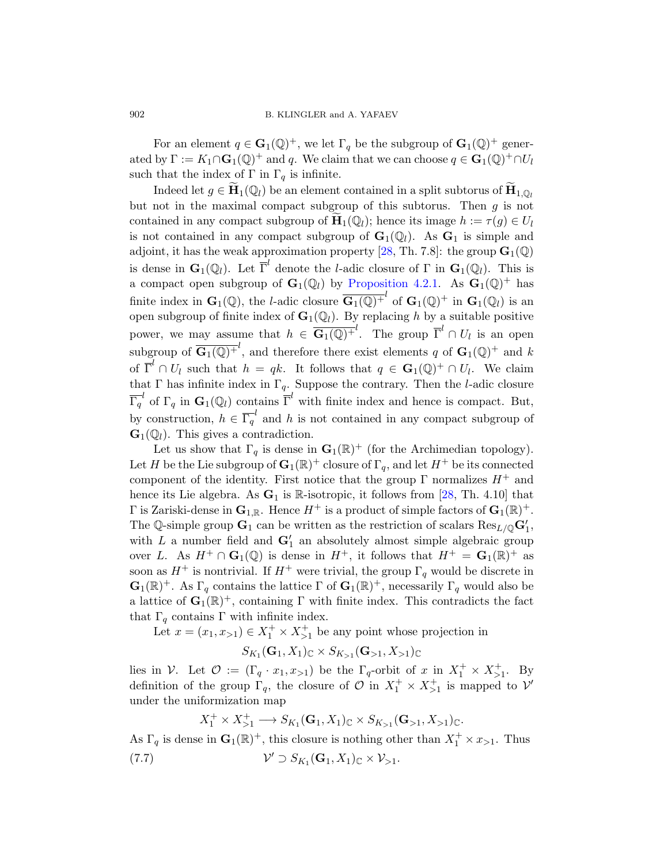For an element  $q \in \mathbf{G}_1(\mathbb{Q})^+$ , we let  $\Gamma_q$  be the subgroup of  $\mathbf{G}_1(\mathbb{Q})^+$  generated by  $\Gamma := K_1 \cap \mathbf{G}_1(\mathbb{Q})^+$  and q. We claim that we can choose  $q \in \mathbf{G}_1(\mathbb{Q})^+ \cap U_l$ such that the index of  $\Gamma$  in  $\Gamma_a$  is infinite.

Indeed let  $g \in \widetilde{H}_1(\mathbb{Q}_l)$  be an element contained in a split subtorus of  $\widetilde{H}_{1,\mathbb{Q}_l}$ but not in the maximal compact subgroup of this subtorus. Then  $g$  is not contained in any compact subgroup of  $\widetilde{\mathbf{H}}_1(\mathbb{Q}_l)$ ; hence its image  $h := \tau(g) \in U_l$ is not contained in any compact subgroup of  $\mathbf{G}_1(\mathbb{Q}_l)$ . As  $\mathbf{G}_1$  is simple and adjoint, it has the weak approximation property [\[28,](#page-57-12) Th. 7.8]: the group  $\mathbf{G}_1(\mathbb{Q})$ is dense in  $\mathbf{G}_1(\mathbb{Q}_l)$ . Let  $\overline{\Gamma}^l$  denote the *l*-adic closure of  $\Gamma$  in  $\mathbf{G}_1(\mathbb{Q}_l)$ . This is a compact open subgroup of  $\mathbf{G}_1(\mathbb{Q}_l)$  by [Proposition 4.2.1.](#page-20-1) As  $\mathbf{G}_1(\mathbb{Q})^+$  has finite index in  $\mathbf{G}_1(\mathbb{Q})$ , the *l*-adic closure  $\overline{\mathbf{G}_1(\mathbb{Q})^+}^l$  of  $\mathbf{G}_1(\mathbb{Q})^+$  in  $\mathbf{G}_1(\mathbb{Q}_l)$  is an open subgroup of finite index of  $\mathbf{G}_1(\mathbb{Q}_l)$ . By replacing h by a suitable positive power, we may assume that  $h \in \overline{\mathbf{G}_1(\mathbb{Q})^+}^l$ . The group  $\overline{\Gamma}^l \cap U_l$  is an open subgroup of  $\overline{\mathbf{G}_1(\mathbb{Q})^+}^l$ , and therefore there exist elements q of  $\mathbf{G}_1(\mathbb{Q})^+$  and k of  $\overline{\Gamma}^l \cap U_l$  such that  $h = qk$ . It follows that  $q \in \mathbf{G}_1(\mathbb{Q})^+ \cap U_l$ . We claim that Γ has infinite index in  $\Gamma_q$ . Suppose the contrary. Then the *l*-adic closure  $\overline{\Gamma}_q^l$  of  $\Gamma_q$  in  $\mathbf{G}_1(\mathbb{Q}_l)$  contains  $\overline{\Gamma}^l$  with finite index and hence is compact. But, by construction,  $h \in \overline{\Gamma_q}^l$  and h is not contained in any compact subgroup of  $\mathbf{G}_1(\mathbb{Q}_l)$ . This gives a contradiction.

Let us show that  $\Gamma_q$  is dense in  $\mathbf{G}_1(\mathbb{R})^+$  (for the Archimedian topology). Let H be the Lie subgroup of  $\mathbf{G}_1(\mathbb{R})^+$  closure of  $\Gamma_q$ , and let  $H^+$  be its connected component of the identity. First notice that the group  $\Gamma$  normalizes  $H^+$  and hence its Lie algebra. As  $G_1$  is R-isotropic, it follows from [\[28,](#page-57-12) Th. 4.10] that  $\Gamma$  is Zariski-dense in  $\mathbf{G}_{1,\mathbb{R}}$ . Hence  $H^+$  is a product of simple factors of  $\mathbf{G}_1(\mathbb{R})^+$ . The Q-simple group  $\mathbf{G}_1$  can be written as the restriction of scalars  $\text{Res}_{L/\mathbb{Q}}\mathbf{G}'_1$ , with  $L$  a number field and  $G_1'$  an absolutely almost simple algebraic group over L. As  $H^+ \cap \mathbf{G}_1(\mathbb{Q})$  is dense in  $H^+$ , it follows that  $H^+ = \mathbf{G}_1(\mathbb{R})^+$  as soon as  $H^+$  is nontrivial. If  $H^+$  were trivial, the group  $\Gamma_q$  would be discrete in  $\mathbf{G}_1(\mathbb{R})^+$ . As  $\Gamma_q$  contains the lattice  $\Gamma$  of  $\mathbf{G}_1(\mathbb{R})^+$ , necessarily  $\Gamma_q$  would also be a lattice of  $\mathbf{G}_1(\mathbb{R})^+$ , containing  $\Gamma$  with finite index. This contradicts the fact that  $\Gamma_q$  contains  $\Gamma$  with infinite index.

Let  $x = (x_1, x_{>1}) \in X_1^+ \times X_{>1}^+$  be any point whose projection in

$$
S_{K_1}(\mathbf{G}_1, X_1) \subset \times S_{K_{>1}}(\mathbf{G}_{>1}, X_{>1}) \subset
$$

lies in V. Let  $\mathcal{O} := (\Gamma_q \cdot x_1, x_{>1})$  be the  $\Gamma_q$ -orbit of x in  $X_1^+ \times X_{>1}^+$ . By definition of the group  $\Gamma_q$ , the closure of  $\mathcal O$  in  $X_1^+ \times X_{>1}^+$  is mapped to  $\mathcal V'$ under the uniformization map

<span id="page-35-0"></span>
$$
X_1^+ \times X_{>1}^+ \longrightarrow S_{K_1}(\mathbf{G}_1, X_1)_{\mathbb{C}} \times S_{K_{>1}}(\mathbf{G}_{>1}, X_{>1})_{\mathbb{C}}.
$$

As  $\Gamma_q$  is dense in  $\mathbf{G}_1(\mathbb{R})^+$ , this closure is nothing other than  $X_1^+ \times x_{>1}$ . Thus  $(7.7)$  $\mathcal{O}' \supset S_{K_1}(\mathbf{G}_1, X_1)_{\mathbb{C}} \times \mathcal{V}_{>1}.$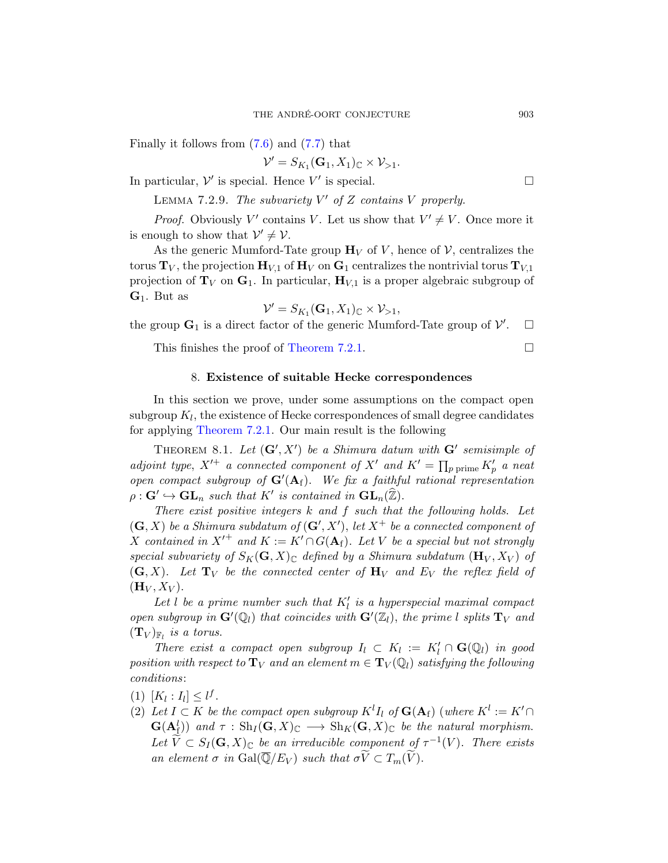Finally it follows from [\(7.6\)](#page-34-1) and [\(7.7\)](#page-35-0) that

 $\mathcal{V}' = S_{K_1}(\mathbf{G}_1, X_1)_{\mathbb{C}} \times \mathcal{V}_{>1}.$ 

In particular,  $\mathcal{V}'$  is special. Hence  $V'$  is special.

LEMMA 7.2.9. The subvariety  $V'$  of Z contains V properly.

*Proof.* Obviously V' contains V. Let us show that  $V' \neq V$ . Once more it is enough to show that  $\mathcal{V}' \neq \mathcal{V}$ .

As the generic Mumford-Tate group  $\mathbf{H}_V$  of V, hence of V, centralizes the torus  $T_V$ , the projection  $H_{V,1}$  of  $H_V$  on  $G_1$  centralizes the nontrivial torus  $T_{V,1}$ projection of  $T_V$  on  $G_1$ . In particular,  $H_{V,1}$  is a proper algebraic subgroup of  $\mathbf{G}_1$ . But as

$$
\mathcal{V}' = S_{K_1}(\mathbf{G}_1, X_1)_{\mathbb{C}} \times \mathcal{V}_{>1},
$$

the group  $\mathbf{G}_1$  is a direct factor of the generic Mumford-Tate group of  $\mathcal{V}'$  $\Box$ 

This finishes the proof of [Theorem 7.2.1.](#page-30-1)  $\Box$ 

## 8. Existence of suitable Hecke correspondences

<span id="page-36-0"></span>In this section we prove, under some assumptions on the compact open  $\mathrm{supgroup}\ K_l,$  the existence of Hecke correspondences of small degree candidates for applying [Theorem 7.2.1.](#page-30-1) Our main result is the following

<span id="page-36-1"></span>THEOREM 8.1. Let  $(G', X')$  be a Shimura datum with  $G'$  semisimple of adjoint type,  $X'^+$  a connected component of  $X'$  and  $K' = \prod_{p \text{ prime}} K'_p$  a neat open compact subgroup of  $G'(A_f)$ . We fix a faithful rational representation  $\rho: \mathbf{G}' \hookrightarrow \mathbf{GL}_n$  such that  $K'$  is contained in  $\mathbf{GL}_n(\widehat{\mathbb{Z}})$ .

There exist positive integers  $k$  and  $f$  such that the following holds. Let  $(\mathbf{G}, X)$  be a Shimura subdatum of  $(\mathbf{G}', X')$ , let  $X^+$  be a connected component of X contained in  $X'^+$  and  $K := K' \cap G(A_f)$ . Let V be a special but not strongly special subvariety of  $S_K(G, X)_\mathbb{C}$  defined by a Shimura subdatum  $(\mathbf{H}_V, X_V)$  of  $(G, X)$ . Let  $T_V$  be the connected center of  $H_V$  and  $E_V$  the reflex field of  $(\mathbf{H}_V, X_V)$ .

Let l be a prime number such that  $K_l'$  is a hyperspecial maximal compact open subgroup in  $\mathbf{G}'(\mathbb{Q}_l)$  that coincides with  $\mathbf{G}'(\mathbb{Z}_l)$ , the prime l splits  $\mathbf{T}_V$  and  $(\mathbf{T}_V)_{\mathbb{F}_l}$  is a torus.

There exist a compact open subgroup  $I_l \subset K_l := K'_l \cap \mathbf{G}(\mathbb{Q}_l)$  in good position with respect to  $T_V$  and an element  $m \in T_V(\mathbb{Q}_l)$  satisfying the following conditions:

- (1)  $[K_l : I_l] \leq l^f$ .
- (2) Let  $I \subset K$  be the compact open subgroup  $K^l I_l$  of  $\mathbf{G}(\mathbf{A}_f)$  (where  $K^l := K' \cap I_l$  $\mathbf{G}(\mathbf{A}_{\mathrm{f}}^{l})$  and  $\tau : \mathrm{Sh}_{I}(\mathbf{G},X)_{\mathbb{C}} \longrightarrow \mathrm{Sh}_{K}(\mathbf{G},X)_{\mathbb{C}}$  be the natural morphism. Let  $\widetilde{V} \subset S_I(\mathbf{G},X)_{\mathbb{C}}$  be an irreducible component of  $\tau^{-1}(V)$ . There exists an element  $\sigma$  in  $Gal(\overline{\mathbb{Q}}/E_V)$  such that  $\sigma \widetilde{V} \subset T_m(\widetilde{V})$ .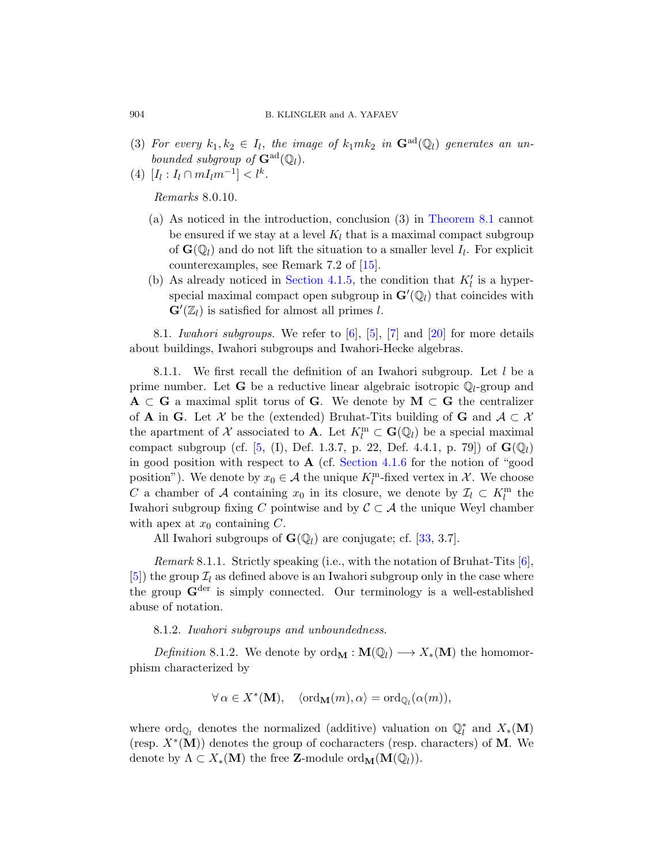- (3) For every  $k_1, k_2 \in I_l$ , the image of  $k_1mk_2$  in  $\mathbf{G}^{\text{ad}}(\mathbb{Q}_l)$  generates an unbounded subgroup of  $\mathbf{G}^{\text{ad}}(\mathbb{Q}_l)$ .
- (4)  $[I_l : I_l \cap mI_l m^{-1}] < l^k$ .

Remarks 8.0.10.

- (a) As noticed in the introduction, conclusion (3) in [Theorem 8.1](#page-36-1) cannot be ensured if we stay at a level  $K_l$  that is a maximal compact subgroup of  $\mathbf{G}(\mathbb{Q}_l)$  and do not lift the situation to a smaller level  $I_l$ . For explicit counterexamples, see Remark 7.2 of [\[15\]](#page-56-4).
- (b) As already noticed in [Section 4.1.5,](#page-20-2) the condition that  $K'_{l}$  is a hyperspecial maximal compact open subgroup in  $\mathbf{G}'(\mathbb{Q}_l)$  that coincides with  $\mathbf{G}'(\mathbb{Z}_l)$  is satisfied for almost all primes l.

<span id="page-37-0"></span>8.1. Iwahori subgroups. We refer to  $[6]$ ,  $[5]$ ,  $[7]$  and  $[20]$  for more details about buildings, Iwahori subgroups and Iwahori-Hecke algebras.

8.1.1. We first recall the definition of an Iwahori subgroup. Let l be a prime number. Let **G** be a reductive linear algebraic isotropic  $\mathbb{Q}_l$ -group and  $A \subset G$  a maximal split torus of G. We denote by  $M \subset G$  the centralizer of **A** in **G**. Let X be the (extended) Bruhat-Tits building of **G** and  $A \subset \mathcal{X}$ the apartment of X associated to **A**. Let  $K_l^m \subset \mathbf{G}(\mathbb{Q}_l)$  be a special maximal compact subgroup (cf. [\[5,](#page-55-9) (I), Def. 1.3.7, p. 22, Def. 4.4.1, p. 79]) of  $\mathbf{G}(\mathbb{Q}_l)$ in good position with respect to  $A$  (cf. [Section 4.1.6](#page-20-3) for the notion of "good position"). We denote by  $x_0 \in \mathcal{A}$  the unique  $K_l^{\text{m}}$ -fixed vertex in  $\mathcal{X}$ . We choose C a chamber of A containing  $x_0$  in its closure, we denote by  $\mathcal{I}_l \subset K_l^m$  the Iwahori subgroup fixing C pointwise and by  $\mathcal{C} \subset \mathcal{A}$  the unique Weyl chamber with apex at  $x_0$  containing C.

All Iwahori subgroups of  $\mathbf{G}(\mathbb{Q}_l)$  are conjugate; cf. [\[33,](#page-57-13) 3.7].

*Remark* 8.1.1. Strictly speaking (i.e., with the notation of Bruhat-Tits  $[6]$ , [\[5\]](#page-55-9)) the group  $\mathcal{I}_l$  as defined above is an Iwahori subgroup only in the case where the group  $\mathbf{G}^{\text{der}}$  is simply connected. Our terminology is a well-established abuse of notation.

# 8.1.2. Iwahori subgroups and unboundedness.

Definition 8.1.2. We denote by  $\text{ord}_{\mathbf{M}} : \mathbf{M}(\mathbb{Q}_l) \longrightarrow X_*(\mathbf{M})$  the homomorphism characterized by

$$
\forall \alpha \in X^*(\mathbf{M}), \quad \langle \mathrm{ord}_{\mathbf{M}}(m), \alpha \rangle = \mathrm{ord}_{\mathbb{Q}_l}(\alpha(m)),
$$

where  $\text{ord}_{\mathbb{Q}_l}$  denotes the normalized (additive) valuation on  $\mathbb{Q}_l^*$  and  $X_*(\mathbf{M})$ (resp.  $X^*(M)$ ) denotes the group of cocharacters (resp. characters) of M. We denote by  $\Lambda \subset X_*(\mathbf{M})$  the free **Z**-module ord<sub>M</sub> $(\mathbf{M}(\mathbb{Q}_l)).$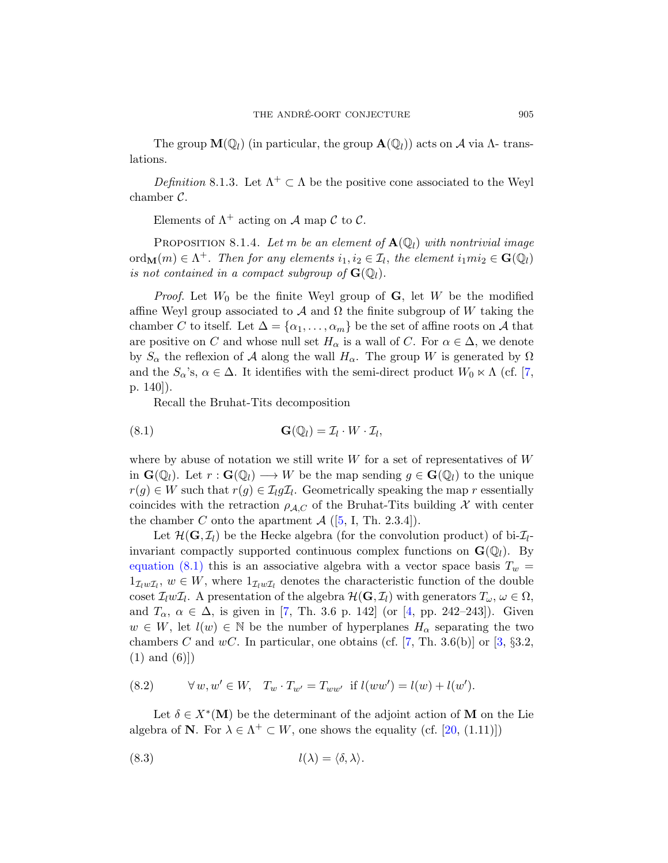The group  $\mathbf{M}(\mathbb{Q}_l)$  (in particular, the group  $\mathbf{A}(\mathbb{Q}_l)$ ) acts on A via  $\Lambda$ - translations.

Definition 8.1.3. Let  $\Lambda^+ \subset \Lambda$  be the positive cone associated to the Weyl chamber C.

Elements of  $\Lambda^+$  acting on A map C to C.

<span id="page-38-2"></span>PROPOSITION 8.1.4. Let m be an element of  $\mathbf{A}(\mathbb{Q}_l)$  with nontrivial image  $\mathrm{ord}_{\mathbf{M}}(m) \in \Lambda^+$ . Then for any elements  $i_1, i_2 \in \mathcal{I}_l$ , the element  $i_1mi_2 \in \mathbf{G}(\mathbb{Q}_l)$ is not contained in a compact subgroup of  $\mathbf{G}(\mathbb{Q}_l)$ .

*Proof.* Let  $W_0$  be the finite Weyl group of **G**, let W be the modified affine Weyl group associated to A and  $\Omega$  the finite subgroup of W taking the chamber C to itself. Let  $\Delta = {\alpha_1, \ldots, \alpha_m}$  be the set of affine roots on A that are positive on C and whose null set  $H_{\alpha}$  is a wall of C. For  $\alpha \in \Delta$ , we denote by  $S_{\alpha}$  the reflexion of A along the wall  $H_{\alpha}$ . The group W is generated by  $\Omega$ and the  $S_{\alpha}$ 's,  $\alpha \in \Delta$ . It identifies with the semi-direct product  $W_0 \ltimes \Lambda$  (cf. [\[7,](#page-55-10) p. 140]).

<span id="page-38-0"></span>Recall the Bruhat-Tits decomposition

(8.1) 
$$
\mathbf{G}(\mathbb{Q}_l) = \mathcal{I}_l \cdot W \cdot \mathcal{I}_l,
$$

where by abuse of notation we still write  $W$  for a set of representatives of  $W$ in  $\mathbf{G}(\mathbb{Q}_l)$ . Let  $r : \mathbf{G}(\mathbb{Q}_l) \longrightarrow W$  be the map sending  $g \in \mathbf{G}(\mathbb{Q}_l)$  to the unique  $r(g) \in W$  such that  $r(g) \in \mathcal{I}_l g \mathcal{I}_l$ . Geometrically speaking the map r essentially coincides with the retraction  $\rho_{A,C}$  of the Bruhat-Tits building X with center the chamber C onto the apartment  $\mathcal{A}$  ([\[5,](#page-55-9) I, Th. 2.3.4]).

Let  $\mathcal{H}(\mathbf{G}, \mathcal{I}_l)$  be the Hecke algebra (for the convolution product) of bi- $\mathcal{I}_l$ invariant compactly supported continuous complex functions on  $\mathbf{G}(\mathbb{Q}_l)$ . By [equation \(8.1\)](#page-38-0) this is an associative algebra with a vector space basis  $T_w$  =  $1_{\mathcal{I}_l w \mathcal{I}_l}$ ,  $w \in W$ , where  $1_{\mathcal{I}_l w \mathcal{I}_l}$  denotes the characteristic function of the double coset  $\mathcal{I}_l w \mathcal{I}_l$ . A presentation of the algebra  $\mathcal{H}(\mathbf{G}, \mathcal{I}_l)$  with generators  $T_{\omega}, \omega \in \Omega$ , and  $T_{\alpha}$ ,  $\alpha \in \Delta$ , is given in [\[7,](#page-55-10) Th. 3.6 p. 142] (or [\[4,](#page-55-11) pp. 242–243]). Given  $w \in W$ , let  $l(w) \in \mathbb{N}$  be the number of hyperplanes  $H_{\alpha}$  separating the two chambers C and wC. In particular, one obtains (cf. [\[7,](#page-55-10) Th. 3.6(b)] or [\[3,](#page-55-6)  $\S 3.2$ ,  $(1)$  and  $(6)|$ 

<span id="page-38-1"></span>(8.2) 
$$
\forall w, w' \in W, T_w \cdot T_{w'} = T_{ww'} \text{ if } l(ww') = l(w) + l(w').
$$

Let  $\delta \in X^*(\mathbf{M})$  be the determinant of the adjoint action of M on the Lie algebra of **N**. For  $\lambda \in \Lambda^+ \subset W$ , one shows the equality (cf. [\[20,](#page-56-12) (1.11)])

$$
l(\lambda) = \langle \delta, \lambda \rangle.
$$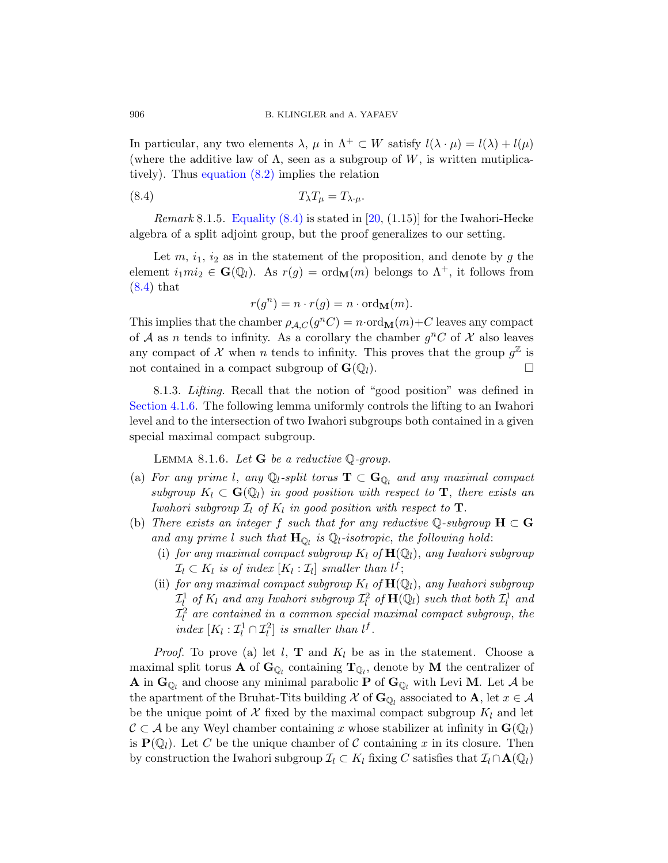In particular, any two elements  $\lambda$ ,  $\mu$  in  $\Lambda^+ \subset W$  satisfy  $l(\lambda \cdot \mu) = l(\lambda) + l(\mu)$ (where the additive law of  $\Lambda$ , seen as a subgroup of W, is written mutiplicatively). Thus [equation \(8.2\)](#page-38-1) implies the relation

$$
(8.4) \t\t T_{\lambda}T_{\mu} = T_{\lambda \cdot \mu}.
$$

*Remark* 8.1.5. Equality  $(8.4)$  is stated in [\[20,](#page-56-12)  $(1.15)$ ] for the Iwahori-Hecke algebra of a split adjoint group, but the proof generalizes to our setting.

Let  $m, i_1, i_2$  as in the statement of the proposition, and denote by g the element  $i_1mi_2 \in \mathbf{G}(\mathbb{Q}_l)$ . As  $r(g) = \text{ord}_{\mathbf{M}}(m)$  belongs to  $\Lambda^+$ , it follows from [\(8.4\)](#page-39-0) that

<span id="page-39-0"></span>
$$
r(g^n) = n \cdot r(g) = n \cdot \text{ord}_{\mathbf{M}}(m).
$$

This implies that the chamber  $\rho_{A,C}(g^nC) = n \cdot \text{ord}_{\textbf{M}}(m) + C$  leaves any compact of A as n tends to infinity. As a corollary the chamber  $g^nC$  of X also leaves any compact of X when n tends to infinity. This proves that the group  $g^{\mathbb{Z}}$  is not contained in a compact subgroup of  $\mathbf{G}(\mathbb{Q}_l)$ .

8.1.3. Lifting. Recall that the notion of "good position" was defined in [Section 4.1.6.](#page-20-3) The following lemma uniformly controls the lifting to an Iwahori level and to the intersection of two Iwahori subgroups both contained in a given special maximal compact subgroup.

LEMMA 8.1.6. Let  $G$  be a reductive  $\mathbb{Q}$ -group.

- <span id="page-39-1"></span>(a) For any prime l, any  $\mathbb{Q}_l$ -split torus  $\mathbf{T} \subset \mathbf{G}_{\mathbb{Q}_l}$  and any maximal compact subgroup  $K_l \subset \mathbf{G}(\mathbb{Q}_l)$  in good position with respect to  $\mathbf{T}$ , there exists an Iwahori subgroup  $\mathcal{I}_l$  of  $K_l$  in good position with respect to  $\mathbf{T}$ .
- (b) There exists an integer f such that for any reductive Q-subgroup  $H \subset G$ and any prime l such that  $H_{\mathbb{Q}_l}$  is  $\mathbb{Q}_l$ -isotropic, the following hold:
	- (i) for any maximal compact subgroup  $K_l$  of  $\mathbf{H}(\mathbb{Q}_l)$ , any Iwahori subgroup  $\mathcal{I}_l \subset K_l$  is of index  $[K_l : \mathcal{I}_l]$  smaller than  $l^f$ ;
	- (ii) for any maximal compact subgroup  $K_l$  of  $\mathbf{H}(\mathbb{Q}_l)$ , any Iwahori subgroup  $\mathcal{I}^1_l$  of  $K_l$  and any Iwahori subgroup  $\mathcal{I}^2_l$  of  $\mathbf{H}(\mathbb{Q}_l)$  such that both  $\mathcal{I}^1_l$  and  $\mathcal{I}^2_l$  are contained in a common special maximal compact subgroup, the index  $[K_l : \mathcal{I}_l^1 \cap \mathcal{I}_l^2]$  is smaller than  $l^f$ .

*Proof.* To prove (a) let  $l$ , **T** and  $K_l$  be as in the statement. Choose a maximal split torus **A** of  $\mathbf{G}_{\mathbb{Q}_l}$  containing  $\mathbf{T}_{\mathbb{Q}_l}$ , denote by **M** the centralizer of **A** in  $\mathbf{G}_{\mathbb{Q}_l}$  and choose any minimal parabolic **P** of  $\mathbf{G}_{\mathbb{Q}_l}$  with Levi **M**. Let A be the apartment of the Bruhat-Tits building  $\mathcal X$  of  $\mathbf{G}_{\mathbb{Q}_l}$  associated to  $\mathbf A$ , let  $x \in \mathcal A$ be the unique point of X fixed by the maximal compact subgroup  $K_l$  and let  $\mathcal{C} \subset \mathcal{A}$  be any Weyl chamber containing x whose stabilizer at infinity in  $\mathbf{G}(\mathbb{Q}_l)$ is  $\mathbf{P}(\mathbb{Q}_l)$ . Let C be the unique chamber of C containing x in its closure. Then by construction the Iwahori subgroup  $\mathcal{I}_l \subset K_l$  fixing C satisfies that  $\mathcal{I}_l \cap \mathbf{A}(\mathbb{Q}_l)$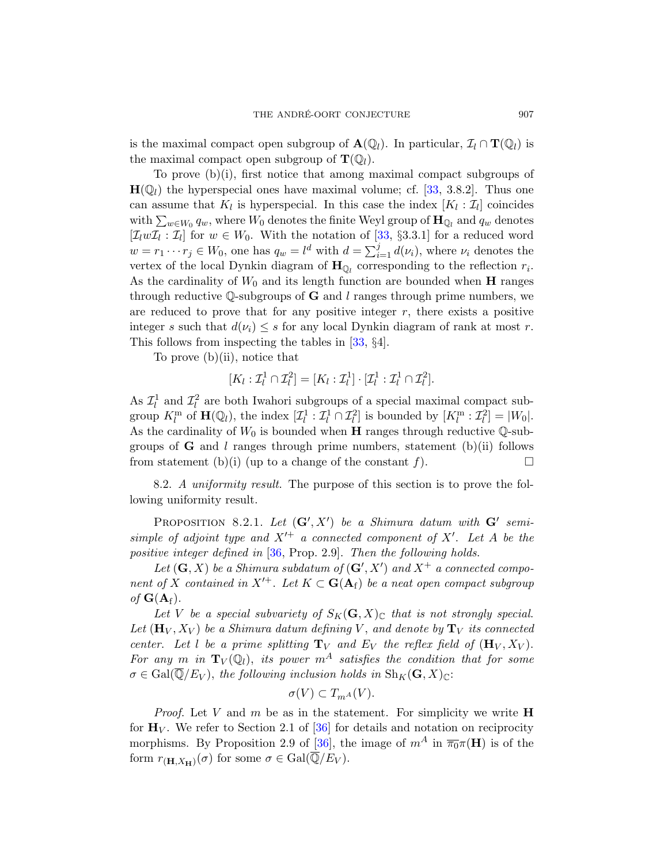is the maximal compact open subgroup of  $\mathbf{A}(\mathbb{Q}_l)$ . In particular,  $\mathcal{I}_l \cap \mathbf{T}(\mathbb{Q}_l)$  is the maximal compact open subgroup of  $\mathbf{T}(\mathbb{Q}_l)$ .

To prove (b)(i), first notice that among maximal compact subgroups of  $H(\mathbb{Q}_l)$  the hyperspecial ones have maximal volume; cf. [\[33,](#page-57-13) 3.8.2]. Thus one can assume that  $K_l$  is hyperspecial. In this case the index  $[K_l : \mathcal{I}_l]$  coincides with  $\sum_{w\in W_0} q_w$ , where  $W_0$  denotes the finite Weyl group of  $\mathbf{H}_{\mathbb{Q}_l}$  and  $q_w$  denotes  $[\mathcal{I}_l w \mathcal{I}_l : \mathcal{I}_l]$  for  $w \in W_0$ . With the notation of [\[33,](#page-57-13) §3.3.1] for a reduced word  $w = r_1 \cdots r_j \in W_0$ , one has  $q_w = l^d$  with  $d = \sum_{i=1}^j d(\nu_i)$ , where  $\nu_i$  denotes the vertex of the local Dynkin diagram of  $\mathbf{H}_{\mathbb{Q}_l}$  corresponding to the reflection  $r_i$ . As the cardinality of  $W_0$  and its length function are bounded when **H** ranges through reductive Q-subgroups of  $G$  and l ranges through prime numbers, we are reduced to prove that for any positive integer  $r$ , there exists a positive integer s such that  $d(\nu_i) \leq s$  for any local Dynkin diagram of rank at most r. This follows from inspecting the tables in [\[33,](#page-57-13) §4].

To prove  $(b)(ii)$ , notice that

$$
[K_l:\mathcal{I}_l^1\cap\mathcal{I}_l^2]=[K_l:\mathcal{I}_l^1]\cdot[\mathcal{I}_l^1:\mathcal{I}_l^1\cap\mathcal{I}_l^2].
$$

As  $\mathcal{I}_l^1$  and  $\mathcal{I}_l^2$  are both Iwahori subgroups of a special maximal compact subgroup  $K_l^m$  of  $\mathbf{H}(\mathbb{Q}_l)$ , the index  $[\mathcal{I}_l^1 : \mathcal{I}_l^1 \cap \mathcal{I}_l^2]$  is bounded by  $[K_l^m : \mathcal{I}_l^2] = |W_0|$ . As the cardinality of  $W_0$  is bounded when **H** ranges through reductive  $\mathbb{Q}$ -subgroups of **G** and l ranges through prime numbers, statement (b)(ii) follows from statement (b)(i) (up to a change of the constant f).  $\square$ 

<span id="page-40-0"></span>8.2. A uniformity result. The purpose of this section is to prove the following uniformity result.

<span id="page-40-1"></span>PROPOSITION 8.2.1. Let  $(G', X')$  be a Shimura datum with  $G'$  semisimple of adjoint type and  $X'^+$  a connected component of  $X'$ . Let A be the positive integer defined in [\[36,](#page-57-1) Prop. 2.9]. Then the following holds.

Let  $(G, X)$  be a Shimura subdatum of  $(G', X')$  and  $X^+$  a connected component of X contained in  $X'^+$ . Let  $K \subset \mathbf{G}(\mathbf{A}_f)$  be a neat open compact subgroup of  $G(A_f)$ .

Let V be a special subvariety of  $S_K(G, X)_\mathbb{C}$  that is not strongly special. Let  $(\mathbf{H}_V, X_V)$  be a Shimura datum defining V, and denote by  $\mathbf{T}_V$  its connected center. Let l be a prime splitting  $T_V$  and  $E_V$  the reflex field of  $(H_V, X_V)$ . For any m in  $T_V(\mathbb{Q}_l)$ , its power  $m^A$  satisfies the condition that for some  $\sigma \in \text{Gal}(\mathbb{Q}/E_V)$ , the following inclusion holds in  $\text{Sh}_K(\mathbf{G}, X)_{\mathbb{C}}$ :

$$
\sigma(V) \subset T_{m^A}(V).
$$

*Proof.* Let V and m be as in the statement. For simplicity we write  $\bf{H}$ for  $H_V$ . We refer to Section 2.1 of [\[36\]](#page-57-1) for details and notation on reciprocity morphisms. By Proposition 2.9 of [\[36\]](#page-57-1), the image of  $m^A$  in  $\overline{\pi_0}\pi(\mathbf{H})$  is of the form  $r_{(\mathbf{H}, X_{\mathbf{H}})}(\sigma)$  for some  $\sigma \in \text{Gal}(\overline{\mathbb{Q}}/E_V)$ .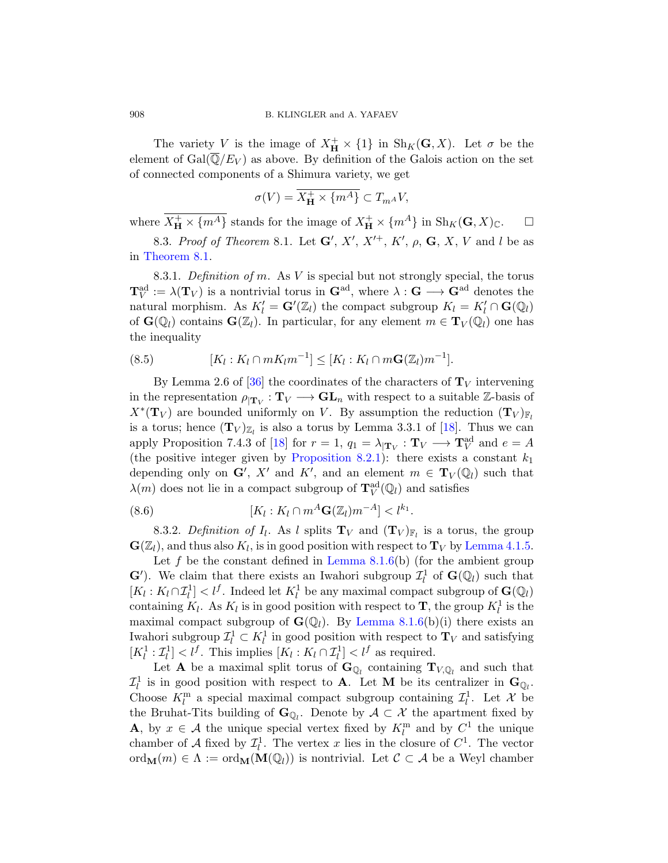The variety V is the image of  $X_{\mathbf{H}}^{+} \times \{1\}$  in  $\text{Sh}_K(\mathbf{G}, X)$ . Let  $\sigma$  be the element of  $Gal(\overline{\mathbb{Q}}/E_V)$  as above. By definition of the Galois action on the set of connected components of a Shimura variety, we get

$$
\sigma(V) = \overline{X_{\mathbf{H}}^{+} \times \{m^{A}\}} \subset T_{m^{A}}V,
$$

where  $\overline{X_H^+} \times \{m^A\}$  stands for the image of  $X_H^+ \times \{m^A\}$  in  $\text{Sh}_K(\mathbf{G}, X)_{\mathbb{C}}$ .  $\Box$ 

<span id="page-41-0"></span>8.3. Proof of Theorem 8.1. Let  $\mathbf{G}', X', X'^{+}, K', \rho, \mathbf{G}, X, V$  and l be as in [Theorem 8.1.](#page-36-1)

8.3.1. Definition of m. As  $V$  is special but not strongly special, the torus  ${\bf T}_V^{\rm ad}:=\lambda({\bf T}_V)$  is a nontrivial torus in  ${\bf G}^{\rm ad}$ , where  $\lambda:{\bf G}\longrightarrow {\bf G}^{\rm ad}$  denotes the natural morphism. As  $K'_l = \mathbf{G}'(\mathbb{Z}_l)$  the compact subgroup  $K_l = K'_l \cap \mathbf{G}(\mathbb{Q}_l)$ of  $\mathbf{G}(\mathbb{Q}_l)$  contains  $\mathbf{G}(\mathbb{Z}_l)$ . In particular, for any element  $m \in \mathbf{T}_V(\mathbb{Q}_l)$  one has the inequality

<span id="page-41-2"></span>(8.5) 
$$
[K_l : K_l \cap mK_lm^{-1}] \leq [K_l : K_l \cap m\mathbf{G}(\mathbb{Z}_l)m^{-1}].
$$

By Lemma 2.6 of [\[36\]](#page-57-1) the coordinates of the characters of  $T_V$  intervening in the representation  $\rho_{\mid \mathbf{T}_V} : \mathbf{T}_V \longrightarrow \mathbf{GL}_n$  with respect to a suitable  $\mathbb{Z}$ -basis of  $X^*(\mathbf{T}_V)$  are bounded uniformly on V. By assumption the reduction  $(\mathbf{T}_V)_{\mathbb{F}_l}$ is a torus; hence  $(T_V)_{\mathbb{Z}_l}$  is also a torus by Lemma 3.3.1 of [\[18\]](#page-56-2). Thus we can apply Proposition 7.4.3 of [\[18\]](#page-56-2) for  $r = 1$ ,  $q_1 = \lambda_{\vert \mathbf{T}_V} : \mathbf{T}_V \longrightarrow \mathbf{T}_V^{\text{ad}}$  and  $e = A$ (the positive integer given by [Proposition 8.2.1\)](#page-40-1): there exists a constant  $k_1$ depending only on  $\mathbf{G}'$ , X' and K', and an element  $m \in \mathbf{T}_V(\mathbb{Q}_l)$  such that  $\lambda(m)$  does not lie in a compact subgroup of  $\mathbf{T}_V^{\text{ad}}(\mathbb{Q}_l)$  and satisfies

<span id="page-41-1"></span>(8.6) 
$$
[K_l:K_l\cap m^A\mathbf{G}(\mathbb{Z}_l)m^{-A}] < l^{k_1}.
$$

8.3.2. Definition of  $I_l$ . As l splits  $\mathbf{T}_V$  and  $(\mathbf{T}_V)_{\mathbb{F}_l}$  is a torus, the group  $\mathbf{G}(\mathbb{Z}_l)$ , and thus also  $K_l$ , is in good position with respect to  $\mathbf{T}_V$  by [Lemma 4.1.5.](#page-20-4)

Let f be the constant defined in Lemma  $8.1.6(b)$  (for the ambient group  $\mathbf{G}'$ ). We claim that there exists an Iwahori subgroup  $\mathcal{I}_l^1$  of  $\mathbf{G}(\mathbb{Q}_l)$  such that  $[K_l: K_l \cap \mathcal{I}_l^1] < l^f$ . Indeed let  $K_l^1$  be any maximal compact subgroup of  $\mathbf{G}(\mathbb{Q}_l)$ containing  $K_l$ . As  $K_l$  is in good position with respect to **T**, the group  $K_l^1$  is the maximal compact subgroup of  $\mathbf{G}(\mathbb{Q}_l)$ . By [Lemma 8.1.6\(](#page-39-1)b)(i) there exists an Iwahori subgroup  $\mathcal{I}_l^1 \subset K_l^1$  in good position with respect to  $\mathbf{T}_V$  and satisfying  $[K_l^1 : \mathcal{I}_l^1] < l^f$ . This implies  $[K_l : K_l \cap \mathcal{I}_l^1] < l^f$  as required.

Let **A** be a maximal split torus of  $\mathbf{G}_{\mathbb{Q}_l}$  containing  $\mathbf{T}_{V,\mathbb{Q}_l}$  and such that  $\mathcal{I}_l^1$  is in good position with respect to **A**. Let **M** be its centralizer in  $\mathbf{G}_{\mathbb{Q}_l}$ . Choose  $K_l^{\text{m}}$  a special maximal compact subgroup containing  $\mathcal{I}_l^1$ . Let X be the Bruhat-Tits building of  $\mathbf{G}_{\mathbb{Q}_l}$ . Denote by  $\mathcal{A} \subset \mathcal{X}$  the apartment fixed by **A**, by  $x \in A$  the unique special vertex fixed by  $K_l^m$  and by  $C^1$  the unique chamber of A fixed by  $\mathcal{I}_l^1$ . The vertex x lies in the closure of  $C^1$ . The vector ord $M(m) \in \Lambda := \text{ord}_{M}(M(\mathbb{Q}_{l}))$  is nontrivial. Let  $C \subset \mathcal{A}$  be a Weyl chamber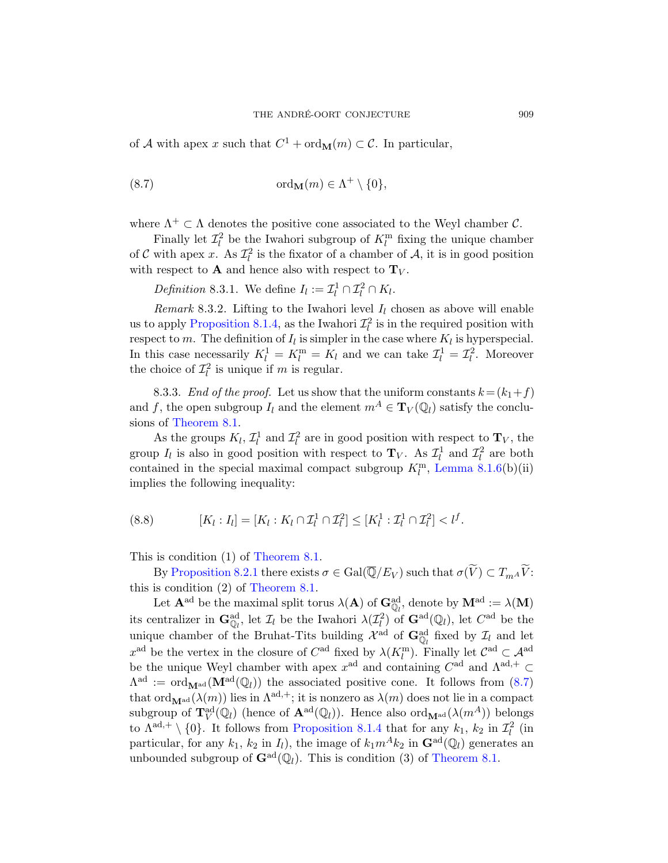of A with apex x such that  $C^1$  + ord $_M(m) \subset \mathcal{C}$ . In particular,

<span id="page-42-0"></span>(8.7) 
$$
\text{ord}_{\mathbf{M}}(m) \in \Lambda^+ \setminus \{0\},
$$

where  $\Lambda^+ \subset \Lambda$  denotes the positive cone associated to the Weyl chamber C.

Finally let  $\mathcal{I}_l^2$  be the Iwahori subgroup of  $K_l^{\text{m}}$  fixing the unique chamber of C with apex x. As  $\mathcal{I}_l^2$  is the fixator of a chamber of A, it is in good position with respect to **A** and hence also with respect to  $T_V$ .

*Definition* 8.3.1. We define  $I_l := \mathcal{I}_l^1 \cap \mathcal{I}_l^2 \cap K_l$ .

Remark 8.3.2. Lifting to the Iwahori level  $I_l$  chosen as above will enable us to apply [Proposition 8.1.4,](#page-38-2) as the Iwahori  $\mathcal{I}_l^2$  is in the required position with respect to m. The definition of  $I_l$  is simpler in the case where  $K_l$  is hyperspecial. In this case necessarily  $K_l^1 = K_l^m = K_l$  and we can take  $\mathcal{I}_l^1 = \mathcal{I}_l^2$ . Moreover the choice of  $\mathcal{I}_l^2$  is unique if m is regular.

8.3.3. End of the proof. Let us show that the uniform constants  $k = (k_1 + f)$ and f, the open subgroup  $I_l$  and the element  $m^A \in {\bf T}_V(\mathbb{Q}_l)$  satisfy the conclusions of [Theorem 8.1.](#page-36-1)

As the groups  $K_l$ ,  $\mathcal{I}_l^1$  and  $\mathcal{I}_l^2$  are in good position with respect to  $\mathbf{T}_V$ , the group  $I_l$  is also in good position with respect to  $\mathbf{T}_V$ . As  $\mathcal{I}_l^1$  and  $\mathcal{I}_l^2$  are both contained in the special maximal compact subgroup  $K_l^{\text{m}}$ , [Lemma 8.1.6\(](#page-39-1)b)(ii) implies the following inequality:

<span id="page-42-1"></span>
$$
(8.8) \qquad [K_l : I_l] = [K_l : K_l \cap \mathcal{I}_l^1 \cap \mathcal{I}_l^2] \leq [K_l^1 : \mathcal{I}_l^1 \cap \mathcal{I}_l^2] < l^f.
$$

This is condition (1) of [Theorem 8.1.](#page-36-1)

By [Proposition 8.2.1](#page-40-1) there exists  $\sigma \in \text{Gal}(\overline{\mathbb{Q}}/E_V)$  such that  $\sigma(\widetilde{V}) \subset T_{m^A}\widetilde{V}$ : this is condition (2) of [Theorem 8.1.](#page-36-1)

Let  $\mathbf{A}^{\text{ad}}$  be the maximal split torus  $\lambda(\mathbf{A})$  of  $\mathbf{G}_{\mathbb{Q}_l}^{\text{ad}}$ , denote by  $\mathbf{M}^{\text{ad}} := \lambda(\mathbf{M})$ its centralizer in  $\mathbf{G}_{\mathbb{Q}_l}^{\text{ad}}$ , let  $\mathcal{I}_l$  be the Iwahori  $\lambda(\mathcal{I}_l^2)$  of  $\mathbf{G}^{\text{ad}}(\mathbb{Q}_l)$ , let  $C^{\text{ad}}$  be the unique chamber of the Bruhat-Tits building  $\mathcal{X}^{\text{ad}}$  of  $\mathbf{G}_{\mathbb{Q}_l}^{\text{ad}}$  fixed by  $\mathcal{I}_l$  and let  $x^{\text{ad}}$  be the vertex in the closure of  $C^{\text{ad}}$  fixed by  $\lambda(K_l^{\text{m}})$ . Finally let  $C^{\text{ad}} \subset \mathcal{A}^{\text{ad}}$ be the unique Weyl chamber with apex  $x^{\text{ad}}$  and containing  $C^{\text{ad}}$  and  $\Lambda^{\text{ad},+} \subset$  $\Lambda^{\rm ad} := {\rm ord}_{\mathbf{M}^{\rm ad}}(\mathbf{M}^{\rm ad}(\mathbb{Q}_l))$  the associated positive cone. It follows from  $(8.7)$ that ord<sub>Mad</sub>( $\lambda(m)$ ) lies in  $\Lambda^{ad,+}$ ; it is nonzero as  $\lambda(m)$  does not lie in a compact subgroup of  $\mathbf{T}_V^{\rm ad}(\mathbb{Q}_l)$  (hence of  $\mathbf{A}^{\rm ad}(\mathbb{Q}_l)$ ). Hence also  $\rm{ord}_{\mathbf{M}^{\rm ad}}(\lambda(m^A))$  belongs to  $\Lambda^{ad,+} \setminus \{0\}$ . It follows from [Proposition 8.1.4](#page-38-2) that for any  $k_1$ ,  $k_2$  in  $\mathcal{I}_l^2$  (in particular, for any  $k_1$ ,  $k_2$  in  $I_l$ ), the image of  $k_1m^Ak_2$  in  $\mathbf{G}^{\text{ad}}(\mathbb{Q}_l)$  generates an unbounded subgroup of  $\mathbf{G}^{\text{ad}}(\mathbb{Q}_l)$ . This is condition (3) of [Theorem 8.1.](#page-36-1)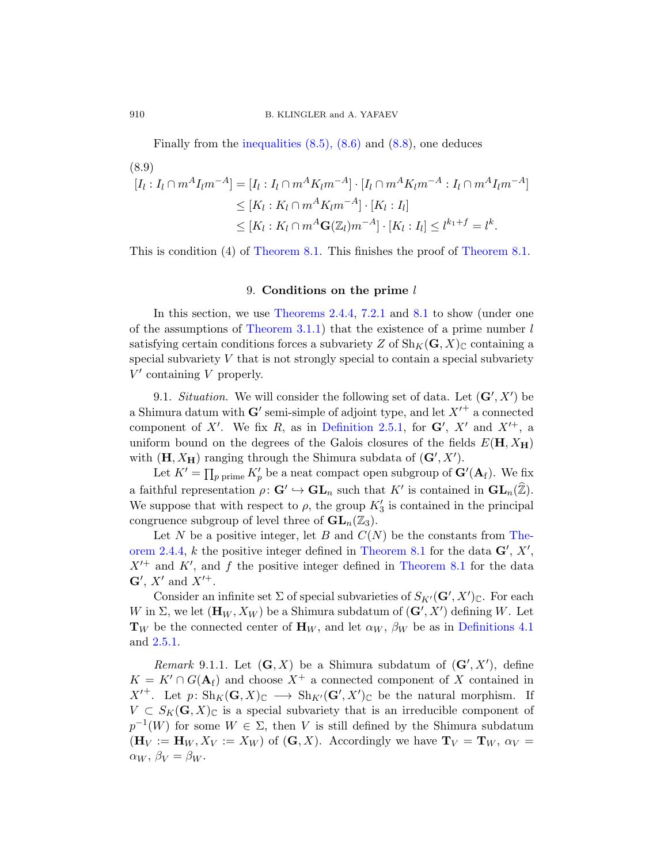Finally from the inequalities  $(8.5)$ ,  $(8.6)$  and  $(8.8)$ , one deduces  $(8.0)$ 

$$
[I_l : I_l \cap m^A I_l m^{-A}] = [I_l : I_l \cap m^A K_l m^{-A}] \cdot [I_l \cap m^A K_l m^{-A} : I_l \cap m^A I_l m^{-A}]
$$
  
\n
$$
\leq [K_l : K_l \cap m^A K_l m^{-A}] \cdot [K_l : I_l]
$$
  
\n
$$
\leq [K_l : K_l \cap m^A \mathbf{G}(\mathbb{Z}_l) m^{-A}] \cdot [K_l : I_l] \leq l^{k_1 + f} = l^k.
$$

This is condition (4) of [Theorem 8.1.](#page-36-1) This finishes the proof of [Theorem 8.1.](#page-36-1)

# 9. Conditions on the prime l

<span id="page-43-0"></span>In this section, we use [Theorems 2.4.4,](#page-9-0) [7.2.1](#page-30-1) and [8.1](#page-36-1) to show (under one of the assumptions of [Theorem 3.1.1\)](#page-11-2) that the existence of a prime number  $l$ satisfying certain conditions forces a subvariety Z of  $\text{Sh}_K(G, X)_{\mathbb{C}}$  containing a special subvariety  $V$  that is not strongly special to contain a special subvariety  $V'$  containing  $V$  properly.

<span id="page-43-1"></span>9.1. Situation. We will consider the following set of data. Let  $(G', X')$  be a Shimura datum with  $\mathbf{G}'$  semi-simple of adjoint type, and let  $X'^+$  a connected component of X'. We fix R, as in [Definition 2.5.1,](#page-10-2) for  $G'$ , X' and  $X'^{+}$ , a uniform bound on the degrees of the Galois closures of the fields  $E(H, X_H)$ with  $(\mathbf{H}, X_{\mathbf{H}})$  ranging through the Shimura subdata of  $(\mathbf{G}', X')$ .

Let  $K' = \prod_{p \text{ prime}} K'_p$  be a neat compact open subgroup of  $\mathbf{G}'(\mathbf{A}_f)$ . We fix a faithful representation  $\rho: G' \hookrightarrow \mathbf{GL}_n$  such that  $K'$  is contained in  $\mathbf{GL}_n(\widehat{\mathbb{Z}})$ . We suppose that with respect to  $\rho$ , the group  $K_3'$  is contained in the principal congruence subgroup of level three of  $GL_n(\mathbb{Z}_3)$ .

Let N be a positive integer, let B and  $C(N)$  be the constants from [The](#page-9-0)[orem 2.4.4,](#page-9-0) k the positive integer defined in [Theorem 8.1](#page-36-1) for the data  $\mathbf{G}', X'$ ,  $X'^{+}$  and  $K'$ , and f the positive integer defined in [Theorem 8.1](#page-36-1) for the data  $\mathbf{G}', X'$  and  $X'^+$ .

Consider an infinite set  $\Sigma$  of special subvarieties of  $S_{K'}(\mathbf{G}', X')_{\mathbb{C}}$ . For each W in  $\Sigma$ , we let  $(\mathbf{H}_W, X_W)$  be a Shimura subdatum of  $(\mathbf{G}', X')$  defining W. Let  $\mathbf{T}_W$  be the connected center of  $\mathbf{H}_W$ , and let  $\alpha_W$ ,  $\beta_W$  be as in [Definitions 4.1](#page-17-1) and [2.5.1.](#page-10-2)

Remark 9.1.1. Let  $(G, X)$  be a Shimura subdatum of  $(G', X')$ , define  $K = K' \cap G(A_f)$  and choose  $X^+$  a connected component of X contained in  $X'^+$ . Let  $p: Sh_K(G,X)_{\mathbb{C}} \longrightarrow Sh_{K'}(G',X')_{\mathbb{C}}$  be the natural morphism. If  $V \subset S_K(G,X)_\mathbb{C}$  is a special subvariety that is an irreducible component of  $p^{-1}(W)$  for some  $W \in \Sigma$ , then V is still defined by the Shimura subdatum  $(\mathbf{H}_V := \mathbf{H}_W, X_V := X_W)$  of  $(\mathbf{G}, X)$ . Accordingly we have  $\mathbf{T}_V = \mathbf{T}_W, \alpha_V =$  $\alpha_W, \, \beta_V = \beta_W.$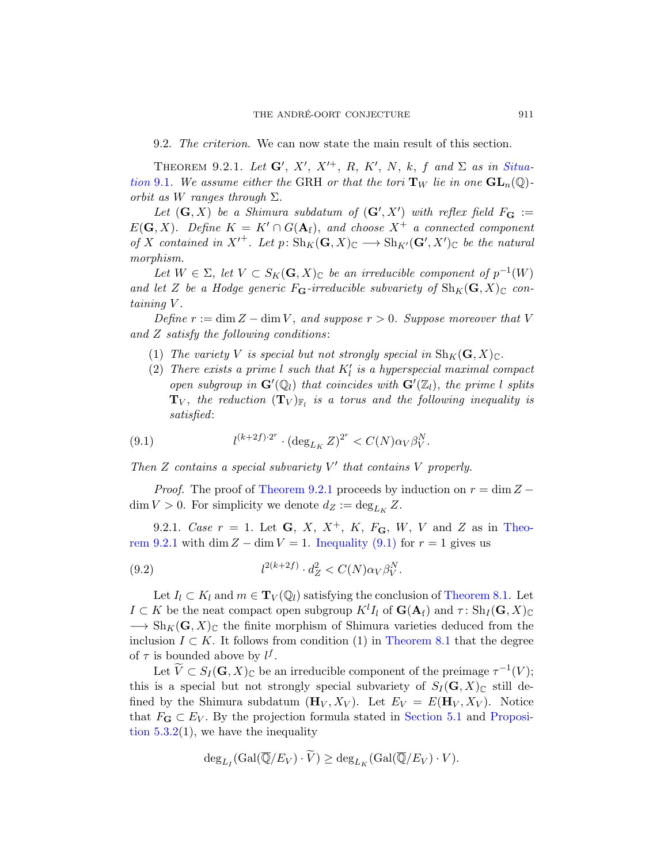<span id="page-44-0"></span>9.2. The criterion. We can now state the main result of this section.

<span id="page-44-2"></span>THEOREM 9.2.1. Let  $G', X', X'^{+}, R, K', N, k, f$  and  $\Sigma$  as in [Situa](#page-43-1)[tion](#page-43-1) 9.1. We assume either the GRH or that the tori  $T_W$  lie in one  $GL_n(\mathbb{Q})$ orbit as W ranges through  $\Sigma$ .

Let  $(G, X)$  be a Shimura subdatum of  $(G', X')$  with reflex field  $F_G :=$  $E(G, X)$ . Define  $K = K' \cap G(A_f)$ , and choose  $X^+$  a connected component of X contained in  $X'^+$ . Let  $p: Sh_K(G,X)_{\mathbb{C}} \longrightarrow Sh_{K'}(G',X')_{\mathbb{C}}$  be the natural morphism.

Let  $W \in \Sigma$ , let  $V \subset S_K(G,X)_{\mathbb{C}}$  be an irreducible component of  $p^{-1}(W)$ and let Z be a Hodge generic  $F_{\mathbf{G}}$ -irreducible subvariety of  $\mathrm{Sh}_K(\mathbf{G}, X)_{\mathbb{C}}$  containing V.

Define  $r := \dim Z - \dim V$ , and suppose  $r > 0$ . Suppose moreover that V and Z satisfy the following conditions :

- (1) The variety V is special but not strongly special in  $\text{Sh}_K(G, X)_{\mathbb{C}}$ .
- (2) There exists a prime  $l$  such that  $K_l'$  is a hyperspecial maximal compact open subgroup in  $\mathbf{G}'(\mathbb{Q}_l)$  that coincides with  $\mathbf{G}'(\mathbb{Z}_l)$ , the prime l splits  $\mathbf{T}_V,$  the reduction  $(\mathbf{T}_V)_{\mathbb{F}_l}$  is a torus and the following inequality is satisfied:

<span id="page-44-3"></span>(9.1) 
$$
l^{(k+2f)\cdot 2^r} \cdot (\deg_{L_K} Z)^{2^r} < C(N) \alpha_V \beta_V^N.
$$

Then  $Z$  contains a special subvariety  $V'$  that contains  $V$  properly.

*Proof.* The proof of [Theorem 9.2.1](#page-44-2) proceeds by induction on  $r = \dim Z \dim V > 0$ . For simplicity we denote  $d_Z := \deg_{L_K} Z$ .

<span id="page-44-1"></span>9.2.1. Case  $r = 1$ . Let G, X,  $X^+$ , K,  $F_G$ , W, V and Z as in [Theo](#page-44-2)[rem 9.2.1](#page-44-2) with dim  $Z - \dim V = 1$ . [Inequality \(9.1\)](#page-44-3) for  $r = 1$  gives us

<span id="page-44-4"></span>(9.2) 
$$
l^{2(k+2f)} \cdot d_Z^2 < C(N) \alpha_V \beta_V^N.
$$

Let  $I_l \subset K_l$  and  $m \in {\bf T}_V(\mathbb{Q}_l)$  satisfying the conclusion of [Theorem 8.1.](#page-36-1) Let  $I \subset K$  be the neat compact open subgroup  $K^l I_l$  of  $\mathbf{G}(\mathbf{A}_f)$  and  $\tau \colon \mathrm{Sh}_I(\mathbf{G}, X)_{\mathbb{C}}$  $\longrightarrow Sh_K(G, X)_\mathbb{C}$  the finite morphism of Shimura varieties deduced from the inclusion  $I \subset K$ . It follows from condition (1) in [Theorem 8.1](#page-36-1) that the degree of  $\tau$  is bounded above by  $l^f$ .

Let  $\widetilde{V} \subset S_I(\mathbf{G}, X)_{\mathbb{C}}$  be an irreducible component of the preimage  $\tau^{-1}(V)$ ; this is a special but not strongly special subvariety of  $S_I(G, X)_{\mathbb{C}}$  still defined by the Shimura subdatum  $(\mathbf{H}_V, X_V)$ . Let  $E_V = E(\mathbf{H}_V, X_V)$ . Notice that  $F_{\mathbf{G}} \subset E_V$ . By the projection formula stated in [Section 5.1](#page-21-1) and [Proposi](#page-22-3)tion  $5.3.2(1)$ , we have the inequality

$$
\mathrm{deg}_{L_I}(\mathrm{Gal}(\overline{\mathbb{Q}}/E_V)\cdot \widetilde{V})\geq \mathrm{deg}_{L_K}(\mathrm{Gal}(\overline{\mathbb{Q}}/E_V)\cdot V).
$$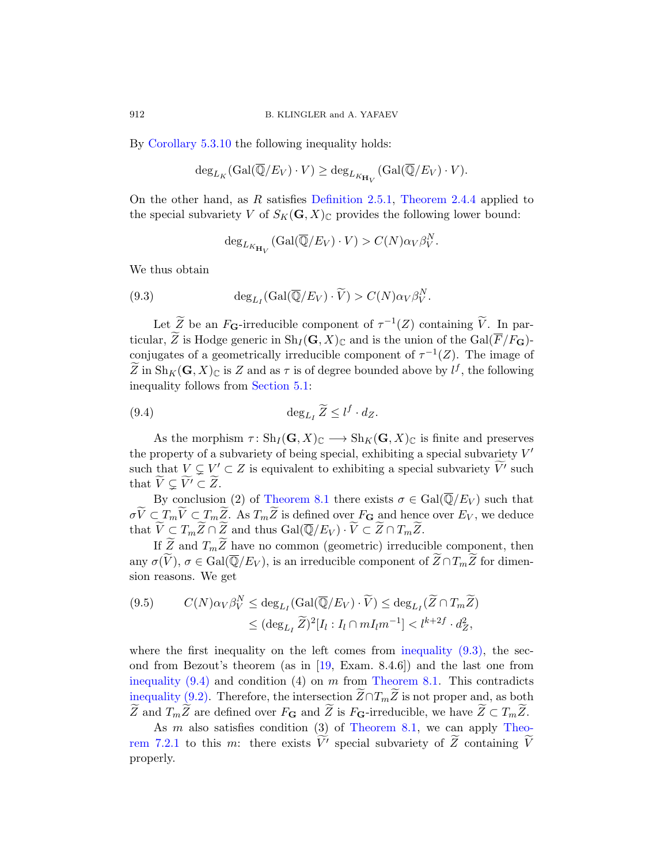By [Corollary 5.3.10](#page-27-1) the following inequality holds:

$$
\deg_{L_K}(\mathrm{Gal}(\overline{\mathbb{Q}}/E_V)\cdot V)\geq \deg_{L_{K_{\mathbf{H}_V}}}(\mathrm{Gal}(\overline{\mathbb{Q}}/E_V)\cdot V).
$$

On the other hand, as R satisfies [Definition 2.5.1,](#page-10-2) [Theorem 2.4.4](#page-9-0) applied to the special subvariety V of  $S_K(\mathbf{G}, X)_{\mathbb{C}}$  provides the following lower bound:

<span id="page-45-0"></span>
$$
\deg_{L_{K_{\mathbf{H}_V}}}(\mathrm{Gal}(\overline{\mathbb{Q}}/E_V)\cdot V) > C(N)\alpha_V\beta_V^N.
$$

We thus obtain

(9.3) 
$$
\deg_{L_I}(\text{Gal}(\overline{\mathbb{Q}}/E_V)\cdot\widetilde{V})>C(N)\alpha_V\beta_V^N.
$$

Let  $\widetilde{Z}$  be an  $F_G$ -irreducible component of  $\tau^{-1}(Z)$  containing  $\widetilde{V}$ . In particular, Z is Hodge generic in  $\text{Sh}_I(\mathbf{G}, X)_{\mathbb{C}}$  and is the union of the  $\text{Gal}(\overline{F}/F_\mathbf{G})$ conjugates of a geometrically irreducible component of  $\tau^{-1}(Z)$ . The image of  $\widetilde{Z}$  in  $\text{Sh}_K(\mathbf{G}, X)_{\mathbb{C}}$  is Z and as  $\tau$  is of degree bounded above by  $l^f$ , the following inequality follows from [Section 5.1:](#page-21-1)

<span id="page-45-1"></span>(9.4) 
$$
\deg_{L_I} \widetilde{Z} \leq l^f \cdot d_Z.
$$

As the morphism  $\tau: Sh_I(\mathbf{G},X)_{\mathbb{C}} \longrightarrow Sh_K(\mathbf{G},X)_{\mathbb{C}}$  is finite and preserves the property of a subvariety of being special, exhibiting a special subvariety  $V'$ such that  $\underline{V} \subsetneq \underline{V}' \subset \underline{Z}$  is equivalent to exhibiting a special subvariety  $\widetilde{V'}$  such that  $\widetilde{V} \subsetneq \widetilde{V'} \subset \widetilde{Z}$ .

By conclusion (2) of [Theorem 8.1](#page-36-1) there exists  $\sigma \in \text{Gal}(\overline{\mathbb{Q}}/E_V)$  such that  $\sigma V \subset T_m V \subset T_m Z$ . As  $T_m Z$  is defined over  $F_G$  and hence over  $E_V$ , we deduce that  $\widetilde{V} \subset T_m \widetilde{Z} \cap \widetilde{Z}$  and thus  $\text{Gal}(\overline{\mathbb{Q}}/E_V) \cdot \widetilde{V} \subset \widetilde{Z} \cap T_m \widetilde{Z}$ .

If Z and  $T_m Z$  have no common (geometric) irreducible component, then any  $\sigma(\widetilde{V}), \sigma \in \text{Gal}(\overline{\mathbb{Q}}/E_V)$ , is an irreducible component of  $\widetilde{Z} \cap T_m \widetilde{Z}$  for dimension reasons. We get

<span id="page-45-2"></span>(9.5) 
$$
C(N)\alpha_V\beta_V^N \le \deg_{L_I}(\text{Gal}(\overline{\mathbb{Q}}/E_V) \cdot \widetilde{V}) \le \deg_{L_I}(\widetilde{Z} \cap T_m \widetilde{Z}) \le (\deg_{L_I} \widetilde{Z})^2[I_l : I_l \cap mI_lm^{-1}] < l^{k+2f} \cdot d_Z^2,
$$

where the first inequality on the left comes from inequality  $(9.3)$ , the second from Bezout's theorem (as in [\[19,](#page-56-13) Exam. 8.4.6]) and the last one from inequality  $(9.4)$  and condition  $(4)$  on m from [Theorem 8.1.](#page-36-1) This contradicts [inequality \(9.2\).](#page-44-4) Therefore, the intersection  $Z \cap T_m Z$  is not proper and, as both Z and  $T_m Z$  are defined over  $F_G$  and Z is  $F_G$ -irreducible, we have  $Z \subset T_m Z$ .

As  $m$  also satisfies condition (3) of [Theorem 8.1,](#page-36-1) we can apply [Theo](#page-30-1)[rem 7.2.1](#page-30-1) to this *m*: there exists  $\overline{V}'$  special subvariety of  $\overline{Z}$  containing  $\overline{V}$ properly.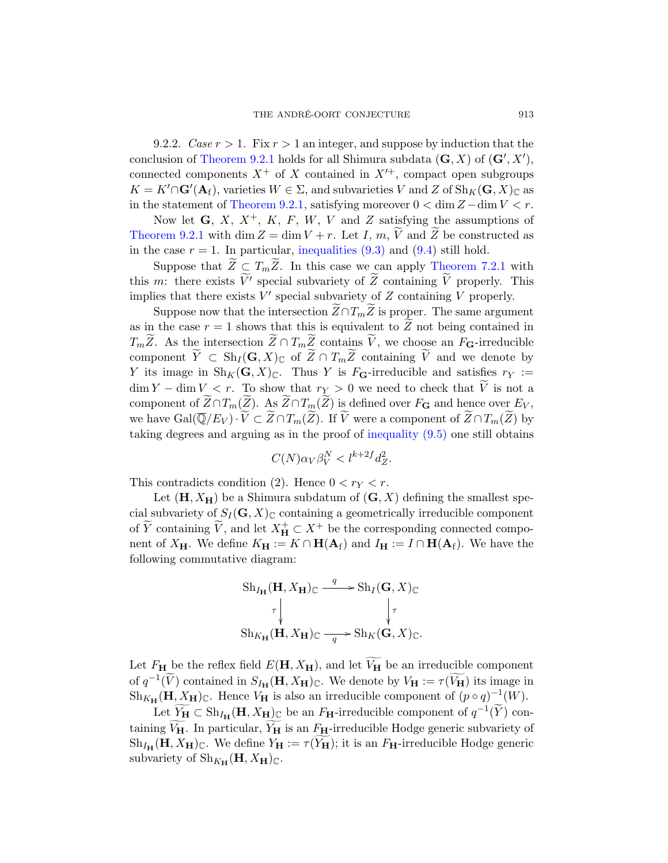9.2.2. Case  $r > 1$ . Fix  $r > 1$  an integer, and suppose by induction that the conclusion of [Theorem 9.2.1](#page-44-2) holds for all Shimura subdata  $(G, X)$  of  $(G', X')$ , connected components  $X^+$  of X contained in  $X'^+$ , compact open subgroups  $K = K' \cap \mathbf{G}'(\mathbf{A}_{f}),$  varieties  $W \in \Sigma$ , and subvarieties V and Z of  $\text{Sh}_{K}(\mathbf{G}, X)_{\mathbb{C}}$  as in the statement of [Theorem 9.2.1,](#page-44-2) satisfying moreover  $0 < \dim Z - \dim V < r$ .

Now let  $G, X, X^+, K, F, W, V$  and Z satisfying the assumptions of [Theorem 9.2.1](#page-44-2) with dim  $Z = \dim V + r$ . Let I, m, V and Z be constructed as in the case  $r = 1$ . In particular, [inequalities \(9.3\)](#page-45-0) and [\(9.4\)](#page-45-1) still hold.

Suppose that  $Z \subseteq T_m Z$ . In this case we can apply [Theorem 7.2.1](#page-30-1) with this m: there exists  $\overline{V}'$  special subvariety of  $\overline{Z}$  containing  $\overline{V}$  properly. This implies that there exists  $V'$  special subvariety of  $Z$  containing  $V$  properly.

Suppose now that the intersection  $Z \cap T_m Z$  is proper. The same argument as in the case  $r = 1$  shows that this is equivalent to Z not being contained in  $T_m Z$ . As the intersection  $Z \cap T_m Z$  contains V, we choose an  $F_G$ -irreducible component  $Y \subset Sh_I(G,X)_{\mathbb{C}}$  of  $Z \cap T_m Z$  containing V and we denote by Y its image in  $\text{Sh}_K(G, X)_{\mathbb{C}}$ . Thus Y is  $F_G$ -irreducible and satisfies  $r_Y :=$  $\dim Y - \dim V < r$ . To show that  $r_Y > 0$  we need to check that V is not a component of  $Z \cap T_m(Z)$ . As  $Z \cap T_m(Z)$  is defined over  $F_G$  and hence over  $E_V$ , we have  $Gal(\overline{\mathbb{Q}}/E_V) \cdot \widetilde{V} \subset \widetilde{Z} \cap T_m(\widetilde{Z})$ . If  $\widetilde{V}$  were a component of  $\widetilde{Z} \cap T_m(\widetilde{Z})$  by taking degrees and arguing as in the proof of [inequality \(9.5\)](#page-45-2) one still obtains

$$
C(N)\alpha_V\beta_V^N < l^{k+2f}d_Z^2.
$$

This contradicts condition (2). Hence  $0 < r_Y < r$ .

Let  $(H, X_H)$  be a Shimura subdatum of  $(G, X)$  defining the smallest special subvariety of  $S_I(G, X)_{\mathbb{C}}$  containing a geometrically irreducible component of  $\widetilde{Y}$  containing  $\widetilde{V}$ , and let  $X_{\mathbf{H}}^{+} \subset X^{+}$  be the corresponding connected component of  $X_{\mathbf{H}}$ . We define  $K_{\mathbf{H}} := K \cap \mathbf{H}(\mathbf{A}_{f})$  and  $I_{\mathbf{H}} := I \cap \mathbf{H}(\mathbf{A}_{f})$ . We have the following commutative diagram:

$$
\operatorname{Sh}_{I_{\mathbf{H}}}(\mathbf{H}, X_{\mathbf{H}})_{\mathbb{C}} \xrightarrow{q} \operatorname{Sh}_{I}(\mathbf{G}, X)_{\mathbb{C}}
$$
\n
$$
\uparrow \qquad \qquad \downarrow \tau
$$
\n
$$
\operatorname{Sh}_{K_{\mathbf{H}}}(\mathbf{H}, X_{\mathbf{H}})_{\mathbb{C}} \xrightarrow{q} \operatorname{Sh}_{K}(\mathbf{G}, X)_{\mathbb{C}}.
$$

Let  $F_{\mathbf{H}}$  be the reflex field  $E(\mathbf{H}, X_{\mathbf{H}})$ , and let  $\widetilde{V_{\mathbf{H}}}$  be an irreducible component of  $q^{-1}(\widetilde{V})$  contained in  $S_{I_{\mathbf{H}}}(\mathbf{H}, X_{\mathbf{H}})_{\mathbb{C}}$ . We denote by  $V_{\mathbf{H}} := \tau(\widetilde{V_{\mathbf{H}}})$  its image in  $\text{Sh}_{K_{\mathbf{H}}}(\mathbf{H}, X_{\mathbf{H}})_{\mathbb{C}}$ . Hence  $V_{\mathbf{H}}$  is also an irreducible component of  $(p \circ q)^{-1}(W)$ .

Let  $\widetilde{Y_H} \subset Sh_{I_H}(\mathbf{H}, X_H)_{\mathbb{C}}$  be an  $F_H$ -irreducible component of  $q^{-1}(\widetilde{Y})$  containing  $V_H$ . In particular,  $Y_H$  is an  $F_H$ -irreducible Hodge generic subvariety of  $\mathrm{Sh}_{I_{\mathbf{H}}}(\mathbf{H}, X_{\mathbf{H}})_{\mathbb{C}}$ . We define  $Y_{\mathbf{H}} := \tau(Y_{\mathbf{H}})$ ; it is an  $F_{\mathbf{H}}$ -irreducible Hodge generic subvariety of  $\text{Sh}_{K_{\mathbf{H}}}(\mathbf{H}, X_{\mathbf{H}})_{\mathbb{C}}$ .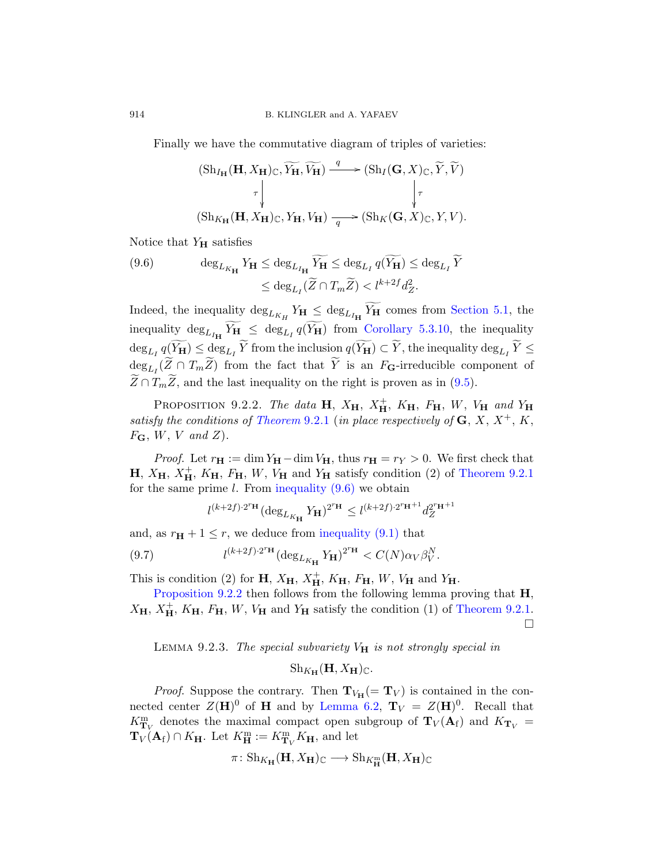Finally we have the commutative diagram of triples of varieties:

$$
\begin{array}{ccc} (\mathrm{Sh}_{I_{\mathbf{H}}}(\mathbf{H},X_{\mathbf{H}})_{\mathbb{C}},\widetilde{Y_{\mathbf{H}}},\widetilde{V_{\mathbf{H}}}) \xrightarrow{q} (\mathrm{Sh}_{I}(\mathbf{G},X)_{\mathbb{C}},\widetilde{Y},\widetilde{V})\\ \tau &\Big\downarrow\tau\\ (\mathrm{Sh}_{K_{\mathbf{H}}}(\mathbf{H},X_{\mathbf{H}})_{\mathbb{C}},Y_{\mathbf{H}},V_{\mathbf{H}}) \xrightarrow{q} (\mathrm{Sh}_{K}(\mathbf{G},X)_{\mathbb{C}},Y,V).\end{array}
$$

Notice that  $Y_H$  satisfies

<span id="page-47-1"></span>(9.6) 
$$
\deg_{L_{K_{\mathbf{H}}} } Y_{\mathbf{H}} \leq \deg_{L_{I_{\mathbf{H}}} } \widetilde{Y}_{\mathbf{H}} \leq \deg_{L_{I}} q(\widetilde{Y}_{\mathbf{H}}) \leq \deg_{L_{I}} \widetilde{Y}
$$

$$
\leq \deg_{L_{I}} (\widetilde{Z} \cap T_{m}\widetilde{Z}) < l^{k+2f} d_{Z}^{2}.
$$

Indeed, the inequality  $\deg_{L_{K_H}} Y_H \leq \deg_{L_{I_H}} Y_H$  comes from [Section 5.1,](#page-21-1) the inequality  $\deg_{L_{I_{\mathbf{H}}}} Y_{\mathbf{H}} \leq \deg_{L_{I}} q(Y_{\mathbf{H}})$  from [Corollary 5.3.10,](#page-27-1) the inequality  $\deg_{L_I} q(Y_H) \leq \deg_{L_I} Y$  from the inclusion  $q(Y_H) \subset Y$ , the inequality  $\deg_{L_I} Y \leq$  $\deg_{L_1}(Z \cap T_m Z)$  from the fact that Y is an  $F_{\mathbf{G}}$ -irreducible component of  $Z \cap T_m Z$ , and the last inequality on the right is proven as in [\(9.5\)](#page-45-2).

<span id="page-47-2"></span>PROPOSITION 9.2.2. The data  $\mathbf{H}$ ,  $X_{\mathbf{H}}$ ,  $X_{\mathbf{H}}^+$ ,  $K_{\mathbf{H}}$ ,  $F_{\mathbf{H}}$ ,  $W$ ,  $V_{\mathbf{H}}$  and  $Y_{\mathbf{H}}$ satisfy the conditions of [Theorem](#page-44-2) 9.2.1 (in place respectively of  $\mathbf{G}, X, X^+, K$ ,  $F_{\mathbf{G}}, W, V \text{ and } Z$ .

*Proof.* Let  $r_{\mathbf{H}} := \dim Y_{\mathbf{H}} - \dim V_{\mathbf{H}}$ , thus  $r_{\mathbf{H}} = r_Y > 0$ . We first check that  $H, X_H, X_H^+$ ,  $K_H, F_H, W, V_H$  and  $Y_H$  satisfy condition (2) of [Theorem 9.2.1](#page-44-2) for the same prime l. From inequality  $(9.6)$  we obtain

<span id="page-47-3"></span>
$$
l^{(k+2f)\cdot 2^r{\mathbf{H}}}(\deg_{L_{K_{\mathbf{H}}}} Y_{\mathbf{H}})^{2^r{\mathbf{H}}} \leq l^{(k+2f)\cdot 2^r{\mathbf{H}}+1}d^{2^r{\mathbf{H}}+1}_{Z}
$$

and, as  $r_{\rm H} + 1 \leq r$ , we deduce from [inequality \(9.1\)](#page-44-3) that

(9.7) 
$$
l^{(k+2f)\cdot 2^{r_{\mathbf{H}}}} (\deg_{L_{K_{\mathbf{H}}} Y_{\mathbf{H}}})^{2^{r_{\mathbf{H}}}} < C(N) \alpha_V \beta_V^N.
$$

This is condition (2) for  $H$ ,  $X_{H}$ ,  $X_{H}^{+}$ ,  $K_{H}$ ,  $F_{H}$ ,  $W$ ,  $V_{H}$  and  $Y_{H}$ .

[Proposition 9.2.2](#page-47-2) then follows from the following lemma proving that  $H$ ,  $X_{\mathbf{H}}, X_{\mathbf{H}}^{+}$ ,  $K_{\mathbf{H}}, F_{\mathbf{H}}, W, V_{\mathbf{H}}$  and  $Y_{\mathbf{H}}$  satisfy the condition (1) of [Theorem 9.2.1.](#page-44-2)  $\Box$ 

<span id="page-47-0"></span>LEMMA 9.2.3. The special subvariety  $V_H$  is not strongly special in

 $\text{Sh}_{K_{\mathbf{H}}}(\mathbf{H}, X_{\mathbf{H}})_{\mathbb{C}}.$ 

*Proof.* Suppose the contrary. Then  $T_{V_H} (= T_V)$  is contained in the connected center  $Z(\mathbf{H})^0$  of **H** and by [Lemma 6.2,](#page-28-0)  $\mathbf{T}_V = Z(\mathbf{H})^0$ . Recall that  $K_{\mathbf{T}_V}^{\text{m}}$  denotes the maximal compact open subgroup of  $\mathbf{T}_V(\mathbf{A}_{\text{f}})$  and  $K_{\mathbf{T}_V}$  =  $\mathbf{T}_V(\mathbf{A}_f) \cap K_\mathbf{H}$ . Let  $K_\mathbf{H}^m := K_{\mathbf{T}_V}^m K_\mathbf{H}$ , and let

$$
\pi\colon \mathrm{Sh}_{K_{\mathbf{H}}}(\mathbf{H}, X_{\mathbf{H}})_{\mathbb{C}}\longrightarrow \mathrm{Sh}_{K_{\mathbf{H}}^m}(\mathbf{H}, X_{\mathbf{H}})_{\mathbb{C}}
$$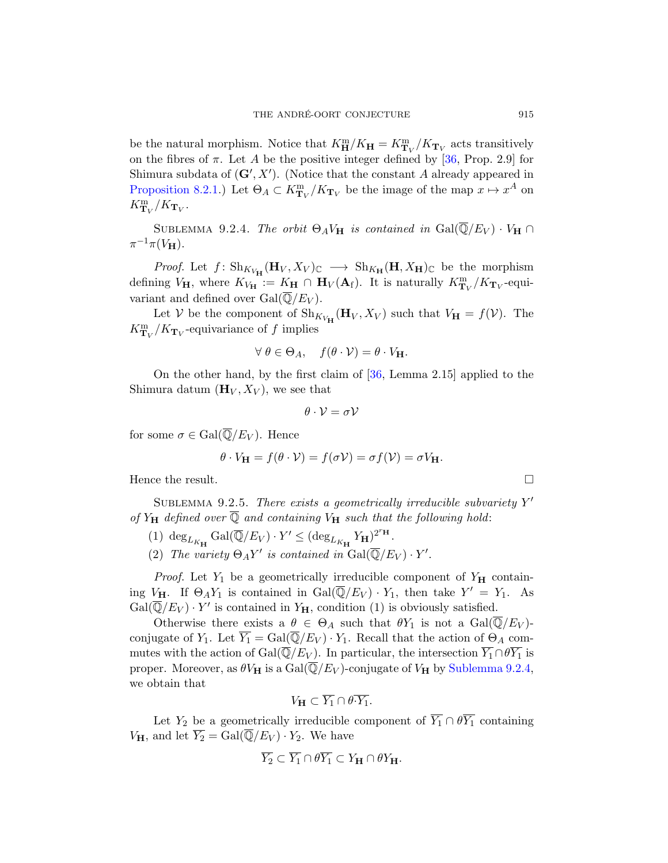be the natural morphism. Notice that  $K_{\mathbf{H}}^{\text{m}}/K_{\mathbf{H}} = K_{\mathbf{T}_V}^{\text{m}}/K_{\mathbf{T}_V}$  acts transitively on the fibres of  $\pi$ . Let A be the positive integer defined by [\[36,](#page-57-1) Prop. 2.9] for Shimura subdata of  $(G', X')$ . (Notice that the constant A already appeared in [Proposition 8.2.1.](#page-40-1)) Let  $\Theta_A \subset K^{\text{m}}_{\textbf{T}_V}/K_{\textbf{T}_V}$  be the image of the map  $x \mapsto x^A$  on  $K_{\mathbf{T}_V}^{\mathrm{m}}/K_{\mathbf{T}_V}.$ 

<span id="page-48-0"></span>SUBLEMMA 9.2.4. The orbit  $\Theta_A V_H$  is contained in  $Gal(\overline{\mathbb{Q}}/E_V) \cdot V_H \cap$  $\pi^{-1}\pi(V_{\mathbf{H}}).$ 

*Proof.* Let  $f: Sh_{K_{V_{\mathbf{H}}}}(\mathbf{H}_V, X_V)_{\mathbb{C}} \longrightarrow Sh_{K_{\mathbf{H}}}(\mathbf{H}, X_{\mathbf{H}})_{\mathbb{C}}$  be the morphism defining  $V_H$ , where  $K_{V_H}$  :=  $K_H \cap H_V(\mathbf{A}_f)$ . It is naturally  $K_{\mathbf{T}_V}^m/K_{\mathbf{T}_V}$ -equivariant and defined over  $Gal(\overline{\mathbb{Q}}/E_V)$ .

Let V be the component of  $\mathrm{Sh}_{K_{V_\mathbf{H}}}(\mathbf{H}_V, X_V)$  such that  $V_\mathbf{H} = f(V)$ . The  $K_{\mathbf{T}_V}^{\mathbf{m}}/K_{\mathbf{T}_V}$ -equivariance of f implies

$$
\forall \ \theta \in \Theta_A, \quad f(\theta \cdot \mathcal{V}) = \theta \cdot V_{\mathbf{H}}.
$$

On the other hand, by the first claim of [\[36,](#page-57-1) Lemma 2.15] applied to the Shimura datum  $(\mathbf{H}_V, X_V)$ , we see that

$$
\theta\cdot\mathcal{V}=\sigma\mathcal{V}
$$

for some  $\sigma \in \text{Gal}(\overline{\mathbb{Q}}/E_V)$ . Hence

$$
\theta \cdot V_{\mathbf{H}} = f(\theta \cdot \mathcal{V}) = f(\sigma \mathcal{V}) = \sigma f(\mathcal{V}) = \sigma V_{\mathbf{H}}.
$$

Hence the result.  $\Box$ 

<span id="page-48-1"></span>SUBLEMMA 9.2.5. There exists a geometrically irreducible subvariety  $Y'$ of  $Y_H$  defined over  $\overline{Q}$  and containing  $V_H$  such that the following hold:

- $(1) \ \deg_{L_{K_{\mathbf{H}}}}\mathrm{Gal}(\overline{\mathbb{Q}}/E_V) \cdot Y' \leq (\deg_{L_{K_{\mathbf{H}}}}Y_{\mathbf{H}})^{2^{r_{\mathbf{H}}}}.$
- (2) The variety  $\Theta_A Y'$  is contained in  $Gal(\overline{\mathbb{Q}}/E_V) \cdot Y'.$

*Proof.* Let  $Y_1$  be a geometrically irreducible component of  $Y_H$  containing  $V_H$ . If  $\Theta_A Y_1$  is contained in  $Gal(\overline{\mathbb{Q}}/E_V) \cdot Y_1$ , then take  $Y' = Y_1$ . As  $Gal(\overline{\mathbb{Q}}/E_V) \cdot Y'$  is contained in  $Y_H$ , condition (1) is obviously satisfied.

Otherwise there exists a  $\theta \in \Theta_A$  such that  $\theta Y_1$  is not a  $Gal(\overline{\mathbb{Q}}/E_V)$ conjugate of  $Y_1$ . Let  $\overline{Y_1} = \text{Gal}(\overline{\mathbb{Q}}/E_V) \cdot Y_1$ . Recall that the action of  $\Theta_A$  commutes with the action of Gal( $\overline{\mathbb{Q}}/E_V$ ). In particular, the intersection  $\overline{Y_1} \cap \theta \overline{Y_1}$  is proper. Moreover, as  $\theta V_H$  is a Gal( $\overline{Q}/E_V$ )-conjugate of  $V_H$  by [Sublemma 9.2.4,](#page-48-0) we obtain that

$$
V_{\mathbf{H}} \subset \overline{Y_1} \cap \theta \cdot \overline{Y_1}.
$$

Let  $Y_2$  be a geometrically irreducible component of  $\overline{Y_1} \cap \theta \overline{Y_1}$  containing  $V_{\mathbf{H}}$ , and let  $\overline{Y_2} = \text{Gal}(\overline{\mathbb{Q}}/E_V) \cdot Y_2$ . We have

$$
\overline{Y_2} \subset \overline{Y_1} \cap \theta \overline{Y_1} \subset Y_{\mathbf{H}} \cap \theta Y_{\mathbf{H}}.
$$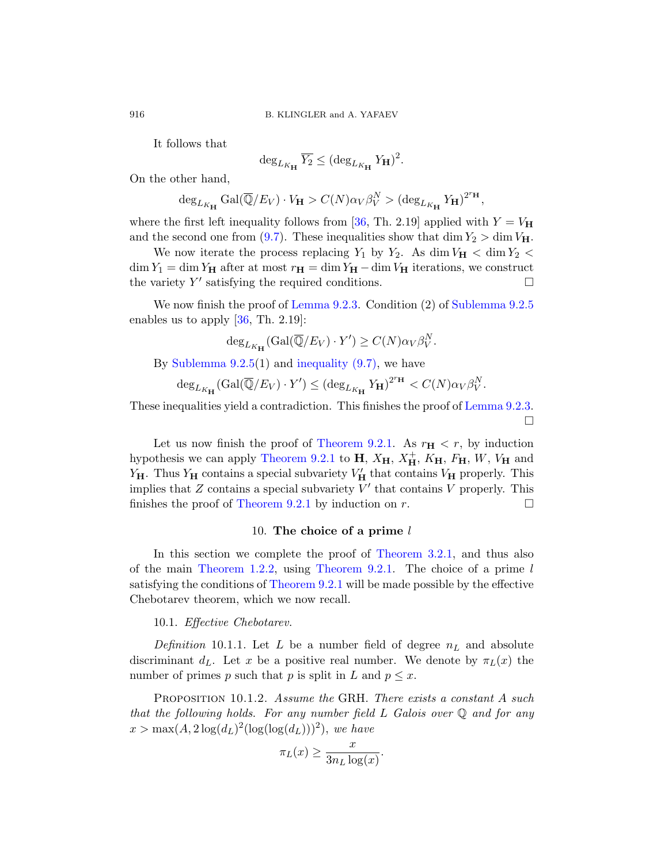It follows that

$$
\deg_{L_{K_{\mathbf{H}}}} \overline{Y_2} \leq (\deg_{L_{K_{\mathbf{H}}}} Y_{\mathbf{H}})^2.
$$

On the other hand,

$$
\deg_{L_{K_{\mathbf{H}}}} \mathrm{Gal}(\overline{\mathbb{Q}}/E_V) \cdot V_{\mathbf{H}} > C(N) \alpha_V \beta_V^N > (\deg_{L_{K_{\mathbf{H}}}} Y_{\mathbf{H}})^{2^{r_{\mathbf{H}}}},
$$

where the first left inequality follows from [\[36,](#page-57-1) Th. 2.19] applied with  $Y = V_H$ and the second one from [\(9.7\)](#page-47-3). These inequalities show that dim  $Y_2 > \dim V_H$ .

We now iterate the process replacing  $Y_1$  by  $Y_2$ . As dim  $V_H <$  dim  $Y_2 <$  $\dim Y_1 = \dim Y_H$  after at most  $r_H = \dim Y_H - \dim V_H$  iterations, we construct the variety  $Y'$  satisfying the required conditions.

We now finish the proof of [Lemma 9.2.3.](#page-47-0) Condition (2) of [Sublemma 9.2.5](#page-48-1) enables us to apply  $[36, Th. 2.19]$ :

$$
\deg_{L_{K_{\mathbf{H}}}}(\mathrm{Gal}(\overline{\mathbb{Q}}/E_V) \cdot Y') \ge C(N)\alpha_V\beta_V^N.
$$

By Sublemma  $9.2.5(1)$  and inequality  $(9.7)$ , we have

$$
\deg_{L_{K_{\mathbf{H}}}}(\mathrm{Gal}(\overline{\mathbb{Q}}/E_V)\cdot Y') \leq (\deg_{L_{K_{\mathbf{H}}}} Y_{\mathbf{H}})^{2^{r_{\mathbf{H}}}} < C(N) \alpha_V \beta_V^N.
$$

These inequalities yield a contradiction. This finishes the proof of [Lemma 9.2.3.](#page-47-0)  $\Box$ 

Let us now finish the proof of [Theorem 9.2.1.](#page-44-2) As  $r_{\text{H}} < r$ , by induction hypothesis we can apply [Theorem 9.2.1](#page-44-2) to  $H$ ,  $X_{\mathbf{H}}$ ,  $X_{\mathbf{H}}^+$ ,  $K_{\mathbf{H}}$ ,  $F_{\mathbf{H}}$ ,  $W$ ,  $V_{\mathbf{H}}$  and  $Y_H$ . Thus  $Y_H$  contains a special subvariety  $V'_H$  that contains  $V_H$  properly. This implies that  $Z$  contains a special subvariety  $V'$  that contains  $V$  properly. This finishes the proof of [Theorem 9.2.1](#page-44-2) by induction on r.

# 10. The choice of a prime  $l$

<span id="page-49-0"></span>In this section we complete the proof of [Theorem 3.2.1,](#page-12-1) and thus also of the main [Theorem 1.2.2,](#page-3-1) using [Theorem 9.2.1.](#page-44-2) The choice of a prime  $l$ satisfying the conditions of [Theorem 9.2.1](#page-44-2) will be made possible by the effective Chebotarev theorem, which we now recall.

# <span id="page-49-1"></span>10.1. Effective Chebotarev.

Definition 10.1.1. Let L be a number field of degree  $n<sub>L</sub>$  and absolute discriminant d<sub>L</sub>. Let x be a positive real number. We denote by  $\pi_L(x)$  the number of primes p such that p is split in L and  $p \leq x$ .

<span id="page-49-2"></span>PROPOSITION 10.1.2. Assume the GRH. There exists a constant A such that the following holds. For any number field  $L$  Galois over  $\mathbb Q$  and for any  $x > \max(A, 2\log(d_L)^2(\log(\log(d_L)))^2)$ , we have

$$
\pi_L(x) \ge \frac{x}{3n_L \log(x)}.
$$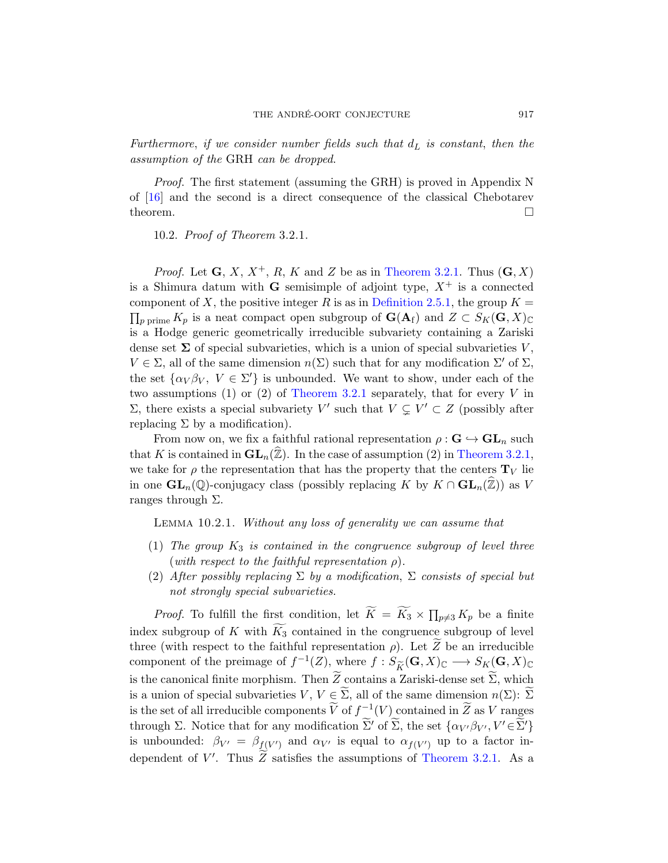Furthermore, if we consider number fields such that  $d_L$  is constant, then the assumption of the GRH can be dropped.

Proof. The first statement (assuming the GRH) is proved in Appendix N of [\[16\]](#page-56-1) and the second is a direct consequence of the classical Chebotarev theorem.  $\Box$ 

<span id="page-50-0"></span>10.2. Proof of Theorem 3.2.1.

*Proof.* Let  $\mathbf{G}, X, X^+, R, K$  and Z be as in [Theorem 3.2.1.](#page-12-1) Thus  $(\mathbf{G}, X)$ is a Shimura datum with **G** semisimple of adjoint type,  $X^+$  is a connected component of X, the positive integer R is as in [Definition 2.5.1,](#page-10-2) the group  $K =$  $\prod_p$ <sub>prime</sub>  $K_p$  is a neat compact open subgroup of  $\mathbf{G}(\mathbf{A}_f)$  and  $Z \subset S_K(\mathbf{G}, X)_{\mathbb{C}}$ is a Hodge generic geometrically irreducible subvariety containing a Zariski dense set  $\Sigma$  of special subvarieties, which is a union of special subvarieties V,  $V \in \Sigma$ , all of the same dimension  $n(\Sigma)$  such that for any modification  $\Sigma'$  of  $\Sigma$ , the set  $\{\alpha_V \beta_V, V \in \Sigma'\}$  is unbounded. We want to show, under each of the two assumptions (1) or (2) of [Theorem 3.2.1](#page-12-1) separately, that for every  $V$  in Σ, there exists a special subvariety V' such that  $V ⊆ V' ⊂ Z$  (possibly after replacing  $\Sigma$  by a modification).

From now on, we fix a faithful rational representation  $\rho : \mathbf{G} \hookrightarrow \mathbf{GL}_n$  such that K is contained in  $\mathbf{GL}_n(\widehat{\mathbb{Z}})$ . In the case of assumption (2) in [Theorem 3.2.1,](#page-12-1) we take for  $\rho$  the representation that has the property that the centers  $\mathbf{T}_V$  lie in one  $\mathbf{GL}_n(\mathbb{Q})$ -conjugacy class (possibly replacing K by  $K \cap \mathbf{GL}_n(\mathbb{Z})$ ) as V ranges through Σ.

<span id="page-50-1"></span>Lemma 10.2.1. Without any loss of generality we can assume that

- (1) The group  $K_3$  is contained in the congruence subgroup of level three (with respect to the faithful representation  $\rho$ ).
- (2) After possibly replacing  $\Sigma$  by a modification,  $\Sigma$  consists of special but not strongly special subvarieties.

*Proof.* To fulfill the first condition, let  $K = K_3 \times \prod_{p \neq 3} K_p$  be a finite index subgroup of K with  $K_3$  contained in the congruence subgroup of level three (with respect to the faithful representation  $\rho$ ). Let Z be an irreducible component of the preimage of  $f^{-1}(Z)$ , where  $f : S_{\widetilde{K}}(\mathbf{G}, X)_{\mathbb{C}} \longrightarrow S_K(\mathbf{G}, X)_{\mathbb{C}}$ <br>is the cononical finite membies. Then  $\widetilde{Z}$  contains a Zericli dance set  $\widetilde{\Sigma}$  which is the canonical finite morphism. Then  $Z_{\text{ }}}$  contains a Zariski-dense set  $\Sigma$ , which is a union of special subvarieties  $V, V \in \Sigma$ , all of the same dimension  $n(\Sigma)$ :  $\Sigma$ is the set of all irreducible components  $\widetilde{V}$  of  $f_{\sim}^{-1}(V)$  contained in  $\widetilde{Z}$  as V ranges through  $\Sigma$ . Notice that for any modification  $\widetilde{\Sigma}'$  of  $\widetilde{\Sigma}$ , the set  $\{\alpha_{V'}\beta_{V'}, V' \in \widetilde{\Sigma}'\}$ is unbounded:  $\beta_{V'} = \beta_{f(V')}$  and  $\alpha_{V'}$  is equal to  $\alpha_{f(V')}$  up to a factor independent of  $V'$ . Thus  $\widetilde{Z}$  satisfies the assumptions of [Theorem 3.2.1.](#page-12-1) As a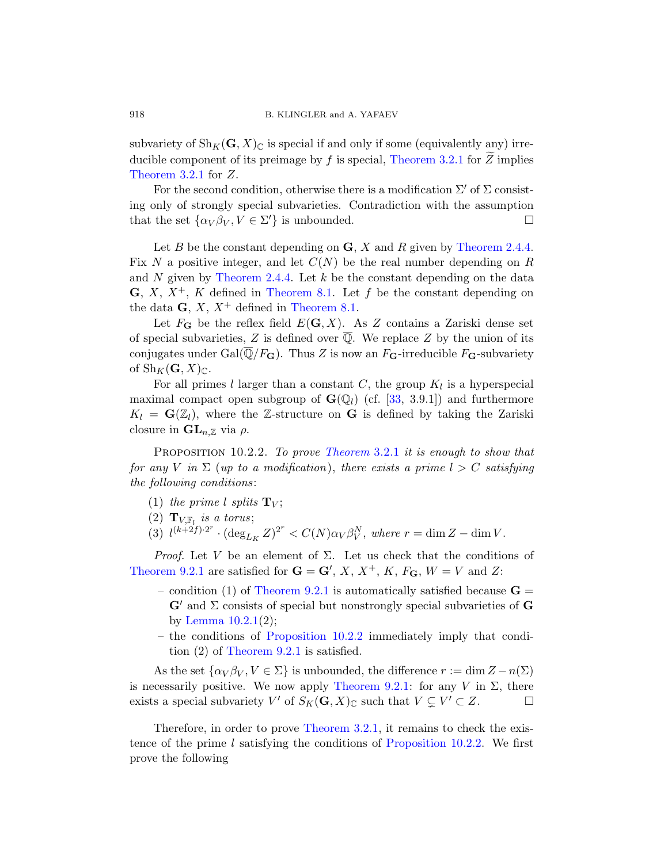subvariety of  $\text{Sh}_K(G, X)_{\mathbb{C}}$  is special if and only if some (equivalently any) irreducible component of its preimage by  $f$  is special, [Theorem 3.2.1](#page-12-1) for  $Z$  implies [Theorem 3.2.1](#page-12-1) for Z.

For the second condition, otherwise there is a modification  $\Sigma'$  of  $\Sigma$  consisting only of strongly special subvarieties. Contradiction with the assumption that the set  $\{\alpha_V \beta_V, V \in \Sigma'\}$  is unbounded.

Let B be the constant depending on  $\mathbf{G}$ , X and R given by [Theorem 2.4.4.](#page-9-0) Fix N a positive integer, and let  $C(N)$  be the real number depending on R and N given by [Theorem 2.4.4.](#page-9-0) Let k be the constant depending on the data  $\mathbf{G}, X, X^+, K$  defined in [Theorem 8.1.](#page-36-1) Let f be the constant depending on the data  $\mathbf{G}, X, X^+$  defined in [Theorem 8.1.](#page-36-1)

Let  $F_G$  be the reflex field  $E(G, X)$ . As Z contains a Zariski dense set of special subvarieties, Z is defined over  $\overline{Q}$ . We replace Z by the union of its conjugates under Gal $(\overline{Q}/F_{\mathbf{G}})$ . Thus Z is now an  $F_{\mathbf{G}}$ -irreducible  $F_{\mathbf{G}}$ -subvariety of  $\text{Sh}_K(G, X)_{\mathbb{C}}$ .

For all primes l larger than a constant C, the group  $K_l$  is a hyperspecial maximal compact open subgroup of  $\mathbf{G}(\mathbb{Q}_l)$  (cf. [\[33,](#page-57-13) 3.9.1]) and furthermore  $K_l = \mathbf{G}(\mathbb{Z}_l)$ , where the Z-structure on G is defined by taking the Zariski closure in  $\mathbf{GL}_{n,\mathbb{Z}}$  via  $\rho$ .

<span id="page-51-0"></span>PROPOSITION 10.2.2. To prove [Theorem](#page-12-1) 3.2.1 it is enough to show that for any V in  $\Sigma$  (up to a modification), there exists a prime  $l > C$  satisfying the following conditions:

- (1) the prime l splits  $\mathbf{T}_V$ ;
- (2)  $\mathbf{T}_{V,\mathbb{F}_l}$  is a torus;
- (3)  $l^{(k+2f) \cdot 2^r} \cdot (\deg_{L_K} Z)^{2^r} < C(N) \alpha_V \beta_V^N$ , where  $r = \dim Z \dim V$ .

*Proof.* Let V be an element of  $\Sigma$ . Let us check that the conditions of [Theorem 9.2.1](#page-44-2) are satisfied for  $\mathbf{G} = \mathbf{G}'$ , X,  $X^+$ , K,  $F_{\mathbf{G}}$ ,  $W = V$  and Z:

- condition (1) of [Theorem 9.2.1](#page-44-2) is automatically satisfied because  $G =$  $\mathbf{G}'$  and  $\Sigma$  consists of special but nonstrongly special subvarieties of  $\mathbf{G}$ by Lemma  $10.2.1(2)$ ;
- the conditions of [Proposition 10.2.2](#page-51-0) immediately imply that condition (2) of [Theorem 9.2.1](#page-44-2) is satisfied.

As the set  $\{\alpha_V \beta_V, V \in \Sigma\}$  is unbounded, the difference  $r := \dim Z - n(\Sigma)$ is necessarily positive. We now apply [Theorem 9.2.1:](#page-44-2) for any V in  $\Sigma$ , there exists a special subvariety V' of  $S_K(\mathbf{G}, X)_{\mathbb{C}}$  such that  $V \subsetneq V' \subset Z$ .

Therefore, in order to prove [Theorem 3.2.1,](#page-12-1) it remains to check the existence of the prime l satisfying the conditions of [Proposition 10.2.2.](#page-51-0) We first prove the following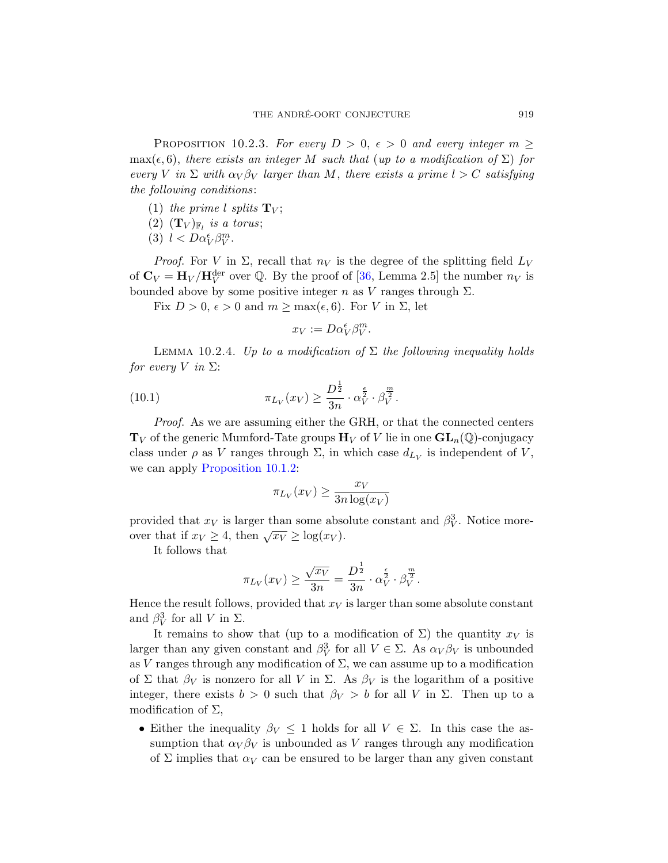<span id="page-52-1"></span>PROPOSITION 10.2.3. For every  $D > 0$ ,  $\epsilon > 0$  and every integer  $m \geq$  $\max(\epsilon, 6)$ , there exists an integer M such that (up to a modification of  $\Sigma$ ) for every V in  $\Sigma$  with  $\alpha_V \beta_V$  larger than M, there exists a prime  $l > C$  satisfying the following conditions:

- (1) the prime l splits  $\mathbf{T}_V$ ;
- (2)  $(\mathbf{T}_V)_{\mathbb{F}_l}$  is a torus;
- (3)  $l < D\alpha_V^{\epsilon}\beta_V^m$ .

*Proof.* For V in  $\Sigma$ , recall that  $n_V$  is the degree of the splitting field  $L_V$ of  $\mathbf{C}_V = \mathbf{H}_V / \mathbf{H}_V^{\text{der}}$  over Q. By the proof of [\[36,](#page-57-1) Lemma 2.5] the number  $n_V$  is bounded above by some positive integer n as V ranges through  $\Sigma$ .

Fix  $D > 0$ ,  $\epsilon > 0$  and  $m \ge \max(\epsilon, 6)$ . For V in  $\Sigma$ , let

<span id="page-52-2"></span>
$$
x_V := D\alpha_V^{\epsilon} \beta_V^m.
$$

<span id="page-52-0"></span>LEMMA 10.2.4. Up to a modification of  $\Sigma$  the following inequality holds *for every* V in  $\Sigma$ :

(10.1) 
$$
\pi_{L_V}(x_V) \geq \frac{D^{\frac{1}{2}}}{3n} \cdot \alpha_V^{\frac{\epsilon}{2}} \cdot \beta_V^{\frac{m}{2}}.
$$

Proof. As we are assuming either the GRH, or that the connected centers  $\mathbf{T}_V$  of the generic Mumford-Tate groups  $\mathbf{H}_V$  of V lie in one  $\mathbf{GL}_n(\mathbb{Q})$ -conjugacy class under  $\rho$  as V ranges through  $\Sigma$ , in which case  $d_{L_V}$  is independent of V, we can apply [Proposition 10.1.2:](#page-49-2)

$$
\pi_{L_V}(x_V) \ge \frac{x_V}{3n \log(x_V)}
$$

provided that  $x_V$  is larger than some absolute constant and  $\beta_V^3$ . Notice moreover that if  $x_V \geq 4$ , then  $\sqrt{x_V} \geq \log(x_V)$ .

It follows that

$$
\pi_{L_V}(x_V) \ge \frac{\sqrt{x_V}}{3n} = \frac{D^{\frac{1}{2}}}{3n} \cdot \alpha_V^{\frac{\epsilon}{2}} \cdot \beta_V^{\frac{m}{2}}.
$$

Hence the result follows, provided that  $x<sub>V</sub>$  is larger than some absolute constant and  $\beta_V^3$  for all V in  $\Sigma$ .

It remains to show that (up to a modification of  $\Sigma$ ) the quantity  $x_V$  is larger than any given constant and  $\beta_V^3$  for all  $V \in \Sigma$ . As  $\alpha_V \beta_V$  is unbounded as V ranges through any modification of  $\Sigma$ , we can assume up to a modification of Σ that  $\beta_V$  is nonzero for all V in Σ. As  $\beta_V$  is the logarithm of a positive integer, there exists  $b > 0$  such that  $\beta_V > b$  for all V in  $\Sigma$ . Then up to a modification of  $\Sigma$ ,

• Either the inequality  $\beta_V \leq 1$  holds for all  $V \in \Sigma$ . In this case the assumption that  $\alpha_V \beta_V$  is unbounded as V ranges through any modification of  $\Sigma$  implies that  $\alpha_V$  can be ensured to be larger than any given constant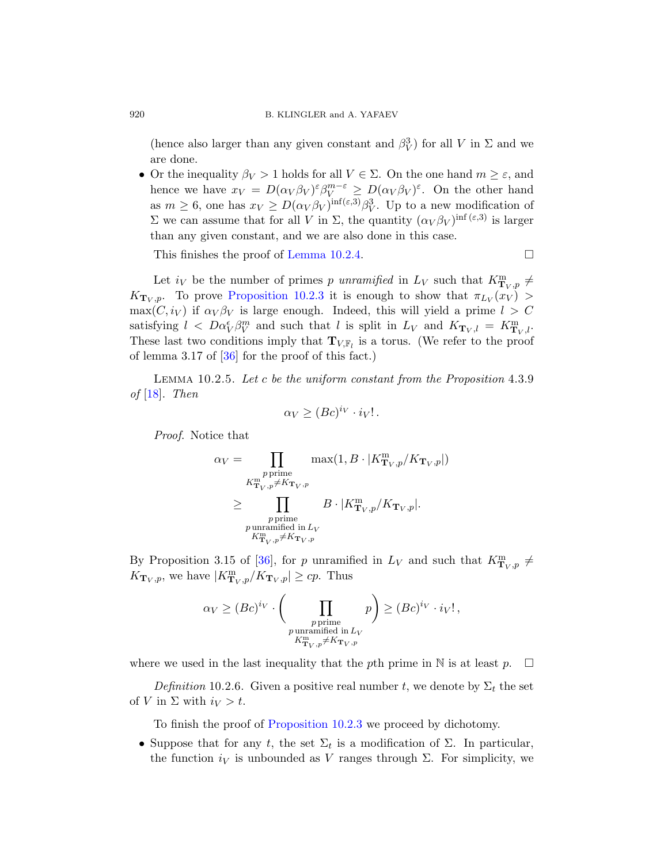(hence also larger than any given constant and  $\beta_V^3$ ) for all V in  $\Sigma$  and we are done.

• Or the inequality  $\beta_V > 1$  holds for all  $V \in \Sigma$ . On the one hand  $m \geq \varepsilon$ , and hence we have  $x_V = D(\alpha_V \beta_V)^\varepsilon \beta_V^{m-\varepsilon} \geq D(\alpha_V \beta_V)^\varepsilon$ . On the other hand as  $m \geq 6$ , one has  $x_V \geq D(\alpha_V \beta_V)^{\inf(\varepsilon,3)} \beta_V^3$ . Up to a new modification of Σ we can assume that for all V in Σ, the quantity  $(\alpha_V \beta_V)^{\text{inf }(\varepsilon,3)}$  is larger than any given constant, and we are also done in this case.

This finishes the proof of [Lemma 10.2.4.](#page-52-0)  $\Box$ 

Let  $i_V$  be the number of primes p unramified in  $L_V$  such that  $K^{\text{m}}_{\text{T}_V, p} \neq$  $K_{\mathbf{T}_V,p}$ . To prove [Proposition 10.2.3](#page-52-1) it is enough to show that  $\pi_{L_V}(x_V)$  $\max(C, i_V)$  if  $\alpha_V \beta_V$  is large enough. Indeed, this will yield a prime  $l > C$ satisfying  $l \leq D\alpha_V^{\epsilon} \beta_V^m$  and such that l is split in  $L_V$  and  $K_{\mathbf{T}_V,l} = K_{\mathbf{T}_V,l}^m$ . These last two conditions imply that  $\mathbf{T}_{V,\mathbb{F}_l}$  is a torus. (We refer to the proof of lemma 3.17 of [\[36\]](#page-57-1) for the proof of this fact.)

<span id="page-53-0"></span>Lemma 10.2.5. Let c be the uniform constant from the Proposition 4.3.9 of  $[18]$ . Then

$$
\alpha_V \geq (Bc)^{i_V} \cdot i_V! \, .
$$

Proof. Notice that

$$
\alpha_V = \prod_{\substack{p \text{ prime} \\ K_{\mathbf{T}_V, p}^{\text{m}} \neq K_{\mathbf{T}_V, p}}} \max(1, B \cdot |K_{\mathbf{T}_V, p}^{\text{m}} / K_{\mathbf{T}_V, p}|)
$$
  
\n
$$
\geq \prod_{\substack{p \text{ prime} \\ p \text{ unramified in } L_V}} B \cdot |K_{\mathbf{T}_V, p}^{\text{m}} / K_{\mathbf{T}_V, p}|.
$$

By Proposition 3.15 of [\[36\]](#page-57-1), for p unramified in  $L_V$  and such that  $K_{\mathbf{T}_V,p}^{\mathbf{m}} \neq$  $K_{\mathbf{T}_V,p}$ , we have  $|K^{\mathbf{m}}_{\mathbf{T}_V,p}/K_{\mathbf{T}_V,p}| \geq cp$ . Thus

$$
\alpha_V \ge (Bc)^{i_V} \cdot \left(\prod_{\substack{p \text{ prime} \\ p \text{ unramified in } L_V \\ K_{\mathbf{T}_V, p}^m \ne K_{\mathbf{T}_V, p}} p\right) \ge (Bc)^{i_V} \cdot i_V!,
$$

where we used in the last inequality that the pth prime in N is at least  $p$ .  $\Box$ 

Definition 10.2.6. Given a positive real number t, we denote by  $\Sigma_t$  the set of V in  $\Sigma$  with  $i_V > t$ .

To finish the proof of [Proposition 10.2.3](#page-52-1) we proceed by dichotomy.

• Suppose that for any t, the set  $\Sigma_t$  is a modification of  $\Sigma$ . In particular, the function  $i_V$  is unbounded as V ranges through  $\Sigma$ . For simplicity, we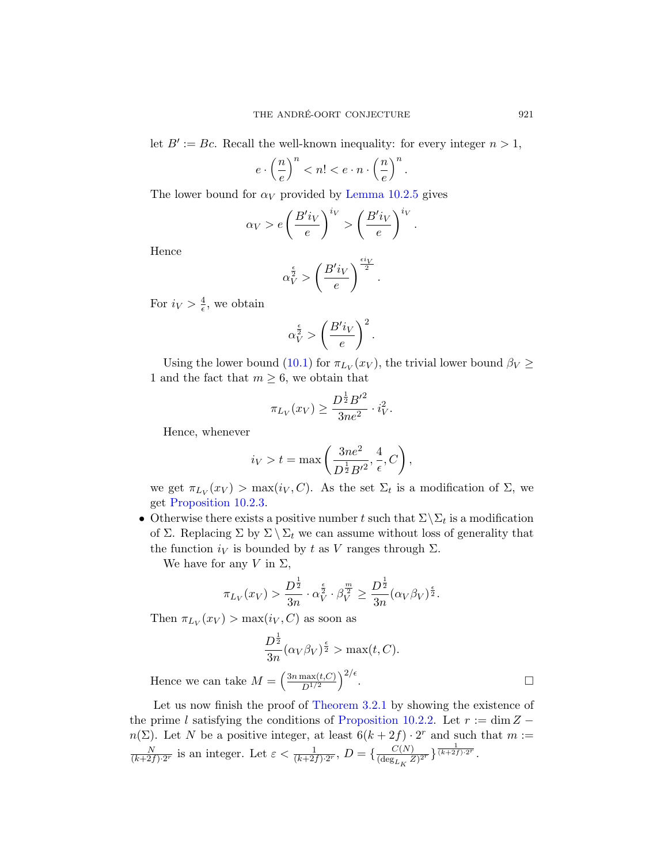let  $B' := Bc$ . Recall the well-known inequality: for every integer  $n > 1$ ,

$$
e \cdot \left(\frac{n}{e}\right)^n < n! < e \cdot n \cdot \left(\frac{n}{e}\right)^n.
$$

The lower bound for  $\alpha_V$  provided by [Lemma 10.2.5](#page-53-0) gives

$$
\alpha_V > e \left(\frac{B'i_V}{e}\right)^{i_V} > \left(\frac{B'i_V}{e}\right)^{i_V}.
$$

Hence

$$
\alpha_V^{\frac{\epsilon}{2}} > \left(\frac{B'i_V}{e}\right)^{\frac{\epsilon i_V}{2}}.
$$

For  $i_V > \frac{4}{\epsilon}$  $\frac{4}{\epsilon}$ , we obtain

$$
\alpha_V^{\frac{\epsilon}{2}} > \left(\frac{B'i_V}{e}\right)^2.
$$

Using the lower bound [\(10.1\)](#page-52-2) for  $\pi_{L_V}(x_V)$ , the trivial lower bound  $\beta_V \geq$ 1 and the fact that  $m \geq 6$ , we obtain that

$$
\pi_{L_V}(x_V) \ge \frac{D^{\frac{1}{2}} B'^2}{3ne^2} \cdot i_V^2.
$$

Hence, whenever

$$
i_V > t = \max\left(\frac{3ne^2}{D^{\frac{1}{2}}B'^2}, \frac{4}{\epsilon}, C\right),\,
$$

we get  $\pi_{L_V}(x_V) > \max(i_V, C)$ . As the set  $\Sigma_t$  is a modification of  $\Sigma$ , we get [Proposition 10.2.3.](#page-52-1)

• Otherwise there exists a positive number t such that  $\Sigma \backslash \Sigma_t$  is a modification of Σ. Replacing Σ by  $\Sigma \setminus \Sigma_t$  we can assume without loss of generality that the function  $i_V$  is bounded by t as V ranges through  $\Sigma$ .

We have for any V in  $\Sigma$ ,

$$
\pi_{L_V}(x_V) > \frac{D^{\frac{1}{2}}}{3n} \cdot \alpha_V^{\frac{\epsilon}{2}} \cdot \beta_V^{\frac{m}{2}} \ge \frac{D^{\frac{1}{2}}}{3n} (\alpha_V \beta_V)^{\frac{\epsilon}{2}}.
$$

Then  $\pi_{L_V}(x_V) > \max(i_V, C)$  as soon as

$$
\frac{D^{\frac{1}{2}}}{3n}(\alpha_V \beta_V)^{\frac{\epsilon}{2}} > \max(t, C).
$$

Hence we can take  $M = \left(\frac{3n \max(t,C)}{D^{1/2}}\right)$  $D^{1/2}$  $\sqrt{2/\epsilon}$ . — Первый процесс в постановки программа в собстановки программа в собстановки простановки простановки проста<br>В собстановки простановки простановки простановки простановки простановки простановки простановки простановки

Let us now finish the proof of [Theorem 3.2.1](#page-12-1) by showing the existence of the prime l satisfying the conditions of [Proposition 10.2.2.](#page-51-0) Let  $r := \dim Z$  $n(\Sigma)$ . Let N be a positive integer, at least  $6(k+2f) \cdot 2^r$  and such that  $m :=$ N  $\frac{N}{(k+2f)\cdot 2^r}$  is an integer. Let  $\varepsilon < \frac{1}{(k+2f)\cdot 2^r}$ ,  $D = \{\frac{C(N)}{(\deg_{L,N} Z)}\}$  $\frac{C(N)}{(\deg_{L_K} Z)^{2^r}}\frac{1}{(k+2f)\cdot 2^r}.$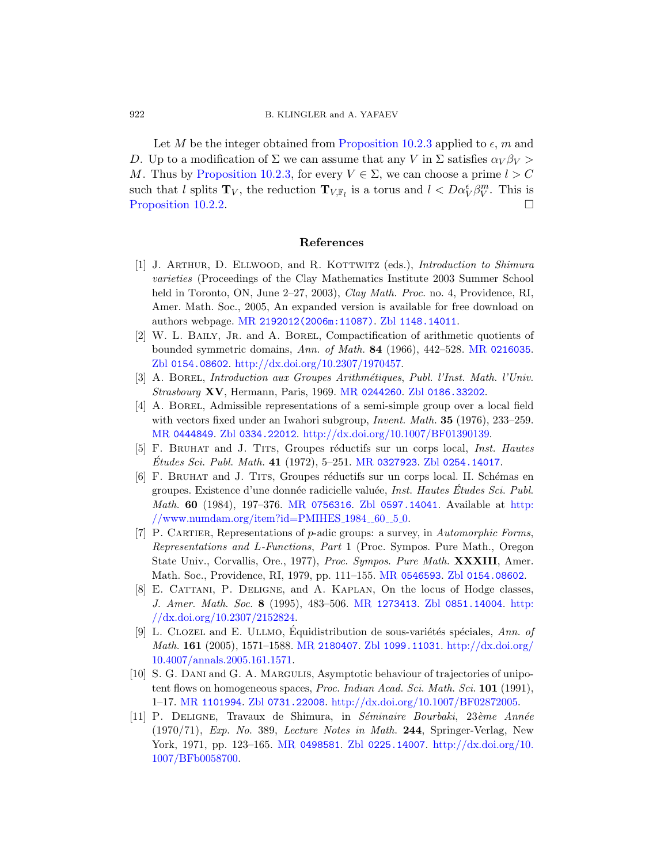Let M be the integer obtained from [Proposition 10.2.3](#page-52-1) applied to  $\epsilon$ , m and D. Up to a modification of  $\Sigma$  we can assume that any V in  $\Sigma$  satisfies  $\alpha_V \beta_V >$ M. Thus by [Proposition 10.2.3,](#page-52-1) for every  $V \in \Sigma$ , we can choose a prime  $l > C$ such that l splits  $\mathbf{T}_V$ , the reduction  $\mathbf{T}_{V,\mathbb{F}_l}$  is a torus and  $l < D\alpha_V^{\epsilon}\beta_V^m$ . This is [Proposition 10.2.2.](#page-51-0)

#### <span id="page-55-0"></span>References

- <span id="page-55-3"></span>[1] J. ARTHUR, D. ELLWOOD, and R. KOTTWITZ (eds.), *Introduction to Shimura* varieties (Proceedings of the Clay Mathematics Institute 2003 Summer School held in Toronto, ON, June 2–27, 2003), *Clay Math. Proc.* no. 4, Providence, RI, Amer. Math. Soc., 2005, An expanded version is available for free download on authors webpage. MR [2192012\(2006m:11087\)](http://www.ams.org/mathscinet-getitem?mr=2192012 (2006m:11087)). Zbl [1148.14011](http://www.zentralblatt-math.org/zmath/en/search/?q=an:1148.14011).
- <span id="page-55-7"></span>[2] W. L. Baily, Jr. and A. Borel, Compactification of arithmetic quotients of bounded symmetric domains, Ann. of Math. 84 (1966), 442–528. MR [0216035](http://www.ams.org/mathscinet-getitem?mr=0216035). Zbl [0154.08602](http://www.zentralblatt-math.org/zmath/en/search/?q=an:0154.08602). [http://dx.doi.org/10.2307/1970457.](http://dx.doi.org/10.2307/1970457)
- <span id="page-55-6"></span>[3] A. Borel, Introduction aux Groupes Arithm´etiques, Publ. l'Inst. Math. l'Univ. Strasbourg XV, Hermann, Paris, 1969. MR [0244260](http://www.ams.org/mathscinet-getitem?mr=0244260). Zbl [0186.33202](http://www.zentralblatt-math.org/zmath/en/search/?q=an:0186.33202).
- <span id="page-55-11"></span>[4] A. Borel, Admissible representations of a semi-simple group over a local field with vectors fixed under an Iwahori subgroup, *Invent. Math.* **35** (1976), 233–259. MR [0444849](http://www.ams.org/mathscinet-getitem?mr=0444849). Zbl [0334.22012](http://www.zentralblatt-math.org/zmath/en/search/?q=an:0334.22012). [http://dx.doi.org/10.1007/BF01390139.](http://dx.doi.org/10.1007/BF01390139)
- <span id="page-55-9"></span>[5] F. BRUHAT and J. TITS, Groupes réductifs sur un corps local, *Inst. Hautes*  $\acute{E}tudes \, Sci. \, Publ. \, Math. \, {\bf 41} \ (1972), \, 5-251. \, MR \, 0327923. \, Zbl \, 0254.14017.$  $\acute{E}tudes \, Sci. \, Publ. \, Math. \, {\bf 41} \ (1972), \, 5-251. \, MR \, 0327923. \, Zbl \, 0254.14017.$  $\acute{E}tudes \, Sci. \, Publ. \, Math. \, {\bf 41} \ (1972), \, 5-251. \, MR \, 0327923. \, Zbl \, 0254.14017.$  $\acute{E}tudes \, Sci. \, Publ. \, Math. \, {\bf 41} \ (1972), \, 5-251. \, MR \, 0327923. \, Zbl \, 0254.14017.$  $\acute{E}tudes \, Sci. \, Publ. \, Math. \, {\bf 41} \ (1972), \, 5-251. \, MR \, 0327923. \, Zbl \, 0254.14017.$
- <span id="page-55-8"></span>[6] F. BRUHAT and J. TITS, Groupes réductifs sur un corps local. II. Schémas en groupes. Existence d'une donnée radicielle valuée, *Inst. Hautes Études Sci. Publ.* Math. 60 (1984), 197–376. MR [0756316](http://www.ams.org/mathscinet-getitem?mr=0756316). Zbl [0597.14041](http://www.zentralblatt-math.org/zmath/en/search/?q=an:0597.14041). Available at [http:](http://www.numdam.org/item?id=PMIHES_1984__60__5_0)  $//www.numdam.org/item?id=PMIHES_1984_60_50.$  $//www.numdam.org/item?id=PMIHES_1984_60_50.$
- <span id="page-55-10"></span>[7] P. Cartier, Representations of p-adic groups: a survey, in Automorphic Forms, Representations and L-Functions, Part 1 (Proc. Sympos. Pure Math., Oregon State Univ., Corvallis, Ore., 1977), Proc. Sympos. Pure Math. **XXXIII**, Amer. Math. Soc., Providence, RI, 1979, pp. 111–155. MR [0546593](http://www.ams.org/mathscinet-getitem?mr=0546593). Zbl [0154.08602](http://www.zentralblatt-math.org/zmath/en/search/?q=an:0154.08602).
- <span id="page-55-1"></span>[8] E. Cattani, P. Deligne, and A. Kaplan, On the locus of Hodge classes, J. Amer. Math. Soc. 8 (1995), 483–506. MR [1273413](http://www.ams.org/mathscinet-getitem?mr=1273413). Zbl [0851.14004](http://www.zentralblatt-math.org/zmath/en/search/?q=an:0851.14004). [http:](http://dx.doi.org/10.2307/2152824) [//dx.doi.org/10.2307/2152824.](http://dx.doi.org/10.2307/2152824)
- <span id="page-55-4"></span>[9] L. CLOZEL and E. ULLMO, Equidistribution de sous-variétés spéciales,  $Ann.$  of *Math.* 161 (2005), 1571–1588. MR [2180407](http://www.ams.org/mathscinet-getitem?mr=2180407). Zbl [1099.11031](http://www.zentralblatt-math.org/zmath/en/search/?q=an:1099.11031). [http://dx.doi.org/](http://dx.doi.org/10.4007/annals.2005.161.1571) [10.4007/annals.2005.161.1571.](http://dx.doi.org/10.4007/annals.2005.161.1571)
- <span id="page-55-5"></span>[10] S. G. Dani and G. A. Margulis, Asymptotic behaviour of trajectories of unipotent flows on homogeneous spaces, *Proc. Indian Acad. Sci. Math. Sci.* 101 (1991), 1–17. MR [1101994](http://www.ams.org/mathscinet-getitem?mr=1101994). Zbl [0731.22008](http://www.zentralblatt-math.org/zmath/en/search/?q=an:0731.22008). [http://dx.doi.org/10.1007/BF02872005.](http://dx.doi.org/10.1007/BF02872005)
- <span id="page-55-2"></span>[11] P. DELIGNE, Travaux de Shimura, in Séminaire Bourbaki, 23ème Année  $(1970/71)$ , Exp. No. 389, Lecture Notes in Math. 244, Springer-Verlag, New York, 1971, pp. 123–165. MR [0498581](http://www.ams.org/mathscinet-getitem?mr=0498581). Zbl [0225.14007](http://www.zentralblatt-math.org/zmath/en/search/?q=an:0225.14007). [http://dx.doi.org/10.](http://dx.doi.org/10.1007/BFb0058700) [1007/BFb0058700.](http://dx.doi.org/10.1007/BFb0058700)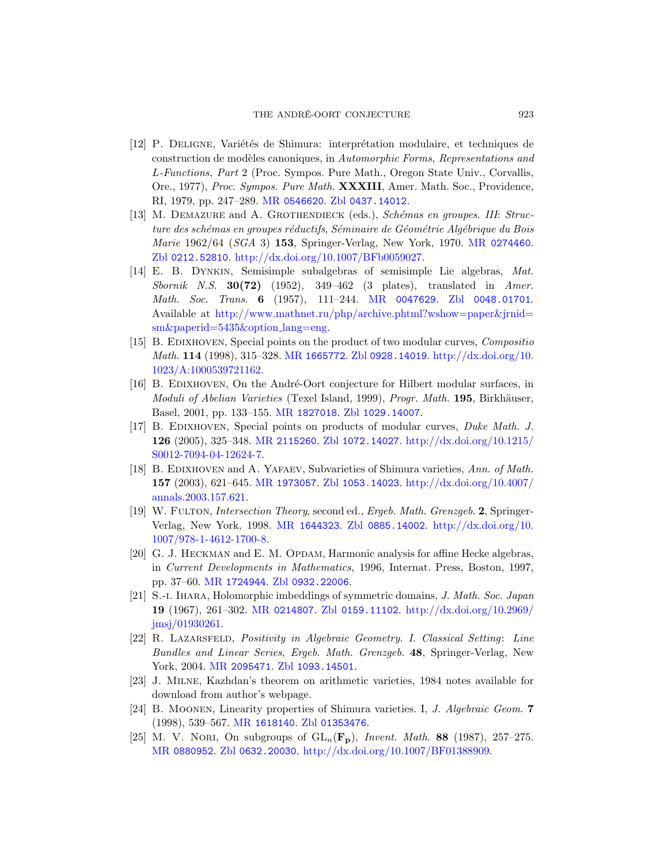- <span id="page-56-0"></span>[12] P. DELIGNE, Variétés de Shimura: interprétation modulaire, et techniques de construction de modèles canoniques, in Automorphic Forms, Representations and L-Functions, Part 2 (Proc. Sympos. Pure Math., Oregon State Univ., Corvallis, Ore., 1977), Proc. Sympos. Pure Math. XXXIII, Amer. Math. Soc., Providence, RI, 1979, pp. 247–289. MR [0546620](http://www.ams.org/mathscinet-getitem?mr=0546620). Zbl [0437.14012](http://www.zentralblatt-math.org/zmath/en/search/?q=an:0437.14012).
- <span id="page-56-5"></span>[13] M. DEMAZURE and A. GROTHENDIECK (eds.), Schémas en groupes. III: Structure des schémas en groupes réductifs, Séminaire de Géométrie Algébrique du Bois *Marie* 1962/64 (*SGA* 3) **153**, Springer-Verlag, New York, 1970. MR [0274460](http://www.ams.org/mathscinet-getitem?mr=0274460). Zbl [0212.52810](http://www.zentralblatt-math.org/zmath/en/search/?q=an:0212.52810). [http://dx.doi.org/10.1007/BFb0059027.](http://dx.doi.org/10.1007/BFb0059027)
- <span id="page-56-8"></span>[14] E. B. Dynkin, Semisimple subalgebras of semisimple Lie algebras, Mat. Sbornik N.S.  $30(72)$  (1952), 349-462 (3 plates), translated in Amer. *Math. Soc. Trans.* 6 (1957), 111–244. MR [0047629](http://www.ams.org/mathscinet-getitem?mr=0047629). Zbl [0048.01701](http://www.zentralblatt-math.org/zmath/en/search/?q=an:0048.01701). Available at [http://www.mathnet.ru/php/archive.phtml?wshow=paper&jrnid=](http://www.mathnet.ru/php/archive.phtml?wshow=paper&jrnid=sm&paperid=5435&option_lang=eng) [sm&paperid=5435&option](http://www.mathnet.ru/php/archive.phtml?wshow=paper&jrnid=sm&paperid=5435&option_lang=eng) lang=eng.
- <span id="page-56-4"></span>[15] B. EDIXHOVEN, Special points on the product of two modular curves, Compositio *Math.* 114 (1998), 315–328. MR [1665772](http://www.ams.org/mathscinet-getitem?mr=1665772). Zbl [0928.14019](http://www.zentralblatt-math.org/zmath/en/search/?q=an:0928.14019). [http://dx.doi.org/10.](http://dx.doi.org/10.1023/A:1000539721162) [1023/A:1000539721162.](http://dx.doi.org/10.1023/A:1000539721162)
- <span id="page-56-1"></span>[16] B. EDIXHOVEN, On the André-Oort conjecture for Hilbert modular surfaces, in Moduli of Abelian Varieties (Texel Island, 1999), Progr. Math. 195, Birkhäuser, Basel, 2001, pp. 133–155. MR [1827018](http://www.ams.org/mathscinet-getitem?mr=1827018). Zbl [1029.14007](http://www.zentralblatt-math.org/zmath/en/search/?q=an:1029.14007).
- <span id="page-56-3"></span>[17] B. Edixhoven, Special points on products of modular curves, Duke Math. J. 126 (2005), 325–348. MR [2115260](http://www.ams.org/mathscinet-getitem?mr=2115260). Zbl [1072.14027](http://www.zentralblatt-math.org/zmath/en/search/?q=an:1072.14027). [http://dx.doi.org/10.1215/](http://dx.doi.org/10.1215/S0012-7094-04-12624-7) [S0012-7094-04-12624-7.](http://dx.doi.org/10.1215/S0012-7094-04-12624-7)
- <span id="page-56-2"></span>[18] B. EDIXHOVEN and A. YAFAEV, Subvarieties of Shimura varieties, Ann. of Math. 157 (2003), 621–645. MR [1973057](http://www.ams.org/mathscinet-getitem?mr=1973057). Zbl [1053.14023](http://www.zentralblatt-math.org/zmath/en/search/?q=an:1053.14023). [http://dx.doi.org/10.4007/](http://dx.doi.org/10.4007/annals.2003.157.621) [annals.2003.157.621.](http://dx.doi.org/10.4007/annals.2003.157.621)
- <span id="page-56-13"></span>[19] W. FULTON, *Intersection Theory*, second ed., *Ergeb. Math. Grenzgeb.* 2, Springer-Verlag, New York, 1998. MR [1644323](http://www.ams.org/mathscinet-getitem?mr=1644323). Zbl [0885.14002](http://www.zentralblatt-math.org/zmath/en/search/?q=an:0885.14002). [http://dx.doi.org/10.](http://dx.doi.org/10.1007/978-1-4612-1700-8) [1007/978-1-4612-1700-8.](http://dx.doi.org/10.1007/978-1-4612-1700-8)
- <span id="page-56-12"></span>[20] G. J. HECKMAN and E. M. OPDAM, Harmonic analysis for affine Hecke algebras, in Current Developments in Mathematics, 1996, Internat. Press, Boston, 1997, pp. 37–60. MR [1724944](http://www.ams.org/mathscinet-getitem?mr=1724944). Zbl [0932.22006](http://www.zentralblatt-math.org/zmath/en/search/?q=an:0932.22006).
- <span id="page-56-9"></span>[21] S.-i. Ihara, Holomorphic imbeddings of symmetric domains, J. Math. Soc. Japan 19 (1967), 261–302. MR [0214807](http://www.ams.org/mathscinet-getitem?mr=0214807). Zbl [0159.11102](http://www.zentralblatt-math.org/zmath/en/search/?q=an:0159.11102). [http://dx.doi.org/10.2969/](http://dx.doi.org/10.2969/jmsj/01930261) [jmsj/01930261.](http://dx.doi.org/10.2969/jmsj/01930261)
- <span id="page-56-7"></span>[22] R. LAZARSFELD, Positivity in Algebraic Geometry. I. Classical Setting: Line Bundles and Linear Series, Ergeb. Math. Grenzgeb. 48, Springer-Verlag, New York, 2004. MR [2095471](http://www.ams.org/mathscinet-getitem?mr=2095471). Zbl [1093.14501](http://www.zentralblatt-math.org/zmath/en/search/?q=an:1093.14501).
- <span id="page-56-10"></span>[23] J. Milne, Kazhdan's theorem on arithmetic varieties, 1984 notes available for download from author's webpage.
- <span id="page-56-11"></span>[24] B. MOONEN, Linearity properties of Shimura varieties. I, J. Algebraic Geom. 7 (1998), 539–567. MR [1618140](http://www.ams.org/mathscinet-getitem?mr=1618140). Zbl [01353476](http://www.zentralblatt-math.org/zmath/en/search/?q=an:01353476).
- <span id="page-56-6"></span>[25] M. V. Nort, On subgroups of  $GL_n(\mathbf{F}_p)$ , Invent. Math. 88 (1987), 257–275. MR [0880952](http://www.ams.org/mathscinet-getitem?mr=0880952). Zbl [0632.20030](http://www.zentralblatt-math.org/zmath/en/search/?q=an:0632.20030). [http://dx.doi.org/10.1007/BF01388909.](http://dx.doi.org/10.1007/BF01388909)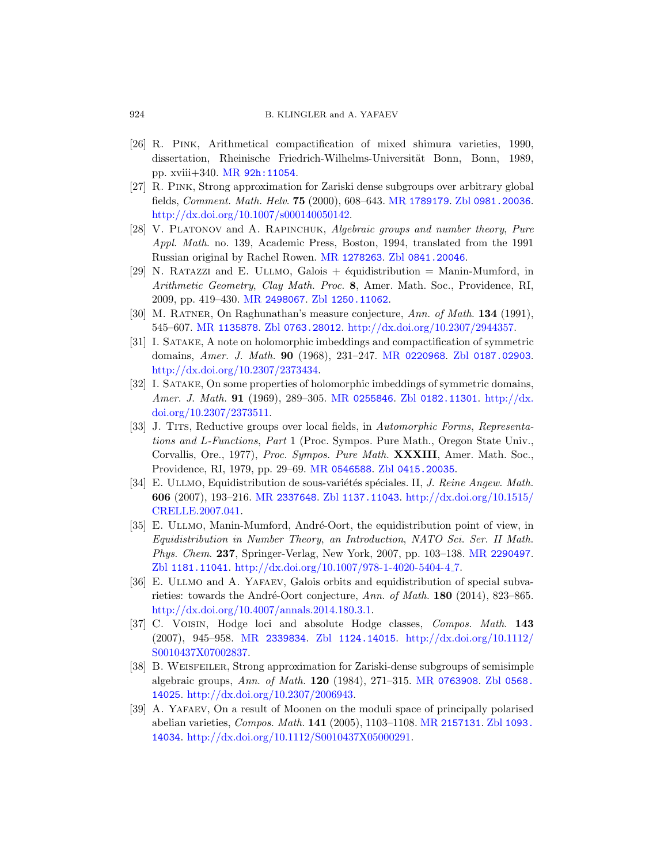- <span id="page-57-7"></span>[26] R. Pink, Arithmetical compactification of mixed shimura varieties, 1990, dissertation, Rheinische Friedrich-Wilhelms-Universität Bonn, Bonn, 1989, pp. xviii+340. MR [92h:11054](http://www.ams.org/mathscinet-getitem?mr=92h:11054).
- <span id="page-57-11"></span>[27] R. Pink, Strong approximation for Zariski dense subgroups over arbitrary global fields, Comment. Math. Helv. 75 (2000), 608–643. MR [1789179](http://www.ams.org/mathscinet-getitem?mr=1789179). Zbl [0981.20036](http://www.zentralblatt-math.org/zmath/en/search/?q=an:0981.20036). [http://dx.doi.org/10.1007/s000140050142.](http://dx.doi.org/10.1007/s000140050142)
- <span id="page-57-12"></span>[28] V. PLATONOV and A. RAPINCHUK, Algebraic groups and number theory, Pure Appl. Math. no. 139, Academic Press, Boston, 1994, translated from the 1991 Russian original by Rachel Rowen. MR [1278263](http://www.ams.org/mathscinet-getitem?mr=1278263). Zbl [0841.20046](http://www.zentralblatt-math.org/zmath/en/search/?q=an:0841.20046).
- <span id="page-57-2"></span>[29] N. RATAZZI and E. ULLMO, Galois  $+$  équidistribution  $=$  Manin-Mumford, in Arithmetic Geometry, Clay Math. Proc. 8, Amer. Math. Soc., Providence, RI, 2009, pp. 419–430. MR [2498067](http://www.ams.org/mathscinet-getitem?mr=2498067). Zbl [1250.11062](http://www.zentralblatt-math.org/zmath/en/search/?q=an:1250.11062).
- <span id="page-57-5"></span>[30] M. RATNER, On Raghunathan's measure conjecture, Ann. of Math. 134 (1991), 545–607. MR [1135878](http://www.ams.org/mathscinet-getitem?mr=1135878). Zbl [0763.28012](http://www.zentralblatt-math.org/zmath/en/search/?q=an:0763.28012). [http://dx.doi.org/10.2307/2944357.](http://dx.doi.org/10.2307/2944357)
- <span id="page-57-9"></span>[31] I. Satake, A note on holomorphic imbeddings and compactification of symmetric domains, Amer. J. Math. 90 (1968), 231–247. MR [0220968](http://www.ams.org/mathscinet-getitem?mr=0220968). Zbl [0187.02903](http://www.zentralblatt-math.org/zmath/en/search/?q=an:0187.02903). [http://dx.doi.org/10.2307/2373434.](http://dx.doi.org/10.2307/2373434)
- <span id="page-57-10"></span>[32] I. Satake, On some properties of holomorphic imbeddings of symmetric domains, Amer. J. Math. 91 (1969), 289–305. MR [0255846](http://www.ams.org/mathscinet-getitem?mr=0255846). Zbl [0182.11301](http://www.zentralblatt-math.org/zmath/en/search/?q=an:0182.11301). [http://dx.](http://dx.doi.org/10.2307/2373511) [doi.org/10.2307/2373511.](http://dx.doi.org/10.2307/2373511)
- <span id="page-57-13"></span>[33] J. Tits, Reductive groups over local fields, in Automorphic Forms, Representations and L-Functions, Part 1 (Proc. Sympos. Pure Math., Oregon State Univ., Corvallis, Ore., 1977), Proc. Sympos. Pure Math. XXXIII, Amer. Math. Soc., Providence, RI, 1979, pp. 29–69. MR [0546588](http://www.ams.org/mathscinet-getitem?mr=0546588). Zbl [0415.20035](http://www.zentralblatt-math.org/zmath/en/search/?q=an:0415.20035).
- <span id="page-57-3"></span>[34] E. ULLMO, Equidistribution de sous-variétés spéciales. II, J. Reine Angew. Math. 606 (2007), 193–216. MR [2337648](http://www.ams.org/mathscinet-getitem?mr=2337648). Zbl [1137.11043](http://www.zentralblatt-math.org/zmath/en/search/?q=an:1137.11043). [http://dx.doi.org/10.1515/](http://dx.doi.org/10.1515/CRELLE.2007.041) [CRELLE.2007.041.](http://dx.doi.org/10.1515/CRELLE.2007.041)
- <span id="page-57-6"></span>[35] E. ULLMO, Manin-Mumford, André-Oort, the equidistribution point of view, in Equidistribution in Number Theory, an Introduction, NATO Sci. Ser. II Math. Phys. Chem. 237, Springer-Verlag, New York, 2007, pp. 103-138. MR [2290497](http://www.ams.org/mathscinet-getitem?mr=2290497). Zbl [1181.11041](http://www.zentralblatt-math.org/zmath/en/search/?q=an:1181.11041). [http://dx.doi.org/10.1007/978-1-4020-5404-4](http://dx.doi.org/10.1007/978-1-4020-5404-4_7) 7.
- <span id="page-57-1"></span>[36] E. Ullmo and A. Yafaev, Galois orbits and equidistribution of special subvarieties: towards the André-Oort conjecture, Ann. of Math.  $180$  (2014), 823–865. [http://dx.doi.org/10.4007/annals.2014.180.3.1.](http://dx.doi.org/10.4007/annals.2014.180.3.1)
- <span id="page-57-0"></span>[37] C. Voisin, Hodge loci and absolute Hodge classes, Compos. Math. 143 (2007), 945–958. MR [2339834](http://www.ams.org/mathscinet-getitem?mr=2339834). Zbl [1124.14015](http://www.zentralblatt-math.org/zmath/en/search/?q=an:1124.14015). [http://dx.doi.org/10.1112/](http://dx.doi.org/10.1112/S0010437X07002837) [S0010437X07002837.](http://dx.doi.org/10.1112/S0010437X07002837)
- <span id="page-57-8"></span>[38] B. Weisfeiler, Strong approximation for Zariski-dense subgroups of semisimple algebraic groups, Ann. of Math. 120 (1984), 271–315. MR [0763908](http://www.ams.org/mathscinet-getitem?mr=0763908). Zbl [0568.](http://www.zentralblatt-math.org/zmath/en/search/?q=an:0568.14025) [14025](http://www.zentralblatt-math.org/zmath/en/search/?q=an:0568.14025). [http://dx.doi.org/10.2307/2006943.](http://dx.doi.org/10.2307/2006943)
- <span id="page-57-4"></span>[39] A. Yafaev, On a result of Moonen on the moduli space of principally polarised abelian varieties, Compos. Math. 141 (2005), 1103–1108. MR [2157131](http://www.ams.org/mathscinet-getitem?mr=2157131). Zbl [1093.](http://www.zentralblatt-math.org/zmath/en/search/?q=an:1093.14034) [14034](http://www.zentralblatt-math.org/zmath/en/search/?q=an:1093.14034). [http://dx.doi.org/10.1112/S0010437X05000291.](http://dx.doi.org/10.1112/S0010437X05000291)